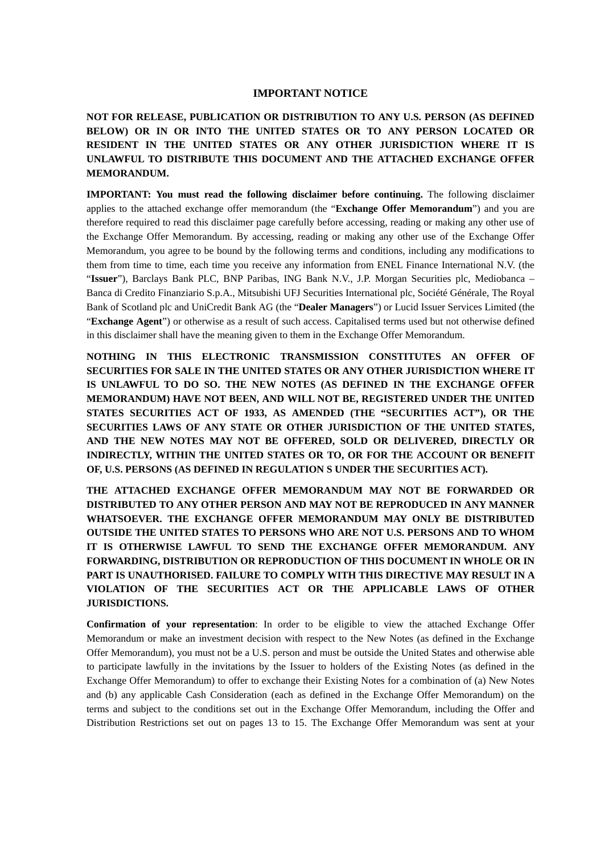# **IMPORTANT NOTICE**

**NOT FOR RELEASE, PUBLICATION OR DISTRIBUTION TO ANY U.S. PERSON (AS DEFINED BELOW) OR IN OR INTO THE UNITED STATES OR TO ANY PERSON LOCATED OR RESIDENT IN THE UNITED STATES OR ANY OTHER JURISDICTION WHERE IT IS UNLAWFUL TO DISTRIBUTE THIS DOCUMENT AND THE ATTACHED EXCHANGE OFFER MEMORANDUM.**

**IMPORTANT: You must read the following disclaimer before continuing.** The following disclaimer applies to the attached exchange offer memorandum (the "**Exchange Offer Memorandum**") and you are therefore required to read this disclaimer page carefully before accessing, reading or making any other use of the Exchange Offer Memorandum. By accessing, reading or making any other use of the Exchange Offer Memorandum, you agree to be bound by the following terms and conditions, including any modifications to them from time to time, each time you receive any information from ENEL Finance International N.V. (the "**Issuer**"), Barclays Bank PLC, BNP Paribas, ING Bank N.V., J.P. Morgan Securities plc, Mediobanca – Banca di Credito Finanziario S.p.A., Mitsubishi UFJ Securities International plc, Société Générale, The Royal Bank of Scotland plc and UniCredit Bank AG (the "**Dealer Managers**") or Lucid Issuer Services Limited (the "**Exchange Agent**") or otherwise as a result of such access. Capitalised terms used but not otherwise defined in this disclaimer shall have the meaning given to them in the Exchange Offer Memorandum.

**NOTHING IN THIS ELECTRONIC TRANSMISSION CONSTITUTES AN OFFER OF SECURITIES FOR SALE IN THE UNITED STATES OR ANY OTHER JURISDICTION WHERE IT IS UNLAWFUL TO DO SO. THE NEW NOTES (AS DEFINED IN THE EXCHANGE OFFER MEMORANDUM) HAVE NOT BEEN, AND WILL NOT BE, REGISTERED UNDER THE UNITED STATES SECURITIES ACT OF 1933, AS AMENDED (THE "SECURITIES ACT"), OR THE SECURITIES LAWS OF ANY STATE OR OTHER JURISDICTION OF THE UNITED STATES, AND THE NEW NOTES MAY NOT BE OFFERED, SOLD OR DELIVERED, DIRECTLY OR INDIRECTLY, WITHIN THE UNITED STATES OR TO, OR FOR THE ACCOUNT OR BENEFIT OF, U.S. PERSONS (AS DEFINED IN REGULATION S UNDER THE SECURITIES ACT).**

**THE ATTACHED EXCHANGE OFFER MEMORANDUM MAY NOT BE FORWARDED OR DISTRIBUTED TO ANY OTHER PERSON AND MAY NOT BE REPRODUCED IN ANY MANNER WHATSOEVER. THE EXCHANGE OFFER MEMORANDUM MAY ONLY BE DISTRIBUTED OUTSIDE THE UNITED STATES TO PERSONS WHO ARE NOT U.S. PERSONS AND TO WHOM IT IS OTHERWISE LAWFUL TO SEND THE EXCHANGE OFFER MEMORANDUM. ANY FORWARDING, DISTRIBUTION OR REPRODUCTION OF THIS DOCUMENT IN WHOLE OR IN PART IS UNAUTHORISED. FAILURE TO COMPLY WITH THIS DIRECTIVE MAY RESULT IN A VIOLATION OF THE SECURITIES ACT OR THE APPLICABLE LAWS OF OTHER JURISDICTIONS.**

**Confirmation of your representation**: In order to be eligible to view the attached Exchange Offer Memorandum or make an investment decision with respect to the New Notes (as defined in the Exchange Offer Memorandum), you must not be a U.S. person and must be outside the United States and otherwise able to participate lawfully in the invitations by the Issuer to holders of the Existing Notes (as defined in the Exchange Offer Memorandum) to offer to exchange their Existing Notes for a combination of (a) New Notes and (b) any applicable Cash Consideration (each as defined in the Exchange Offer Memorandum) on the terms and subject to the conditions set out in the Exchange Offer Memorandum, including the Offer and Distribution Restrictions set out on pages 13 to 15. The Exchange Offer Memorandum was sent at your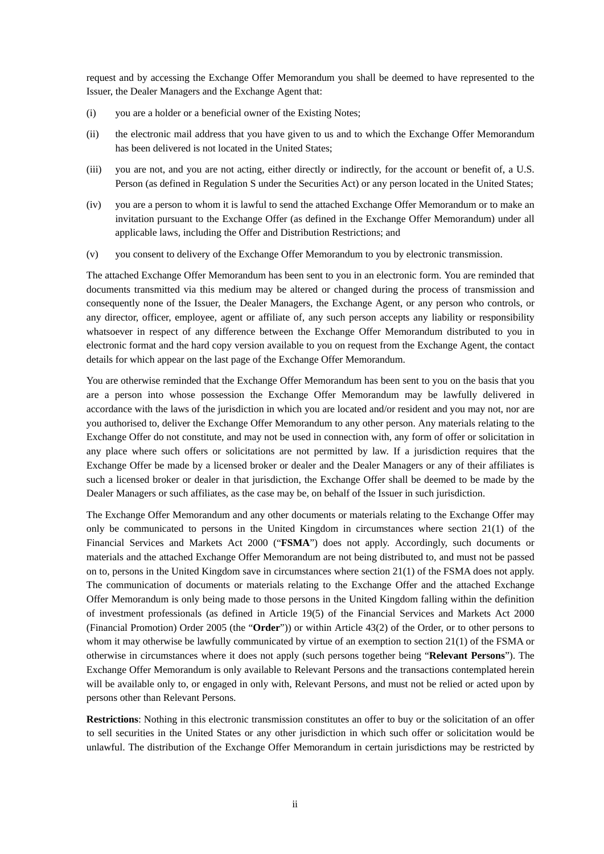request and by accessing the Exchange Offer Memorandum you shall be deemed to have represented to the Issuer, the Dealer Managers and the Exchange Agent that:

- (i) you are a holder or a beneficial owner of the Existing Notes;
- (ii) the electronic mail address that you have given to us and to which the Exchange Offer Memorandum has been delivered is not located in the United States;
- (iii) you are not, and you are not acting, either directly or indirectly, for the account or benefit of, a U.S. Person (as defined in Regulation S under the Securities Act) or any person located in the United States;
- (iv) you are a person to whom it is lawful to send the attached Exchange Offer Memorandum or to make an invitation pursuant to the Exchange Offer (as defined in the Exchange Offer Memorandum) under all applicable laws, including the Offer and Distribution Restrictions; and
- (v) you consent to delivery of the Exchange Offer Memorandum to you by electronic transmission.

The attached Exchange Offer Memorandum has been sent to you in an electronic form. You are reminded that documents transmitted via this medium may be altered or changed during the process of transmission and consequently none of the Issuer, the Dealer Managers, the Exchange Agent, or any person who controls, or any director, officer, employee, agent or affiliate of, any such person accepts any liability or responsibility whatsoever in respect of any difference between the Exchange Offer Memorandum distributed to you in electronic format and the hard copy version available to you on request from the Exchange Agent, the contact details for which appear on the last page of the Exchange Offer Memorandum.

You are otherwise reminded that the Exchange Offer Memorandum has been sent to you on the basis that you are a person into whose possession the Exchange Offer Memorandum may be lawfully delivered in accordance with the laws of the jurisdiction in which you are located and/or resident and you may not, nor are you authorised to, deliver the Exchange Offer Memorandum to any other person. Any materials relating to the Exchange Offer do not constitute, and may not be used in connection with, any form of offer or solicitation in any place where such offers or solicitations are not permitted by law. If a jurisdiction requires that the Exchange Offer be made by a licensed broker or dealer and the Dealer Managers or any of their affiliates is such a licensed broker or dealer in that jurisdiction, the Exchange Offer shall be deemed to be made by the Dealer Managers or such affiliates, as the case may be, on behalf of the Issuer in such jurisdiction.

The Exchange Offer Memorandum and any other documents or materials relating to the Exchange Offer may only be communicated to persons in the United Kingdom in circumstances where section 21(1) of the Financial Services and Markets Act 2000 ("**FSMA**") does not apply. Accordingly, such documents or materials and the attached Exchange Offer Memorandum are not being distributed to, and must not be passed on to, persons in the United Kingdom save in circumstances where section 21(1) of the FSMA does not apply. The communication of documents or materials relating to the Exchange Offer and the attached Exchange Offer Memorandum is only being made to those persons in the United Kingdom falling within the definition of investment professionals (as defined in Article 19(5) of the Financial Services and Markets Act 2000 (Financial Promotion) Order 2005 (the "**Order**")) or within Article 43(2) of the Order, or to other persons to whom it may otherwise be lawfully communicated by virtue of an exemption to section 21(1) of the FSMA or otherwise in circumstances where it does not apply (such persons together being "**Relevant Persons**"). The Exchange Offer Memorandum is only available to Relevant Persons and the transactions contemplated herein will be available only to, or engaged in only with, Relevant Persons, and must not be relied or acted upon by persons other than Relevant Persons.

**Restrictions**: Nothing in this electronic transmission constitutes an offer to buy or the solicitation of an offer to sell securities in the United States or any other jurisdiction in which such offer or solicitation would be unlawful. The distribution of the Exchange Offer Memorandum in certain jurisdictions may be restricted by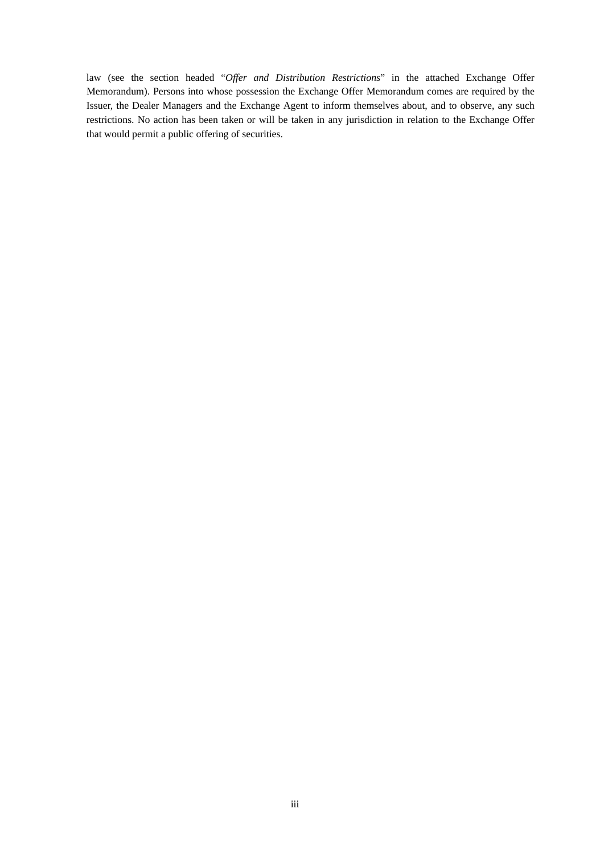law (see the section headed "*Offer and Distribution Restrictions*" in the attached Exchange Offer Memorandum). Persons into whose possession the Exchange Offer Memorandum comes are required by the Issuer, the Dealer Managers and the Exchange Agent to inform themselves about, and to observe, any such restrictions. No action has been taken or will be taken in any jurisdiction in relation to the Exchange Offer that would permit a public offering of securities.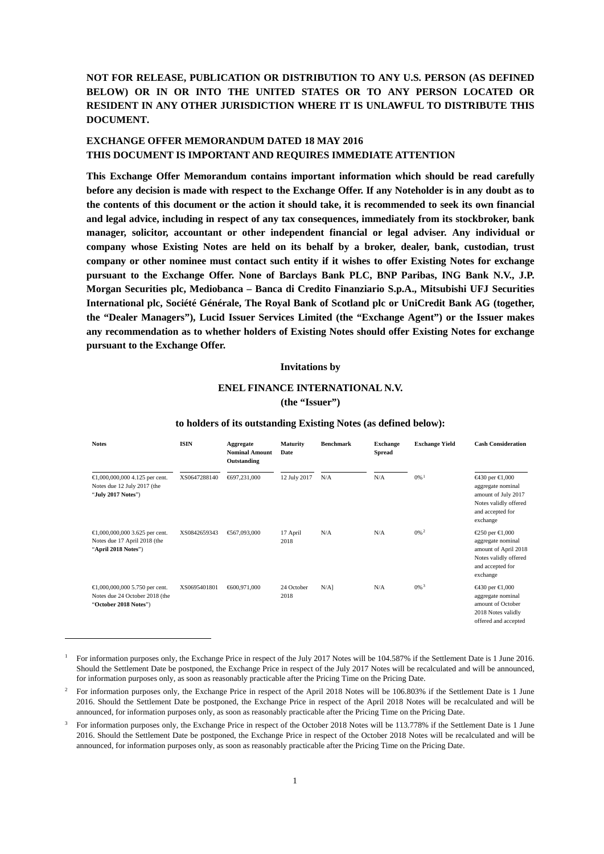**NOT FOR RELEASE, PUBLICATION OR DISTRIBUTION TO ANY U.S. PERSON (AS DEFINED BELOW) OR IN OR INTO THE UNITED STATES OR TO ANY PERSON LOCATED OR RESIDENT IN ANY OTHER JURISDICTION WHERE IT IS UNLAWFUL TO DISTRIBUTE THIS DOCUMENT.**

# **EXCHANGE OFFER MEMORANDUM DATED 18 MAY 2016 THIS DOCUMENT IS IMPORTANT AND REQUIRES IMMEDIATE ATTENTION**

**This Exchange Offer Memorandum contains important information which should be read carefully before any decision is made with respect to the Exchange Offer. If any Noteholder is in any doubt as to the contents of this document or the action it should take, it is recommended to seek its own financial and legal advice, including in respect of any tax consequences, immediately from its stockbroker, bank manager, solicitor, accountant or other independent financial or legal adviser. Any individual or company whose Existing Notes are held on its behalf by a broker, dealer, bank, custodian, trust company or other nominee must contact such entity if it wishes to offer Existing Notes for exchange pursuant to the Exchange Offer. None of Barclays Bank PLC, BNP Paribas, ING Bank N.V., J.P. Morgan Securities plc, Mediobanca – Banca di Credito Finanziario S.p.A., Mitsubishi UFJ Securities International plc, Société Générale, The Royal Bank of Scotland plc or UniCredit Bank AG (together, the "Dealer Managers"), Lucid Issuer Services Limited (the "Exchange Agent") or the Issuer makes any recommendation as to whether holders of Existing Notes should offer Existing Notes for exchange pursuant to the Exchange Offer.**

#### **Invitations by**

# **ENEL FINANCE INTERNATIONAL N.V. (the "Issuer")**

| <b>Notes</b>                                                                              | <b>ISIN</b>  | Aggregate<br><b>Nominal Amount</b><br>Outstanding | <b>Maturity</b><br><b>Date</b> | <b>Benchmark</b> | <b>Exchange</b><br><b>Spread</b> | <b>Exchange Yield</b> | <b>Cash Consideration</b>                                                                                                  |
|-------------------------------------------------------------------------------------------|--------------|---------------------------------------------------|--------------------------------|------------------|----------------------------------|-----------------------|----------------------------------------------------------------------------------------------------------------------------|
| €1,000,000,000 4.125 per cent.<br>Notes due 12 July 2017 (the<br>"July 2017 Notes")       | XS0647288140 | €697,231,000                                      | 12 July 2017                   | N/A              | N/A                              | $0\%$ <sup>1</sup>    | €430 per €1,000<br>aggregate nominal<br>amount of July 2017<br>Notes validly offered<br>and accepted for<br>exchange       |
| €1,000,000,000 3.625 per cent.<br>Notes due 17 April 2018 (the<br>"April 2018 Notes")     | XS0842659343 | €67,093,000                                       | 17 April<br>2018               | N/A              | N/A                              | $0\%$ <sup>2</sup>    | €250 per $\in$ 1,000<br>aggregate nominal<br>amount of April 2018<br>Notes validly offered<br>and accepted for<br>exchange |
| €1,000,000,000 5.750 per cent.<br>Notes due 24 October 2018 (the<br>"October 2018 Notes") | XS0695401801 | €600,971,000                                      | 24 October<br>2018             | $N/A$ ]          | N/A                              | $0\%$ <sup>3</sup>    | €430 per $€1,000$<br>aggregate nominal<br>amount of October<br>2018 Notes validly<br>offered and accepted                  |

#### **to holders of its outstanding Existing Notes (as defined below):**

-

<span id="page-3-0"></span><sup>1</sup> For information purposes only, the Exchange Price in respect of the July 2017 Notes will be 104.587% if the Settlement Date is 1 June 2016. Should the Settlement Date be postponed, the Exchange Price in respect of the July 2017 Notes will be recalculated and will be announced, for information purposes only, as soon as reasonably practicable after the Pricing Time on the Pricing Date.

<span id="page-3-1"></span><sup>&</sup>lt;sup>2</sup> For information purposes only, the Exchange Price in respect of the April 2018 Notes will be 106.803% if the Settlement Date is 1 June 2016. Should the Settlement Date be postponed, the Exchange Price in respect of the April 2018 Notes will be recalculated and will be announced, for information purposes only, as soon as reasonably practicable after the Pricing Time on the Pricing Date.

<span id="page-3-2"></span><sup>3</sup> For information purposes only, the Exchange Price in respect of the October 2018 Notes will be 113.778% if the Settlement Date is 1 June 2016. Should the Settlement Date be postponed, the Exchange Price in respect of the October 2018 Notes will be recalculated and will be announced, for information purposes only, as soon as reasonably practicable after the Pricing Time on the Pricing Date.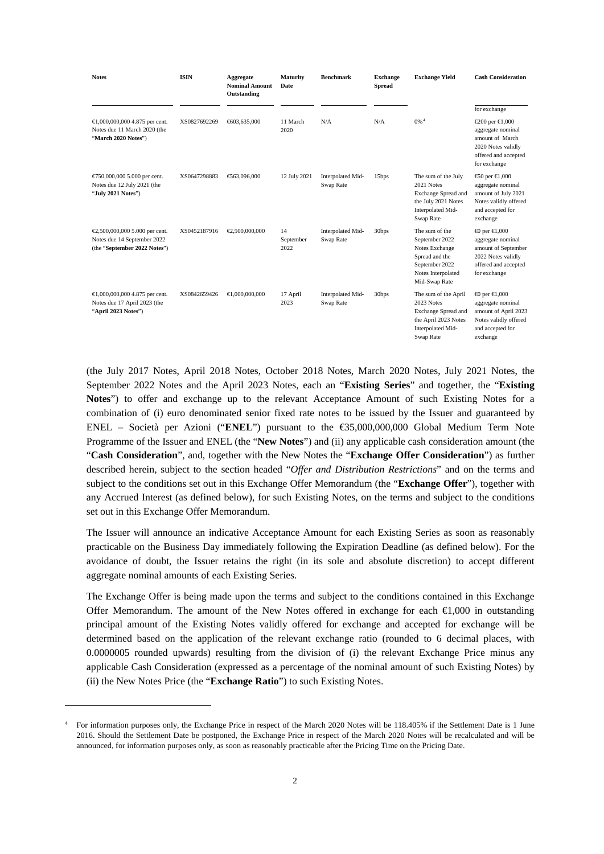| <b>Notes</b>                                                                                  | <b>ISIN</b>  | Aggregate<br><b>Nominal Amount</b><br>Outstanding                     | <b>Maturity</b><br>Date | <b>Benchmark</b>               | <b>Exchange</b><br><b>Spread</b> | <b>Exchange Yield</b>                                                                                                         | <b>Cash Consideration</b>                                                                                                              |
|-----------------------------------------------------------------------------------------------|--------------|-----------------------------------------------------------------------|-------------------------|--------------------------------|----------------------------------|-------------------------------------------------------------------------------------------------------------------------------|----------------------------------------------------------------------------------------------------------------------------------------|
|                                                                                               |              |                                                                       |                         |                                |                                  |                                                                                                                               | for exchange                                                                                                                           |
| €1,000,000,000 4.875 per cent.<br>Notes due 11 March 2020 (the<br>"March 2020 Notes")         | XS0827692269 | €603,635,000                                                          | 11 March<br>2020        | N/A                            | N/A                              | $0\%$ <sup>4</sup>                                                                                                            | €200 per €1,000<br>aggregate nominal<br>amount of March<br>2020 Notes validly<br>offered and accepted<br>for exchange                  |
| €750,000,000 5.000 per cent.<br>Notes due 12 July 2021 (the<br>"July 2021 Notes")             | XS0647298883 | €63,096,000                                                           | 12 July 2021            | Interpolated Mid-<br>Swap Rate | 15bps                            | The sum of the July<br>2021 Notes<br>Exchange Spread and<br>the July 2021 Notes<br>Interpolated Mid-<br>Swap Rate             | $€0$ per €1,000<br>aggregate nominal<br>amount of July 2021<br>Notes validly offered<br>and accepted for<br>exchange                   |
| €2,500,000,000 5.000 per cent.<br>Notes due 14 September 2022<br>(the "September 2022 Notes") | XS0452187916 | $\textcolor{red}{\textbf{\textcolor{blue}{\textbf{6}}}}$ .500,000,000 | 14<br>September<br>2022 | Interpolated Mid-<br>Swap Rate | 30bps                            | The sum of the<br>September 2022<br>Notes Exchange<br>Spread and the<br>September 2022<br>Notes Interpolated<br>Mid-Swap Rate | ⊕ per $∈ 0,000$<br>aggregate nominal<br>amount of September<br>2022 Notes validly<br>offered and accepted<br>for exchange              |
| €1,000,000,000 4.875 per cent.<br>Notes due 17 April 2023 (the<br>"April 2023 Notes")         | XS0842659426 | $-0.000,000,000$                                                      | 17 April<br>2023        | Interpolated Mid-<br>Swap Rate | 30bps                            | The sum of the April<br>2023 Notes<br>Exchange Spread and<br>the April 2023 Notes<br>Interpolated Mid-<br>Swap Rate           | $\bigoplus$ per $\bigoplus$ ,000<br>aggregate nominal<br>amount of April 2023<br>Notes validly offered<br>and accepted for<br>exchange |

(the July 2017 Notes, April 2018 Notes, October 2018 Notes, March 2020 Notes, July 2021 Notes, the September 2022 Notes and the April 2023 Notes, each an "**Existing Series**" and together, the "**Existing Notes**") to offer and exchange up to the relevant Acceptance Amount of such Existing Notes for a combination of (i) euro denominated senior fixed rate notes to be issued by the Issuer and guaranteed by ENEL – Società per Azioni ("**ENEL**") pursuant to the €35,000,000,000 Global Medium Term Note Programme of the Issuer and ENEL (the "**New Notes**") and (ii) any applicable cash consideration amount (the "**Cash Consideration**", and, together with the New Notes the "**Exchange Offer Consideration**") as further described herein, subject to the section headed "*Offer and Distribution Restrictions*" and on the terms and subject to the conditions set out in this Exchange Offer Memorandum (the "**Exchange Offer**"), together with any Accrued Interest (as defined below), for such Existing Notes, on the terms and subject to the conditions set out in this Exchange Offer Memorandum.

The Issuer will announce an indicative Acceptance Amount for each Existing Series as soon as reasonably practicable on the Business Day immediately following the Expiration Deadline (as defined below). For the avoidance of doubt, the Issuer retains the right (in its sole and absolute discretion) to accept different aggregate nominal amounts of each Existing Series.

The Exchange Offer is being made upon the terms and subject to the conditions contained in this Exchange Offer Memorandum. The amount of the New Notes offered in exchange for each €1,000 in outstanding principal amount of the Existing Notes validly offered for exchange and accepted for exchange will be determined based on the application of the relevant exchange ratio (rounded to 6 decimal places, with 0.0000005 rounded upwards) resulting from the division of (i) the relevant Exchange Price minus any applicable Cash Consideration (expressed as a percentage of the nominal amount of such Existing Notes) by (ii) the New Notes Price (the "**Exchange Ratio**") to such Existing Notes.

-

<span id="page-4-0"></span><sup>4</sup> For information purposes only, the Exchange Price in respect of the March 2020 Notes will be 118.405% if the Settlement Date is 1 June 2016. Should the Settlement Date be postponed, the Exchange Price in respect of the March 2020 Notes will be recalculated and will be announced, for information purposes only, as soon as reasonably practicable after the Pricing Time on the Pricing Date.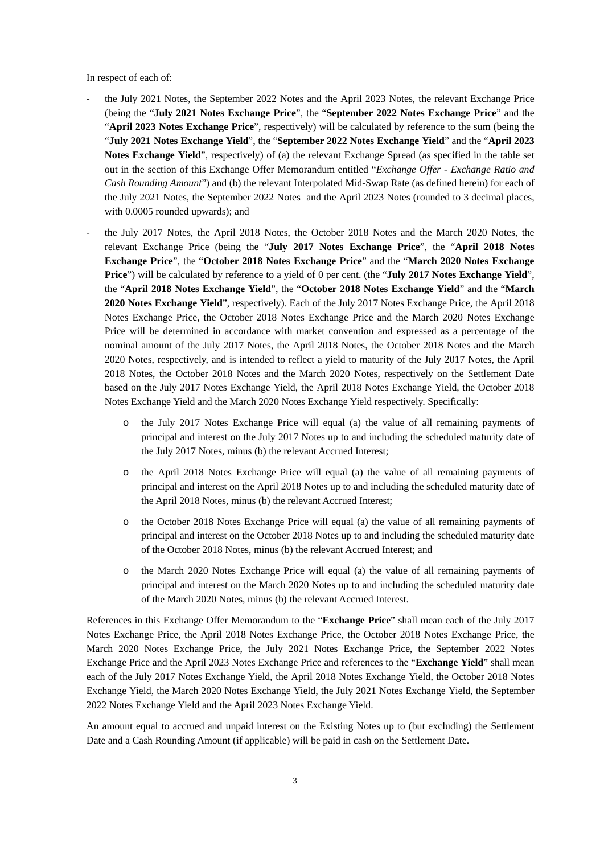In respect of each of:

- the July 2021 Notes, the September 2022 Notes and the April 2023 Notes, the relevant Exchange Price (being the "**July 2021 Notes Exchange Price**", the "**September 2022 Notes Exchange Price**" and the "**April 2023 Notes Exchange Price**", respectively) will be calculated by reference to the sum (being the "**July 2021 Notes Exchange Yield**", the "**September 2022 Notes Exchange Yield**" and the "**April 2023 Notes Exchange Yield**", respectively) of (a) the relevant Exchange Spread (as specified in the table set out in the section of this Exchange Offer Memorandum entitled "*Exchange Offer - Exchange Ratio and Cash Rounding Amount*") and (b) the relevant Interpolated Mid-Swap Rate (as defined herein) for each of the July 2021 Notes, the September 2022 Notes and the April 2023 Notes (rounded to 3 decimal places, with 0.0005 rounded upwards); and
- the July 2017 Notes, the April 2018 Notes, the October 2018 Notes and the March 2020 Notes, the relevant Exchange Price (being the "**July 2017 Notes Exchange Price**", the "**April 2018 Notes Exchange Price**", the "**October 2018 Notes Exchange Price**" and the "**March 2020 Notes Exchange Price**") will be calculated by reference to a yield of 0 per cent. (the "**July 2017 Notes Exchange Yield**", the "**April 2018 Notes Exchange Yield**", the "**October 2018 Notes Exchange Yield**" and the "**March 2020 Notes Exchange Yield**", respectively). Each of the July 2017 Notes Exchange Price, the April 2018 Notes Exchange Price, the October 2018 Notes Exchange Price and the March 2020 Notes Exchange Price will be determined in accordance with market convention and expressed as a percentage of the nominal amount of the July 2017 Notes, the April 2018 Notes, the October 2018 Notes and the March 2020 Notes, respectively, and is intended to reflect a yield to maturity of the July 2017 Notes, the April 2018 Notes, the October 2018 Notes and the March 2020 Notes, respectively on the Settlement Date based on the July 2017 Notes Exchange Yield, the April 2018 Notes Exchange Yield, the October 2018 Notes Exchange Yield and the March 2020 Notes Exchange Yield respectively. Specifically:
	- the July 2017 Notes Exchange Price will equal (a) the value of all remaining payments of principal and interest on the July 2017 Notes up to and including the scheduled maturity date of the July 2017 Notes, minus (b) the relevant Accrued Interest;
	- o the April 2018 Notes Exchange Price will equal (a) the value of all remaining payments of principal and interest on the April 2018 Notes up to and including the scheduled maturity date of the April 2018 Notes, minus (b) the relevant Accrued Interest;
	- o the October 2018 Notes Exchange Price will equal (a) the value of all remaining payments of principal and interest on the October 2018 Notes up to and including the scheduled maturity date of the October 2018 Notes, minus (b) the relevant Accrued Interest; and
	- o the March 2020 Notes Exchange Price will equal (a) the value of all remaining payments of principal and interest on the March 2020 Notes up to and including the scheduled maturity date of the March 2020 Notes, minus (b) the relevant Accrued Interest.

References in this Exchange Offer Memorandum to the "**Exchange Price**" shall mean each of the July 2017 Notes Exchange Price, the April 2018 Notes Exchange Price, the October 2018 Notes Exchange Price, the March 2020 Notes Exchange Price, the July 2021 Notes Exchange Price, the September 2022 Notes Exchange Price and the April 2023 Notes Exchange Price and references to the "**Exchange Yield**" shall mean each of the July 2017 Notes Exchange Yield, the April 2018 Notes Exchange Yield, the October 2018 Notes Exchange Yield, the March 2020 Notes Exchange Yield, the July 2021 Notes Exchange Yield, the September 2022 Notes Exchange Yield and the April 2023 Notes Exchange Yield.

An amount equal to accrued and unpaid interest on the Existing Notes up to (but excluding) the Settlement Date and a Cash Rounding Amount (if applicable) will be paid in cash on the Settlement Date.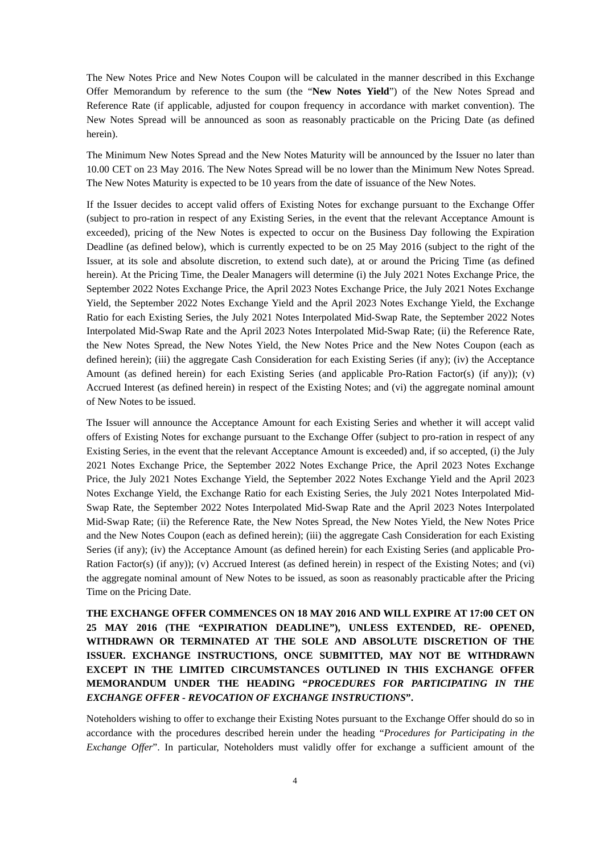The New Notes Price and New Notes Coupon will be calculated in the manner described in this Exchange Offer Memorandum by reference to the sum (the "**New Notes Yield**") of the New Notes Spread and Reference Rate (if applicable, adjusted for coupon frequency in accordance with market convention). The New Notes Spread will be announced as soon as reasonably practicable on the Pricing Date (as defined herein).

The Minimum New Notes Spread and the New Notes Maturity will be announced by the Issuer no later than 10.00 CET on 23 May 2016. The New Notes Spread will be no lower than the Minimum New Notes Spread. The New Notes Maturity is expected to be 10 years from the date of issuance of the New Notes.

If the Issuer decides to accept valid offers of Existing Notes for exchange pursuant to the Exchange Offer (subject to pro-ration in respect of any Existing Series, in the event that the relevant Acceptance Amount is exceeded), pricing of the New Notes is expected to occur on the Business Day following the Expiration Deadline (as defined below), which is currently expected to be on 25 May 2016 (subject to the right of the Issuer, at its sole and absolute discretion, to extend such date), at or around the Pricing Time (as defined herein). At the Pricing Time, the Dealer Managers will determine (i) the July 2021 Notes Exchange Price, the September 2022 Notes Exchange Price, the April 2023 Notes Exchange Price, the July 2021 Notes Exchange Yield, the September 2022 Notes Exchange Yield and the April 2023 Notes Exchange Yield, the Exchange Ratio for each Existing Series, the July 2021 Notes Interpolated Mid-Swap Rate, the September 2022 Notes Interpolated Mid-Swap Rate and the April 2023 Notes Interpolated Mid-Swap Rate; (ii) the Reference Rate, the New Notes Spread, the New Notes Yield, the New Notes Price and the New Notes Coupon (each as defined herein); (iii) the aggregate Cash Consideration for each Existing Series (if any); (iv) the Acceptance Amount (as defined herein) for each Existing Series (and applicable Pro-Ration Factor(s) (if any)); (v) Accrued Interest (as defined herein) in respect of the Existing Notes; and (vi) the aggregate nominal amount of New Notes to be issued.

The Issuer will announce the Acceptance Amount for each Existing Series and whether it will accept valid offers of Existing Notes for exchange pursuant to the Exchange Offer (subject to pro-ration in respect of any Existing Series, in the event that the relevant Acceptance Amount is exceeded) and, if so accepted, (i) the July 2021 Notes Exchange Price, the September 2022 Notes Exchange Price, the April 2023 Notes Exchange Price, the July 2021 Notes Exchange Yield, the September 2022 Notes Exchange Yield and the April 2023 Notes Exchange Yield, the Exchange Ratio for each Existing Series, the July 2021 Notes Interpolated Mid-Swap Rate, the September 2022 Notes Interpolated Mid-Swap Rate and the April 2023 Notes Interpolated Mid-Swap Rate; (ii) the Reference Rate, the New Notes Spread, the New Notes Yield, the New Notes Price and the New Notes Coupon (each as defined herein); (iii) the aggregate Cash Consideration for each Existing Series (if any); (iv) the Acceptance Amount (as defined herein) for each Existing Series (and applicable Pro-Ration Factor(s) (if any)); (v) Accrued Interest (as defined herein) in respect of the Existing Notes; and (vi) the aggregate nominal amount of New Notes to be issued, as soon as reasonably practicable after the Pricing Time on the Pricing Date.

**THE EXCHANGE OFFER COMMENCES ON 18 MAY 2016 AND WILL EXPIRE AT 17:00 CET ON 25 MAY 2016 (THE "EXPIRATION DEADLINE"), UNLESS EXTENDED, RE- OPENED, WITHDRAWN OR TERMINATED AT THE SOLE AND ABSOLUTE DISCRETION OF THE ISSUER. EXCHANGE INSTRUCTIONS, ONCE SUBMITTED, MAY NOT BE WITHDRAWN EXCEPT IN THE LIMITED CIRCUMSTANCES OUTLINED IN THIS EXCHANGE OFFER MEMORANDUM UNDER THE HEADING "***PROCEDURES FOR PARTICIPATING IN THE EXCHANGE OFFER - REVOCATION OF EXCHANGE INSTRUCTIONS***".**

Noteholders wishing to offer to exchange their Existing Notes pursuant to the Exchange Offer should do so in accordance with the procedures described herein under the heading "*Procedures for Participating in the Exchange Offer*". In particular, Noteholders must validly offer for exchange a sufficient amount of the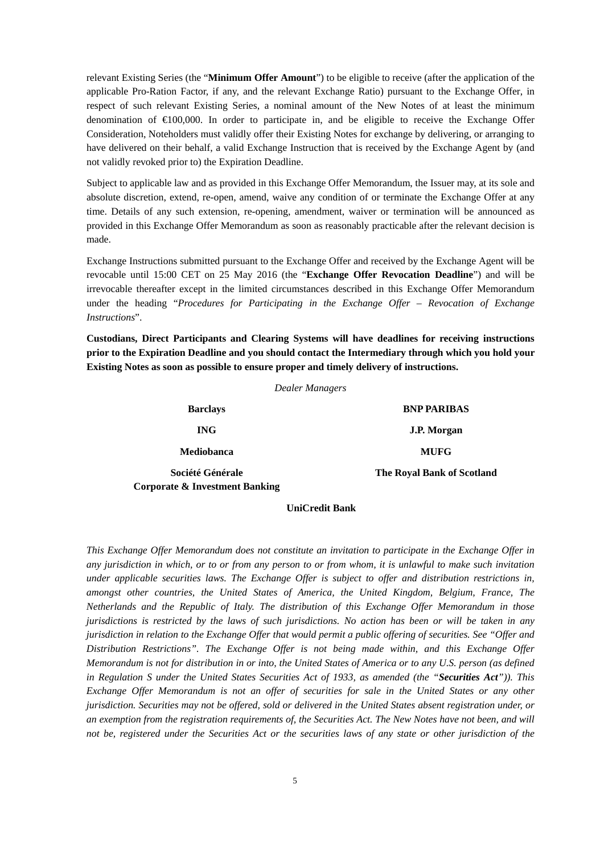relevant Existing Series (the "**Minimum Offer Amount**") to be eligible to receive (after the application of the applicable Pro-Ration Factor, if any, and the relevant Exchange Ratio) pursuant to the Exchange Offer, in respect of such relevant Existing Series, a nominal amount of the New Notes of at least the minimum denomination of  $\epsilon 100,000$ . In order to participate in, and be eligible to receive the Exchange Offer Consideration, Noteholders must validly offer their Existing Notes for exchange by delivering, or arranging to have delivered on their behalf, a valid Exchange Instruction that is received by the Exchange Agent by (and not validly revoked prior to) the Expiration Deadline.

Subject to applicable law and as provided in this Exchange Offer Memorandum, the Issuer may, at its sole and absolute discretion, extend, re-open, amend, waive any condition of or terminate the Exchange Offer at any time. Details of any such extension, re-opening, amendment, waiver or termination will be announced as provided in this Exchange Offer Memorandum as soon as reasonably practicable after the relevant decision is made.

Exchange Instructions submitted pursuant to the Exchange Offer and received by the Exchange Agent will be revocable until 15:00 CET on 25 May 2016 (the "**Exchange Offer Revocation Deadline**") and will be irrevocable thereafter except in the limited circumstances described in this Exchange Offer Memorandum under the heading "*Procedures for Participating in the Exchange Offer – Revocation of Exchange Instructions*".

**Custodians, Direct Participants and Clearing Systems will have deadlines for receiving instructions prior to the Expiration Deadline and you should contact the Intermediary through which you hold your Existing Notes as soon as possible to ensure proper and timely delivery of instructions.**

*Dealer Managers*

| <b>Barclays</b>                | <b>BNP PARIBAS</b>                |
|--------------------------------|-----------------------------------|
| <b>ING</b>                     | J.P. Morgan                       |
| <b>Mediobanca</b>              | <b>MUFG</b>                       |
| Société Générale               | <b>The Royal Bank of Scotland</b> |
| Corporate & Investment Banking |                                   |

# **UniCredit Bank**

*This Exchange Offer Memorandum does not constitute an invitation to participate in the Exchange Offer in any jurisdiction in which, or to or from any person to or from whom, it is unlawful to make such invitation under applicable securities laws. The Exchange Offer is subject to offer and distribution restrictions in, amongst other countries, the United States of America, the United Kingdom, Belgium, France, The Netherlands and the Republic of Italy. The distribution of this Exchange Offer Memorandum in those jurisdictions is restricted by the laws of such jurisdictions. No action has been or will be taken in any jurisdiction in relation to the Exchange Offer that would permit a public offering of securities. See "Offer and Distribution Restrictions". The Exchange Offer is not being made within, and this Exchange Offer Memorandum is not for distribution in or into, the United States of America or to any U.S. person (as defined in Regulation S under the United States Securities Act of 1933, as amended (the "Securities Act")). This Exchange Offer Memorandum is not an offer of securities for sale in the United States or any other jurisdiction. Securities may not be offered, sold or delivered in the United States absent registration under, or an exemption from the registration requirements of, the Securities Act. The New Notes have not been, and will not be, registered under the Securities Act or the securities laws of any state or other jurisdiction of the*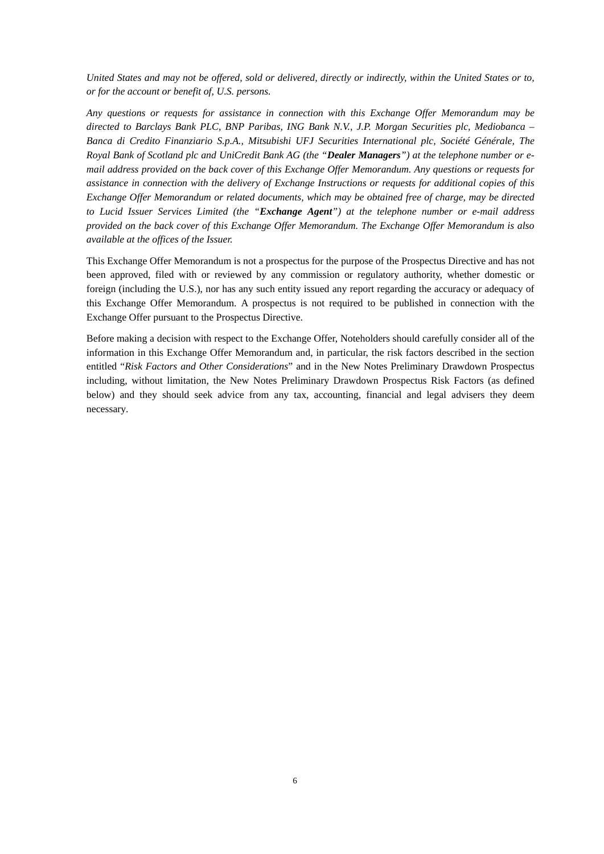*United States and may not be offered, sold or delivered, directly or indirectly, within the United States or to, or for the account or benefit of, U.S. persons.*

*Any questions or requests for assistance in connection with this Exchange Offer Memorandum may be directed to Barclays Bank PLC, BNP Paribas, ING Bank N.V., J.P. Morgan Securities plc, Mediobanca – Banca di Credito Finanziario S.p.A., Mitsubishi UFJ Securities International plc, Société Générale, The Royal Bank of Scotland plc and UniCredit Bank AG (the "Dealer Managers") at the telephone number or email address provided on the back cover of this Exchange Offer Memorandum. Any questions or requests for assistance in connection with the delivery of Exchange Instructions or requests for additional copies of this Exchange Offer Memorandum or related documents, which may be obtained free of charge, may be directed to Lucid Issuer Services Limited (the "Exchange Agent") at the telephone number or e-mail address provided on the back cover of this Exchange Offer Memorandum. The Exchange Offer Memorandum is also available at the offices of the Issuer.*

This Exchange Offer Memorandum is not a prospectus for the purpose of the Prospectus Directive and has not been approved, filed with or reviewed by any commission or regulatory authority, whether domestic or foreign (including the U.S.), nor has any such entity issued any report regarding the accuracy or adequacy of this Exchange Offer Memorandum. A prospectus is not required to be published in connection with the Exchange Offer pursuant to the Prospectus Directive.

Before making a decision with respect to the Exchange Offer, Noteholders should carefully consider all of the information in this Exchange Offer Memorandum and, in particular, the risk factors described in the section entitled "*Risk Factors and Other Considerations*" and in the New Notes Preliminary Drawdown Prospectus including, without limitation, the New Notes Preliminary Drawdown Prospectus Risk Factors (as defined below) and they should seek advice from any tax, accounting, financial and legal advisers they deem necessary.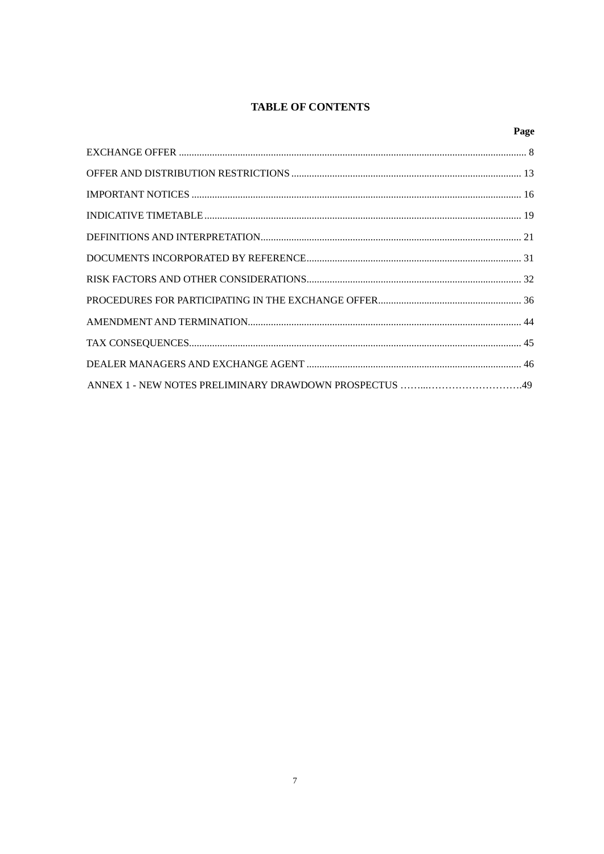# **TABLE OF CONTENTS**

# Page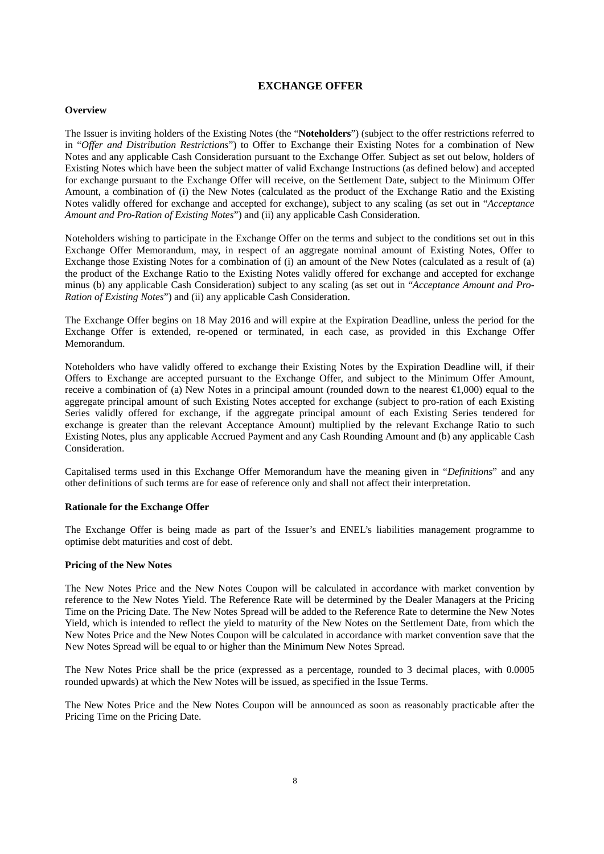# **EXCHANGE OFFER**

#### **Overview**

The Issuer is inviting holders of the Existing Notes (the "**Noteholders**") (subject to the offer restrictions referred to in "*Offer and Distribution Restrictions*") to Offer to Exchange their Existing Notes for a combination of New Notes and any applicable Cash Consideration pursuant to the Exchange Offer. Subject as set out below, holders of Existing Notes which have been the subject matter of valid Exchange Instructions (as defined below) and accepted for exchange pursuant to the Exchange Offer will receive, on the Settlement Date, subject to the Minimum Offer Amount, a combination of (i) the New Notes (calculated as the product of the Exchange Ratio and the Existing Notes validly offered for exchange and accepted for exchange), subject to any scaling (as set out in "*Acceptance Amount and Pro-Ration of Existing Notes*") and (ii) any applicable Cash Consideration.

Noteholders wishing to participate in the Exchange Offer on the terms and subject to the conditions set out in this Exchange Offer Memorandum, may, in respect of an aggregate nominal amount of Existing Notes, Offer to Exchange those Existing Notes for a combination of (i) an amount of the New Notes (calculated as a result of (a) the product of the Exchange Ratio to the Existing Notes validly offered for exchange and accepted for exchange minus (b) any applicable Cash Consideration) subject to any scaling (as set out in "*Acceptance Amount and Pro-Ration of Existing Notes*") and (ii) any applicable Cash Consideration.

The Exchange Offer begins on 18 May 2016 and will expire at the Expiration Deadline, unless the period for the Exchange Offer is extended, re-opened or terminated, in each case, as provided in this Exchange Offer Memorandum.

Noteholders who have validly offered to exchange their Existing Notes by the Expiration Deadline will, if their Offers to Exchange are accepted pursuant to the Exchange Offer, and subject to the Minimum Offer Amount, receive a combination of (a) New Notes in a principal amount (rounded down to the nearest €1,000) equal to the aggregate principal amount of such Existing Notes accepted for exchange (subject to pro-ration of each Existing Series validly offered for exchange, if the aggregate principal amount of each Existing Series tendered for exchange is greater than the relevant Acceptance Amount) multiplied by the relevant Exchange Ratio to such Existing Notes, plus any applicable Accrued Payment and any Cash Rounding Amount and (b) any applicable Cash Consideration.

Capitalised terms used in this Exchange Offer Memorandum have the meaning given in "*Definitions*" and any other definitions of such terms are for ease of reference only and shall not affect their interpretation.

### **Rationale for the Exchange Offer**

The Exchange Offer is being made as part of the Issuer's and ENEL's liabilities management programme to optimise debt maturities and cost of debt.

#### **Pricing of the New Notes**

The New Notes Price and the New Notes Coupon will be calculated in accordance with market convention by reference to the New Notes Yield. The Reference Rate will be determined by the Dealer Managers at the Pricing Time on the Pricing Date. The New Notes Spread will be added to the Reference Rate to determine the New Notes Yield, which is intended to reflect the yield to maturity of the New Notes on the Settlement Date, from which the New Notes Price and the New Notes Coupon will be calculated in accordance with market convention save that the New Notes Spread will be equal to or higher than the Minimum New Notes Spread.

The New Notes Price shall be the price (expressed as a percentage, rounded to 3 decimal places, with 0.0005 rounded upwards) at which the New Notes will be issued, as specified in the Issue Terms.

The New Notes Price and the New Notes Coupon will be announced as soon as reasonably practicable after the Pricing Time on the Pricing Date.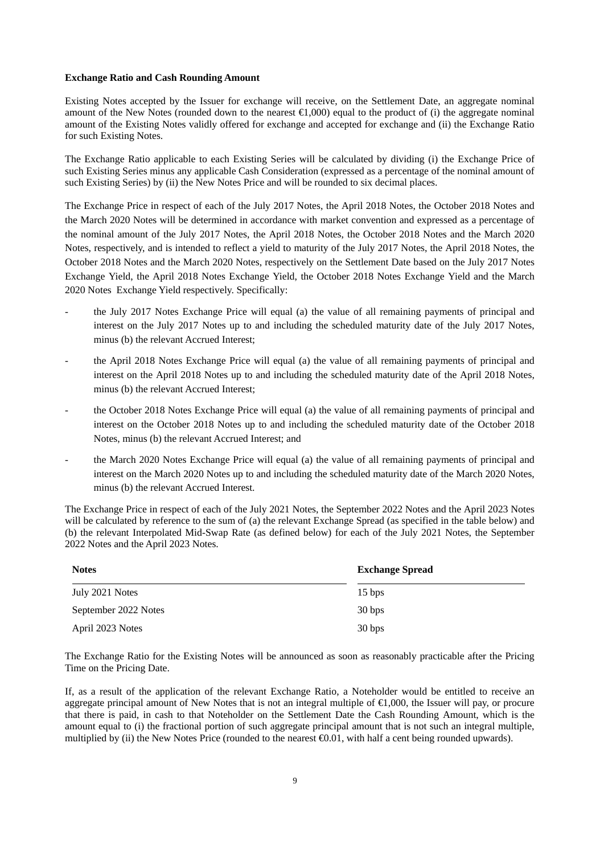#### **Exchange Ratio and Cash Rounding Amount**

Existing Notes accepted by the Issuer for exchange will receive, on the Settlement Date, an aggregate nominal amount of the New Notes (rounded down to the nearest  $\bigoplus$ , 000) equal to the product of (i) the aggregate nominal amount of the Existing Notes validly offered for exchange and accepted for exchange and (ii) the Exchange Ratio for such Existing Notes.

The Exchange Ratio applicable to each Existing Series will be calculated by dividing (i) the Exchange Price of such Existing Series minus any applicable Cash Consideration (expressed as a percentage of the nominal amount of such Existing Series) by (ii) the New Notes Price and will be rounded to six decimal places.

The Exchange Price in respect of each of the July 2017 Notes, the April 2018 Notes, the October 2018 Notes and the March 2020 Notes will be determined in accordance with market convention and expressed as a percentage of the nominal amount of the July 2017 Notes, the April 2018 Notes, the October 2018 Notes and the March 2020 Notes, respectively, and is intended to reflect a yield to maturity of the July 2017 Notes, the April 2018 Notes, the October 2018 Notes and the March 2020 Notes, respectively on the Settlement Date based on the July 2017 Notes Exchange Yield, the April 2018 Notes Exchange Yield, the October 2018 Notes Exchange Yield and the March 2020 Notes Exchange Yield respectively. Specifically:

- the July 2017 Notes Exchange Price will equal (a) the value of all remaining payments of principal and interest on the July 2017 Notes up to and including the scheduled maturity date of the July 2017 Notes, minus (b) the relevant Accrued Interest;
- the April 2018 Notes Exchange Price will equal (a) the value of all remaining payments of principal and interest on the April 2018 Notes up to and including the scheduled maturity date of the April 2018 Notes, minus (b) the relevant Accrued Interest;
- the October 2018 Notes Exchange Price will equal (a) the value of all remaining payments of principal and interest on the October 2018 Notes up to and including the scheduled maturity date of the October 2018 Notes, minus (b) the relevant Accrued Interest; and
- the March 2020 Notes Exchange Price will equal (a) the value of all remaining payments of principal and interest on the March 2020 Notes up to and including the scheduled maturity date of the March 2020 Notes, minus (b) the relevant Accrued Interest.

The Exchange Price in respect of each of the July 2021 Notes, the September 2022 Notes and the April 2023 Notes will be calculated by reference to the sum of (a) the relevant Exchange Spread (as specified in the table below) and (b) the relevant Interpolated Mid-Swap Rate (as defined below) for each of the July 2021 Notes, the September 2022 Notes and the April 2023 Notes.

| <b>Notes</b>         | <b>Exchange Spread</b> |
|----------------------|------------------------|
| July 2021 Notes      | $15 \text{ bps}$       |
| September 2022 Notes | 30 bps                 |
| April 2023 Notes     | 30 <sub>bps</sub>      |

The Exchange Ratio for the Existing Notes will be announced as soon as reasonably practicable after the Pricing Time on the Pricing Date.

If, as a result of the application of the relevant Exchange Ratio, a Noteholder would be entitled to receive an aggregate principal amount of New Notes that is not an integral multiple of €1,000, the Issuer will pay, or procure that there is paid, in cash to that Noteholder on the Settlement Date the Cash Rounding Amount, which is the amount equal to (i) the fractional portion of such aggregate principal amount that is not such an integral multiple, multiplied by (ii) the New Notes Price (rounded to the nearest  $\Theta$ .01, with half a cent being rounded upwards).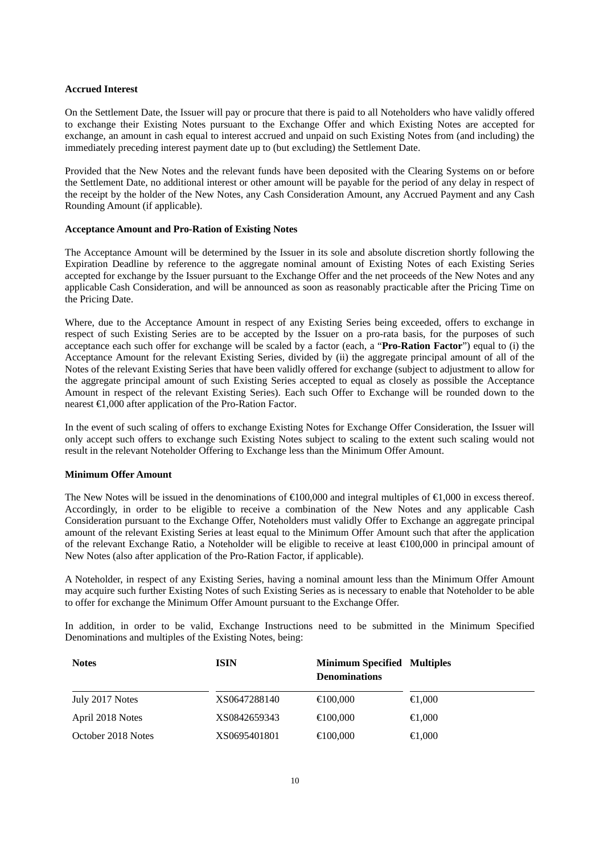### **Accrued Interest**

On the Settlement Date, the Issuer will pay or procure that there is paid to all Noteholders who have validly offered to exchange their Existing Notes pursuant to the Exchange Offer and which Existing Notes are accepted for exchange, an amount in cash equal to interest accrued and unpaid on such Existing Notes from (and including) the immediately preceding interest payment date up to (but excluding) the Settlement Date.

Provided that the New Notes and the relevant funds have been deposited with the Clearing Systems on or before the Settlement Date, no additional interest or other amount will be payable for the period of any delay in respect of the receipt by the holder of the New Notes, any Cash Consideration Amount, any Accrued Payment and any Cash Rounding Amount (if applicable).

### **Acceptance Amount and Pro-Ration of Existing Notes**

The Acceptance Amount will be determined by the Issuer in its sole and absolute discretion shortly following the Expiration Deadline by reference to the aggregate nominal amount of Existing Notes of each Existing Series accepted for exchange by the Issuer pursuant to the Exchange Offer and the net proceeds of the New Notes and any applicable Cash Consideration, and will be announced as soon as reasonably practicable after the Pricing Time on the Pricing Date.

Where, due to the Acceptance Amount in respect of any Existing Series being exceeded, offers to exchange in respect of such Existing Series are to be accepted by the Issuer on a pro-rata basis, for the purposes of such acceptance each such offer for exchange will be scaled by a factor (each, a "**Pro-Ration Factor**") equal to (i) the Acceptance Amount for the relevant Existing Series, divided by (ii) the aggregate principal amount of all of the Notes of the relevant Existing Series that have been validly offered for exchange (subject to adjustment to allow for the aggregate principal amount of such Existing Series accepted to equal as closely as possible the Acceptance Amount in respect of the relevant Existing Series). Each such Offer to Exchange will be rounded down to the nearest €1,000 after application of the Pro-Ration Factor.

In the event of such scaling of offers to exchange Existing Notes for Exchange Offer Consideration, the Issuer will only accept such offers to exchange such Existing Notes subject to scaling to the extent such scaling would not result in the relevant Noteholder Offering to Exchange less than the Minimum Offer Amount.

### **Minimum Offer Amount**

The New Notes will be issued in the denominations of  $\bigoplus$  00,000 and integral multiples of  $\bigoplus$ ,000 in excess thereof. Accordingly, in order to be eligible to receive a combination of the New Notes and any applicable Cash Consideration pursuant to the Exchange Offer, Noteholders must validly Offer to Exchange an aggregate principal amount of the relevant Existing Series at least equal to the Minimum Offer Amount such that after the application of the relevant Exchange Ratio, a Noteholder will be eligible to receive at least €100,000 in principal amount of New Notes (also after application of the Pro-Ration Factor, if applicable).

A Noteholder, in respect of any Existing Series, having a nominal amount less than the Minimum Offer Amount may acquire such further Existing Notes of such Existing Series as is necessary to enable that Noteholder to be able to offer for exchange the Minimum Offer Amount pursuant to the Exchange Offer.

In addition, in order to be valid, Exchange Instructions need to be submitted in the Minimum Specified Denominations and multiples of the Existing Notes, being:

| <b>Notes</b>       | <b>ISIN</b>  | <b>Minimum Specified Multiples</b><br><b>Denominations</b> |                  |
|--------------------|--------------|------------------------------------------------------------|------------------|
| July 2017 Notes    | XS0647288140 | $\bigoplus 00,000$                                         | $\epsilon 0.000$ |
| April 2018 Notes   | XS0842659343 | $\bigoplus$ 00.000                                         | $\bigoplus$ ,000 |
| October 2018 Notes | XS0695401801 | $\bigoplus 00,000$                                         | $\bigoplus$ ,000 |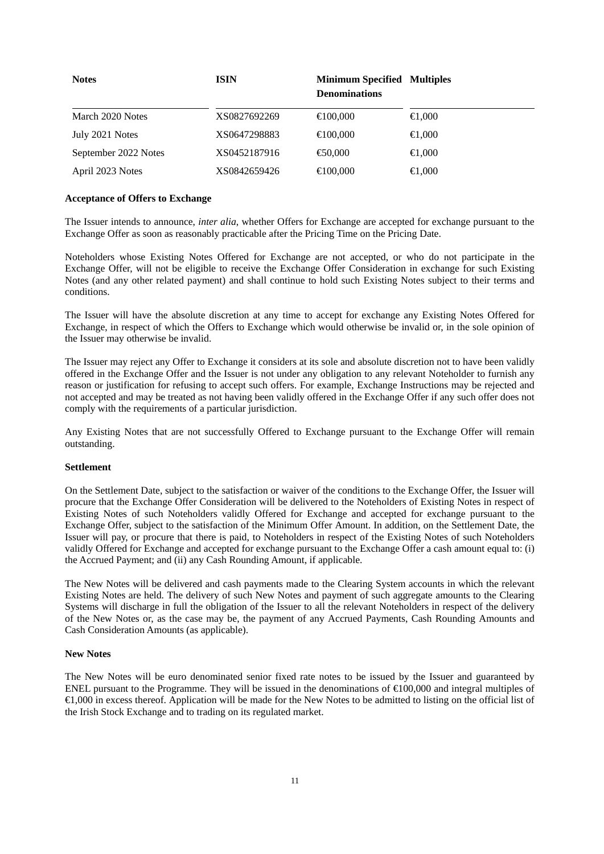| <b>Notes</b>         | <b>ISIN</b>  | <b>Minimum Specified Multiples</b><br><b>Denominations</b> |                  |
|----------------------|--------------|------------------------------------------------------------|------------------|
| March 2020 Notes     | XS0827692269 | $\bigoplus$ 00,000                                         | $\bigoplus$ ,000 |
| July 2021 Notes      | XS0647298883 | $\bigoplus$ 00,000                                         | $\bigoplus$ ,000 |
| September 2022 Notes | XS0452187916 | $\bigoplus$ 0.000                                          | $\bigoplus$ ,000 |
| April 2023 Notes     | XS0842659426 | $\bigoplus$ 00,000                                         | $\bigoplus$ ,000 |

### **Acceptance of Offers to Exchange**

The Issuer intends to announce, *inter alia*, whether Offers for Exchange are accepted for exchange pursuant to the Exchange Offer as soon as reasonably practicable after the Pricing Time on the Pricing Date.

Noteholders whose Existing Notes Offered for Exchange are not accepted, or who do not participate in the Exchange Offer, will not be eligible to receive the Exchange Offer Consideration in exchange for such Existing Notes (and any other related payment) and shall continue to hold such Existing Notes subject to their terms and conditions.

The Issuer will have the absolute discretion at any time to accept for exchange any Existing Notes Offered for Exchange, in respect of which the Offers to Exchange which would otherwise be invalid or, in the sole opinion of the Issuer may otherwise be invalid.

The Issuer may reject any Offer to Exchange it considers at its sole and absolute discretion not to have been validly offered in the Exchange Offer and the Issuer is not under any obligation to any relevant Noteholder to furnish any reason or justification for refusing to accept such offers. For example, Exchange Instructions may be rejected and not accepted and may be treated as not having been validly offered in the Exchange Offer if any such offer does not comply with the requirements of a particular jurisdiction.

Any Existing Notes that are not successfully Offered to Exchange pursuant to the Exchange Offer will remain outstanding.

### **Settlement**

On the Settlement Date, subject to the satisfaction or waiver of the conditions to the Exchange Offer, the Issuer will procure that the Exchange Offer Consideration will be delivered to the Noteholders of Existing Notes in respect of Existing Notes of such Noteholders validly Offered for Exchange and accepted for exchange pursuant to the Exchange Offer, subject to the satisfaction of the Minimum Offer Amount. In addition, on the Settlement Date, the Issuer will pay, or procure that there is paid, to Noteholders in respect of the Existing Notes of such Noteholders validly Offered for Exchange and accepted for exchange pursuant to the Exchange Offer a cash amount equal to: (i) the Accrued Payment; and (ii) any Cash Rounding Amount, if applicable.

The New Notes will be delivered and cash payments made to the Clearing System accounts in which the relevant Existing Notes are held. The delivery of such New Notes and payment of such aggregate amounts to the Clearing Systems will discharge in full the obligation of the Issuer to all the relevant Noteholders in respect of the delivery of the New Notes or, as the case may be, the payment of any Accrued Payments, Cash Rounding Amounts and Cash Consideration Amounts (as applicable).

#### **New Notes**

The New Notes will be euro denominated senior fixed rate notes to be issued by the Issuer and guaranteed by ENEL pursuant to the Programme. They will be issued in the denominations of €100,000 and integral multiples of €1,000 in excess thereof. Application will be made for the New Notes to be admitted to listing on the official list of the Irish Stock Exchange and to trading on its regulated market.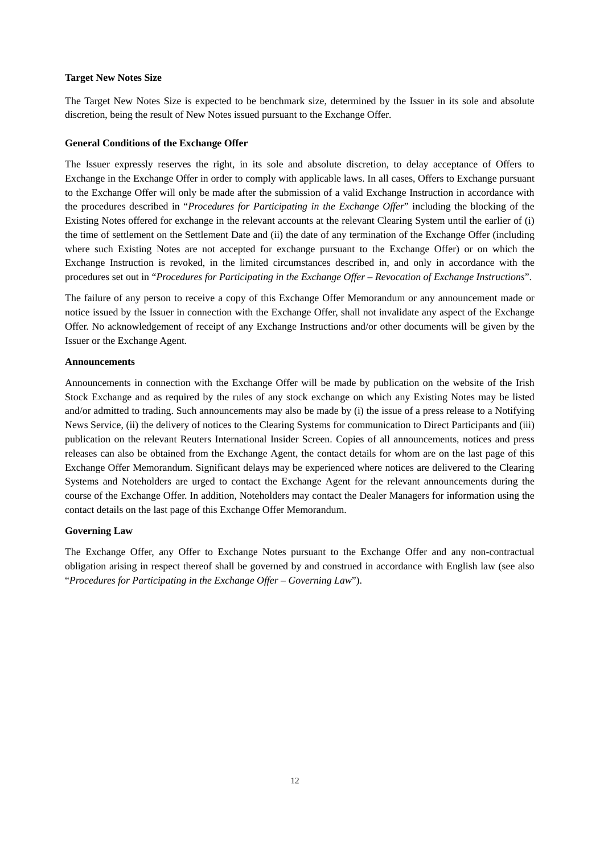### **Target New Notes Size**

The Target New Notes Size is expected to be benchmark size, determined by the Issuer in its sole and absolute discretion, being the result of New Notes issued pursuant to the Exchange Offer.

# **General Conditions of the Exchange Offer**

The Issuer expressly reserves the right, in its sole and absolute discretion, to delay acceptance of Offers to Exchange in the Exchange Offer in order to comply with applicable laws. In all cases, Offers to Exchange pursuant to the Exchange Offer will only be made after the submission of a valid Exchange Instruction in accordance with the procedures described in "*Procedures for Participating in the Exchange Offer*" including the blocking of the Existing Notes offered for exchange in the relevant accounts at the relevant Clearing System until the earlier of (i) the time of settlement on the Settlement Date and (ii) the date of any termination of the Exchange Offer (including where such Existing Notes are not accepted for exchange pursuant to the Exchange Offer) or on which the Exchange Instruction is revoked, in the limited circumstances described in, and only in accordance with the procedures set out in "*Procedures for Participating in the Exchange Offer – Revocation of Exchange Instructions*".

The failure of any person to receive a copy of this Exchange Offer Memorandum or any announcement made or notice issued by the Issuer in connection with the Exchange Offer, shall not invalidate any aspect of the Exchange Offer. No acknowledgement of receipt of any Exchange Instructions and/or other documents will be given by the Issuer or the Exchange Agent.

### **Announcements**

Announcements in connection with the Exchange Offer will be made by publication on the website of the Irish Stock Exchange and as required by the rules of any stock exchange on which any Existing Notes may be listed and/or admitted to trading. Such announcements may also be made by (i) the issue of a press release to a Notifying News Service, (ii) the delivery of notices to the Clearing Systems for communication to Direct Participants and (iii) publication on the relevant Reuters International Insider Screen. Copies of all announcements, notices and press releases can also be obtained from the Exchange Agent, the contact details for whom are on the last page of this Exchange Offer Memorandum. Significant delays may be experienced where notices are delivered to the Clearing Systems and Noteholders are urged to contact the Exchange Agent for the relevant announcements during the course of the Exchange Offer. In addition, Noteholders may contact the Dealer Managers for information using the contact details on the last page of this Exchange Offer Memorandum.

# **Governing Law**

The Exchange Offer, any Offer to Exchange Notes pursuant to the Exchange Offer and any non-contractual obligation arising in respect thereof shall be governed by and construed in accordance with English law (see also "*Procedures for Participating in the Exchange Offer – Governing Law*").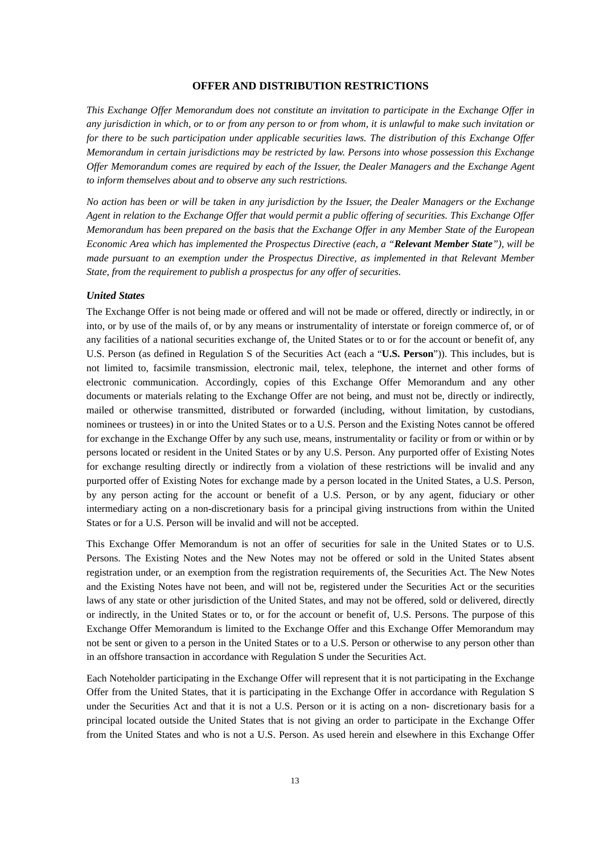# **OFFER AND DISTRIBUTION RESTRICTIONS**

*This Exchange Offer Memorandum does not constitute an invitation to participate in the Exchange Offer in any jurisdiction in which, or to or from any person to or from whom, it is unlawful to make such invitation or for there to be such participation under applicable securities laws. The distribution of this Exchange Offer Memorandum in certain jurisdictions may be restricted by law. Persons into whose possession this Exchange Offer Memorandum comes are required by each of the Issuer, the Dealer Managers and the Exchange Agent to inform themselves about and to observe any such restrictions.*

*No action has been or will be taken in any jurisdiction by the Issuer, the Dealer Managers or the Exchange Agent in relation to the Exchange Offer that would permit a public offering of securities. This Exchange Offer Memorandum has been prepared on the basis that the Exchange Offer in any Member State of the European Economic Area which has implemented the Prospectus Directive (each, a "Relevant Member State"), will be made pursuant to an exemption under the Prospectus Directive, as implemented in that Relevant Member State, from the requirement to publish a prospectus for any offer of securities.*

### *United States*

The Exchange Offer is not being made or offered and will not be made or offered, directly or indirectly, in or into, or by use of the mails of, or by any means or instrumentality of interstate or foreign commerce of, or of any facilities of a national securities exchange of, the United States or to or for the account or benefit of, any U.S. Person (as defined in Regulation S of the Securities Act (each a "**U.S. Person**")). This includes, but is not limited to, facsimile transmission, electronic mail, telex, telephone, the internet and other forms of electronic communication. Accordingly, copies of this Exchange Offer Memorandum and any other documents or materials relating to the Exchange Offer are not being, and must not be, directly or indirectly, mailed or otherwise transmitted, distributed or forwarded (including, without limitation, by custodians, nominees or trustees) in or into the United States or to a U.S. Person and the Existing Notes cannot be offered for exchange in the Exchange Offer by any such use, means, instrumentality or facility or from or within or by persons located or resident in the United States or by any U.S. Person. Any purported offer of Existing Notes for exchange resulting directly or indirectly from a violation of these restrictions will be invalid and any purported offer of Existing Notes for exchange made by a person located in the United States, a U.S. Person, by any person acting for the account or benefit of a U.S. Person, or by any agent, fiduciary or other intermediary acting on a non-discretionary basis for a principal giving instructions from within the United States or for a U.S. Person will be invalid and will not be accepted.

This Exchange Offer Memorandum is not an offer of securities for sale in the United States or to U.S. Persons. The Existing Notes and the New Notes may not be offered or sold in the United States absent registration under, or an exemption from the registration requirements of, the Securities Act. The New Notes and the Existing Notes have not been, and will not be, registered under the Securities Act or the securities laws of any state or other jurisdiction of the United States, and may not be offered, sold or delivered, directly or indirectly, in the United States or to, or for the account or benefit of, U.S. Persons. The purpose of this Exchange Offer Memorandum is limited to the Exchange Offer and this Exchange Offer Memorandum may not be sent or given to a person in the United States or to a U.S. Person or otherwise to any person other than in an offshore transaction in accordance with Regulation S under the Securities Act.

Each Noteholder participating in the Exchange Offer will represent that it is not participating in the Exchange Offer from the United States, that it is participating in the Exchange Offer in accordance with Regulation S under the Securities Act and that it is not a U.S. Person or it is acting on a non- discretionary basis for a principal located outside the United States that is not giving an order to participate in the Exchange Offer from the United States and who is not a U.S. Person. As used herein and elsewhere in this Exchange Offer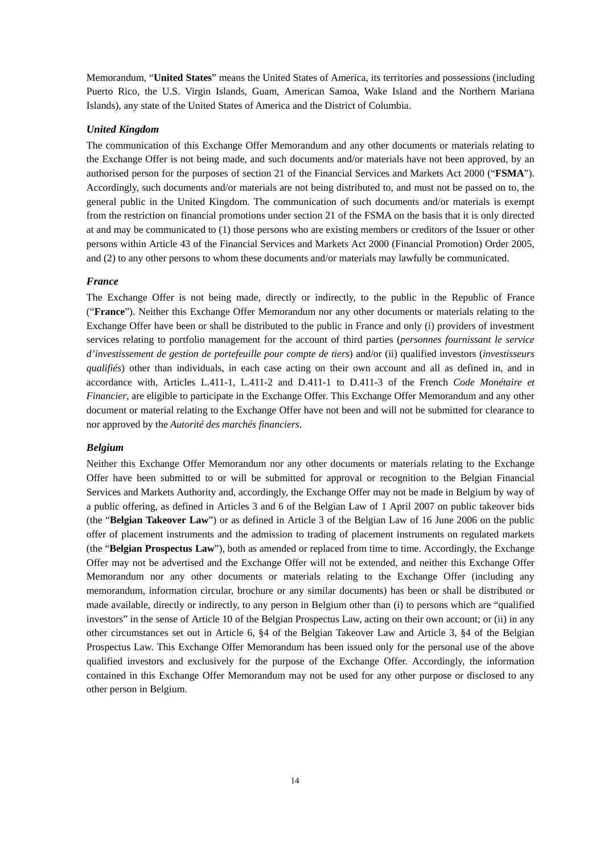Memorandum, "**United States**" means the United States of America, its territories and possessions (including Puerto Rico, the U.S. Virgin Islands, Guam, American Samoa, Wake Island and the Northern Mariana Islands), any state of the United States of America and the District of Columbia.

# *United Kingdom*

The communication of this Exchange Offer Memorandum and any other documents or materials relating to the Exchange Offer is not being made, and such documents and/or materials have not been approved, by an authorised person for the purposes of section 21 of the Financial Services and Markets Act 2000 ("**FSMA**"). Accordingly, such documents and/or materials are not being distributed to, and must not be passed on to, the general public in the United Kingdom. The communication of such documents and/or materials is exempt from the restriction on financial promotions under section 21 of the FSMA on the basis that it is only directed at and may be communicated to (1) those persons who are existing members or creditors of the Issuer or other persons within Article 43 of the Financial Services and Markets Act 2000 (Financial Promotion) Order 2005, and (2) to any other persons to whom these documents and/or materials may lawfully be communicated.

# *France*

The Exchange Offer is not being made, directly or indirectly, to the public in the Republic of France ("**France**"). Neither this Exchange Offer Memorandum nor any other documents or materials relating to the Exchange Offer have been or shall be distributed to the public in France and only (i) providers of investment services relating to portfolio management for the account of third parties (*personnes fournissant le service d'investissement de gestion de portefeuille pour compte de tiers*) and/or (ii) qualified investors (*investisseurs qualifiés*) other than individuals, in each case acting on their own account and all as defined in, and in accordance with, Articles L.411-1, L.411-2 and D.411-1 to D.411-3 of the French *Code Monétaire et Financier*, are eligible to participate in the Exchange Offer. This Exchange Offer Memorandum and any other document or material relating to the Exchange Offer have not been and will not be submitted for clearance to nor approved by the *Autorité des marchés financiers*.

### *Belgium*

Neither this Exchange Offer Memorandum nor any other documents or materials relating to the Exchange Offer have been submitted to or will be submitted for approval or recognition to the Belgian Financial Services and Markets Authority and, accordingly, the Exchange Offer may not be made in Belgium by way of a public offering, as defined in Articles 3 and 6 of the Belgian Law of 1 April 2007 on public takeover bids (the "**Belgian Takeover Law**") or as defined in Article 3 of the Belgian Law of 16 June 2006 on the public offer of placement instruments and the admission to trading of placement instruments on regulated markets (the "**Belgian Prospectus Law**"), both as amended or replaced from time to time. Accordingly, the Exchange Offer may not be advertised and the Exchange Offer will not be extended, and neither this Exchange Offer Memorandum nor any other documents or materials relating to the Exchange Offer (including any memorandum, information circular, brochure or any similar documents) has been or shall be distributed or made available, directly or indirectly, to any person in Belgium other than (i) to persons which are "qualified investors" in the sense of Article 10 of the Belgian Prospectus Law, acting on their own account; or (ii) in any other circumstances set out in Article 6, §4 of the Belgian Takeover Law and Article 3, §4 of the Belgian Prospectus Law. This Exchange Offer Memorandum has been issued only for the personal use of the above qualified investors and exclusively for the purpose of the Exchange Offer. Accordingly, the information contained in this Exchange Offer Memorandum may not be used for any other purpose or disclosed to any other person in Belgium.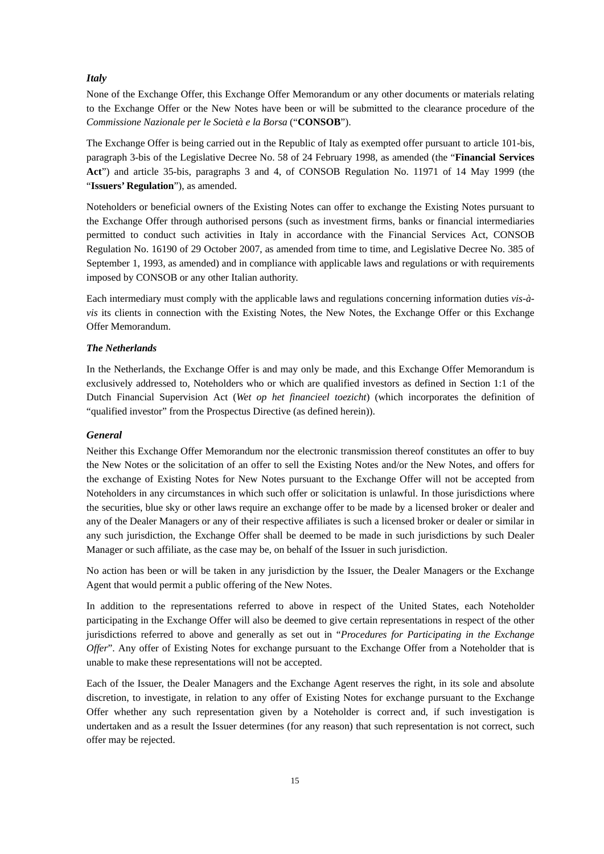# *Italy*

None of the Exchange Offer, this Exchange Offer Memorandum or any other documents or materials relating to the Exchange Offer or the New Notes have been or will be submitted to the clearance procedure of the *Commissione Nazionale per le Società e la Borsa* ("**CONSOB**").

The Exchange Offer is being carried out in the Republic of Italy as exempted offer pursuant to article 101-bis, paragraph 3-bis of the Legislative Decree No. 58 of 24 February 1998, as amended (the "**Financial Services Act**") and article 35-bis, paragraphs 3 and 4, of CONSOB Regulation No. 11971 of 14 May 1999 (the "**Issuers' Regulation**"), as amended.

Noteholders or beneficial owners of the Existing Notes can offer to exchange the Existing Notes pursuant to the Exchange Offer through authorised persons (such as investment firms, banks or financial intermediaries permitted to conduct such activities in Italy in accordance with the Financial Services Act, CONSOB Regulation No. 16190 of 29 October 2007, as amended from time to time, and Legislative Decree No. 385 of September 1, 1993, as amended) and in compliance with applicable laws and regulations or with requirements imposed by CONSOB or any other Italian authority.

Each intermediary must comply with the applicable laws and regulations concerning information duties *vis-àvis* its clients in connection with the Existing Notes, the New Notes, the Exchange Offer or this Exchange Offer Memorandum.

### *The Netherlands*

In the Netherlands, the Exchange Offer is and may only be made, and this Exchange Offer Memorandum is exclusively addressed to, Noteholders who or which are qualified investors as defined in Section 1:1 of the Dutch Financial Supervision Act (*Wet op het financieel toezicht*) (which incorporates the definition of "qualified investor" from the Prospectus Directive (as defined herein)).

# *General*

Neither this Exchange Offer Memorandum nor the electronic transmission thereof constitutes an offer to buy the New Notes or the solicitation of an offer to sell the Existing Notes and/or the New Notes, and offers for the exchange of Existing Notes for New Notes pursuant to the Exchange Offer will not be accepted from Noteholders in any circumstances in which such offer or solicitation is unlawful. In those jurisdictions where the securities, blue sky or other laws require an exchange offer to be made by a licensed broker or dealer and any of the Dealer Managers or any of their respective affiliates is such a licensed broker or dealer or similar in any such jurisdiction, the Exchange Offer shall be deemed to be made in such jurisdictions by such Dealer Manager or such affiliate, as the case may be, on behalf of the Issuer in such jurisdiction.

No action has been or will be taken in any jurisdiction by the Issuer, the Dealer Managers or the Exchange Agent that would permit a public offering of the New Notes.

In addition to the representations referred to above in respect of the United States, each Noteholder participating in the Exchange Offer will also be deemed to give certain representations in respect of the other jurisdictions referred to above and generally as set out in "*Procedures for Participating in the Exchange Offer*". Any offer of Existing Notes for exchange pursuant to the Exchange Offer from a Noteholder that is unable to make these representations will not be accepted.

Each of the Issuer, the Dealer Managers and the Exchange Agent reserves the right, in its sole and absolute discretion, to investigate, in relation to any offer of Existing Notes for exchange pursuant to the Exchange Offer whether any such representation given by a Noteholder is correct and, if such investigation is undertaken and as a result the Issuer determines (for any reason) that such representation is not correct, such offer may be rejected.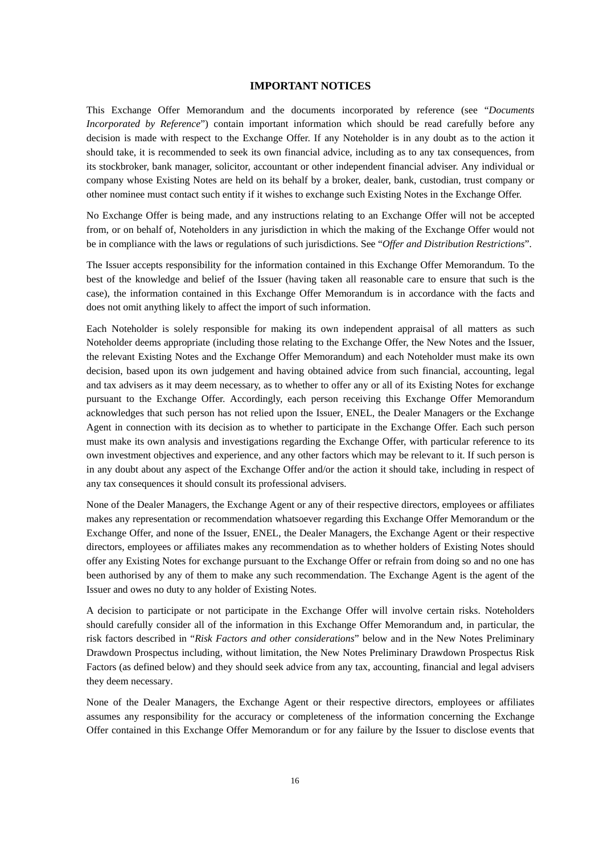# **IMPORTANT NOTICES**

This Exchange Offer Memorandum and the documents incorporated by reference (see "*Documents Incorporated by Reference*") contain important information which should be read carefully before any decision is made with respect to the Exchange Offer. If any Noteholder is in any doubt as to the action it should take, it is recommended to seek its own financial advice, including as to any tax consequences, from its stockbroker, bank manager, solicitor, accountant or other independent financial adviser. Any individual or company whose Existing Notes are held on its behalf by a broker, dealer, bank, custodian, trust company or other nominee must contact such entity if it wishes to exchange such Existing Notes in the Exchange Offer.

No Exchange Offer is being made, and any instructions relating to an Exchange Offer will not be accepted from, or on behalf of, Noteholders in any jurisdiction in which the making of the Exchange Offer would not be in compliance with the laws or regulations of such jurisdictions. See "*Offer and Distribution Restrictions*".

The Issuer accepts responsibility for the information contained in this Exchange Offer Memorandum. To the best of the knowledge and belief of the Issuer (having taken all reasonable care to ensure that such is the case), the information contained in this Exchange Offer Memorandum is in accordance with the facts and does not omit anything likely to affect the import of such information.

Each Noteholder is solely responsible for making its own independent appraisal of all matters as such Noteholder deems appropriate (including those relating to the Exchange Offer, the New Notes and the Issuer, the relevant Existing Notes and the Exchange Offer Memorandum) and each Noteholder must make its own decision, based upon its own judgement and having obtained advice from such financial, accounting, legal and tax advisers as it may deem necessary, as to whether to offer any or all of its Existing Notes for exchange pursuant to the Exchange Offer. Accordingly, each person receiving this Exchange Offer Memorandum acknowledges that such person has not relied upon the Issuer, ENEL, the Dealer Managers or the Exchange Agent in connection with its decision as to whether to participate in the Exchange Offer. Each such person must make its own analysis and investigations regarding the Exchange Offer, with particular reference to its own investment objectives and experience, and any other factors which may be relevant to it. If such person is in any doubt about any aspect of the Exchange Offer and/or the action it should take, including in respect of any tax consequences it should consult its professional advisers.

None of the Dealer Managers, the Exchange Agent or any of their respective directors, employees or affiliates makes any representation or recommendation whatsoever regarding this Exchange Offer Memorandum or the Exchange Offer, and none of the Issuer, ENEL, the Dealer Managers, the Exchange Agent or their respective directors, employees or affiliates makes any recommendation as to whether holders of Existing Notes should offer any Existing Notes for exchange pursuant to the Exchange Offer or refrain from doing so and no one has been authorised by any of them to make any such recommendation. The Exchange Agent is the agent of the Issuer and owes no duty to any holder of Existing Notes.

A decision to participate or not participate in the Exchange Offer will involve certain risks. Noteholders should carefully consider all of the information in this Exchange Offer Memorandum and, in particular, the risk factors described in "*Risk Factors and other considerations*" below and in the New Notes Preliminary Drawdown Prospectus including, without limitation, the New Notes Preliminary Drawdown Prospectus Risk Factors (as defined below) and they should seek advice from any tax, accounting, financial and legal advisers they deem necessary.

None of the Dealer Managers, the Exchange Agent or their respective directors, employees or affiliates assumes any responsibility for the accuracy or completeness of the information concerning the Exchange Offer contained in this Exchange Offer Memorandum or for any failure by the Issuer to disclose events that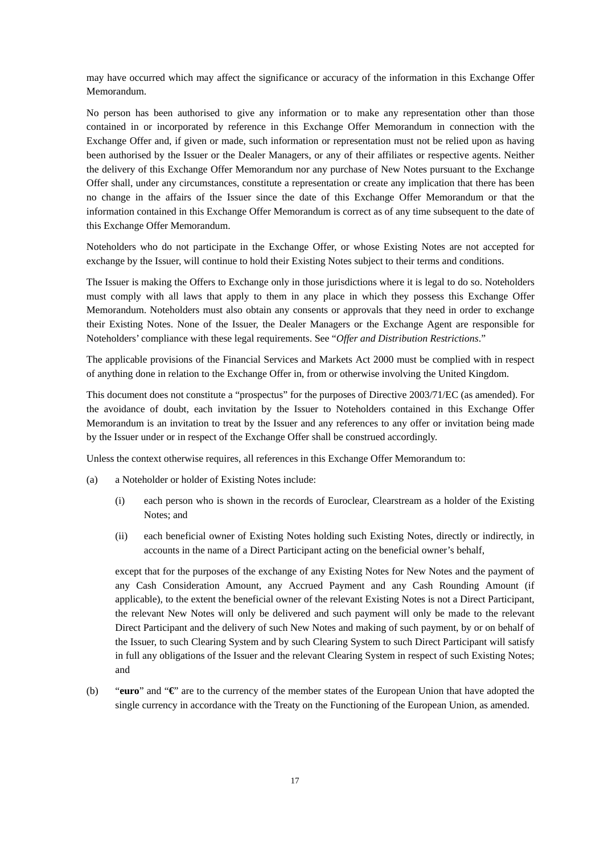may have occurred which may affect the significance or accuracy of the information in this Exchange Offer Memorandum.

No person has been authorised to give any information or to make any representation other than those contained in or incorporated by reference in this Exchange Offer Memorandum in connection with the Exchange Offer and, if given or made, such information or representation must not be relied upon as having been authorised by the Issuer or the Dealer Managers, or any of their affiliates or respective agents. Neither the delivery of this Exchange Offer Memorandum nor any purchase of New Notes pursuant to the Exchange Offer shall, under any circumstances, constitute a representation or create any implication that there has been no change in the affairs of the Issuer since the date of this Exchange Offer Memorandum or that the information contained in this Exchange Offer Memorandum is correct as of any time subsequent to the date of this Exchange Offer Memorandum.

Noteholders who do not participate in the Exchange Offer, or whose Existing Notes are not accepted for exchange by the Issuer, will continue to hold their Existing Notes subject to their terms and conditions.

The Issuer is making the Offers to Exchange only in those jurisdictions where it is legal to do so. Noteholders must comply with all laws that apply to them in any place in which they possess this Exchange Offer Memorandum. Noteholders must also obtain any consents or approvals that they need in order to exchange their Existing Notes. None of the Issuer, the Dealer Managers or the Exchange Agent are responsible for Noteholders' compliance with these legal requirements. See "*Offer and Distribution Restrictions*."

The applicable provisions of the Financial Services and Markets Act 2000 must be complied with in respect of anything done in relation to the Exchange Offer in, from or otherwise involving the United Kingdom.

This document does not constitute a "prospectus" for the purposes of Directive 2003/71/EC (as amended). For the avoidance of doubt, each invitation by the Issuer to Noteholders contained in this Exchange Offer Memorandum is an invitation to treat by the Issuer and any references to any offer or invitation being made by the Issuer under or in respect of the Exchange Offer shall be construed accordingly.

Unless the context otherwise requires, all references in this Exchange Offer Memorandum to:

- (a) a Noteholder or holder of Existing Notes include:
	- (i) each person who is shown in the records of Euroclear, Clearstream as a holder of the Existing Notes; and
	- (ii) each beneficial owner of Existing Notes holding such Existing Notes, directly or indirectly, in accounts in the name of a Direct Participant acting on the beneficial owner's behalf,

except that for the purposes of the exchange of any Existing Notes for New Notes and the payment of any Cash Consideration Amount, any Accrued Payment and any Cash Rounding Amount (if applicable), to the extent the beneficial owner of the relevant Existing Notes is not a Direct Participant, the relevant New Notes will only be delivered and such payment will only be made to the relevant Direct Participant and the delivery of such New Notes and making of such payment, by or on behalf of the Issuer, to such Clearing System and by such Clearing System to such Direct Participant will satisfy in full any obligations of the Issuer and the relevant Clearing System in respect of such Existing Notes; and

(b) "**euro**" and "**€**" are to the currency of the member states of the European Union that have adopted the single currency in accordance with the Treaty on the Functioning of the European Union, as amended.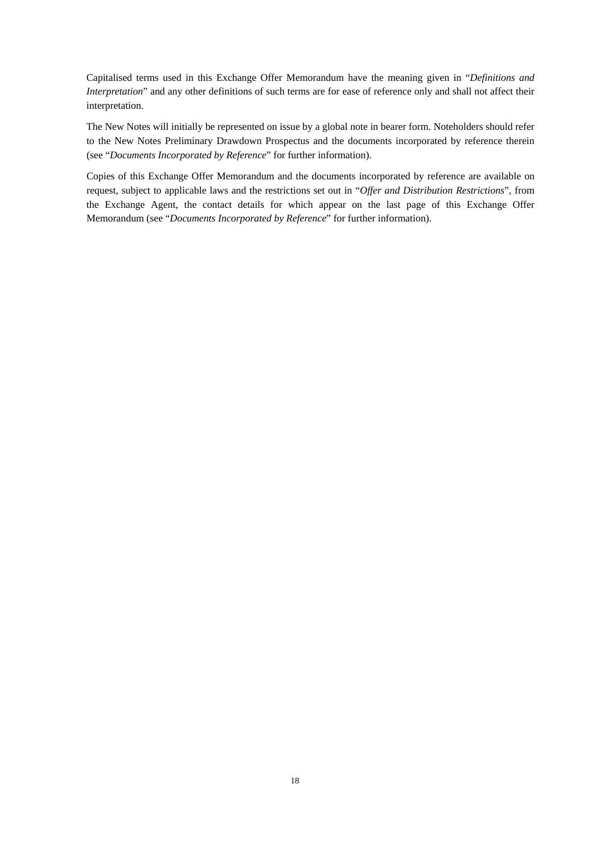Capitalised terms used in this Exchange Offer Memorandum have the meaning given in "*Definitions and Interpretation*" and any other definitions of such terms are for ease of reference only and shall not affect their interpretation.

The New Notes will initially be represented on issue by a global note in bearer form. Noteholders should refer to the New Notes Preliminary Drawdown Prospectus and the documents incorporated by reference therein (see "*Documents Incorporated by Reference*" for further information).

Copies of this Exchange Offer Memorandum and the documents incorporated by reference are available on request, subject to applicable laws and the restrictions set out in "*Offer and Distribution Restrictions*", from the Exchange Agent, the contact details for which appear on the last page of this Exchange Offer Memorandum (see "*Documents Incorporated by Reference*" for further information).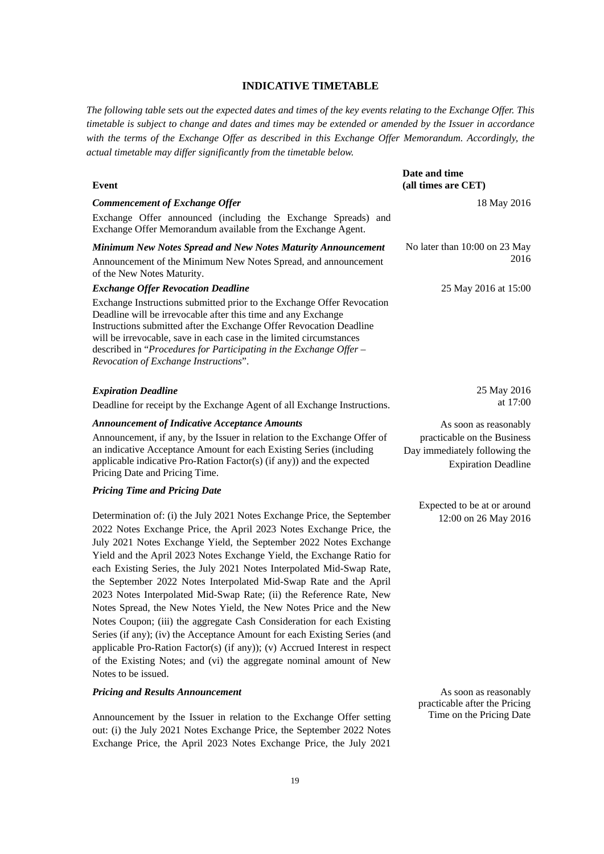# **INDICATIVE TIMETABLE**

*The following table sets out the expected dates and times of the key events relating to the Exchange Offer. This timetable is subject to change and dates and times may be extended or amended by the Issuer in accordance with the terms of the Exchange Offer as described in this Exchange Offer Memorandum. Accordingly, the actual timetable may differ significantly from the timetable below.*

| Event                                                                                                                                                                                                                                                                                                                                                                                                                                      | Date and time<br>(all times are CET)                                                       |
|--------------------------------------------------------------------------------------------------------------------------------------------------------------------------------------------------------------------------------------------------------------------------------------------------------------------------------------------------------------------------------------------------------------------------------------------|--------------------------------------------------------------------------------------------|
| <b>Commencement of Exchange Offer</b>                                                                                                                                                                                                                                                                                                                                                                                                      | 18 May 2016                                                                                |
| Exchange Offer announced (including the Exchange Spreads) and<br>Exchange Offer Memorandum available from the Exchange Agent.                                                                                                                                                                                                                                                                                                              |                                                                                            |
| Minimum New Notes Spread and New Notes Maturity Announcement                                                                                                                                                                                                                                                                                                                                                                               | No later than 10:00 on 23 May                                                              |
| Announcement of the Minimum New Notes Spread, and announcement<br>of the New Notes Maturity.                                                                                                                                                                                                                                                                                                                                               | 2016                                                                                       |
| <b>Exchange Offer Revocation Deadline</b>                                                                                                                                                                                                                                                                                                                                                                                                  | 25 May 2016 at 15:00                                                                       |
| Exchange Instructions submitted prior to the Exchange Offer Revocation<br>Deadline will be irrevocable after this time and any Exchange<br>Instructions submitted after the Exchange Offer Revocation Deadline<br>will be irrevocable, save in each case in the limited circumstances<br>described in "Procedures for Participating in the Exchange Offer -<br>Revocation of Exchange Instructions".                                       |                                                                                            |
| <b>Expiration Deadline</b>                                                                                                                                                                                                                                                                                                                                                                                                                 | 25 May 2016                                                                                |
| Deadline for receipt by the Exchange Agent of all Exchange Instructions.                                                                                                                                                                                                                                                                                                                                                                   | at 17:00                                                                                   |
| <b>Announcement of Indicative Acceptance Amounts</b>                                                                                                                                                                                                                                                                                                                                                                                       | As soon as reasonably                                                                      |
| Announcement, if any, by the Issuer in relation to the Exchange Offer of<br>an indicative Acceptance Amount for each Existing Series (including<br>applicable indicative Pro-Ration Factor(s) (if any)) and the expected<br>Pricing Date and Pricing Time.                                                                                                                                                                                 | practicable on the Business<br>Day immediately following the<br><b>Expiration Deadline</b> |
| <b>Pricing Time and Pricing Date</b>                                                                                                                                                                                                                                                                                                                                                                                                       |                                                                                            |
|                                                                                                                                                                                                                                                                                                                                                                                                                                            | Expected to be at or around                                                                |
| Determination of: (i) the July 2021 Notes Exchange Price, the September<br>2022 Notes Exchange Price, the April 2023 Notes Exchange Price, the<br>July 2021 Notes Exchange Yield, the September 2022 Notes Exchange<br>Yield and the April 2023 Notes Exchange Yield, the Exchange Ratio for<br>each Existing Series, the July 2021 Notes Interpolated Mid-Swap Rate,<br>the September 2022 Notes Interpolated Mid-Swap Rate and the April | 12:00 on 26 May 2016                                                                       |
| 2023 Notes Interpolated Mid-Swap Rate; (ii) the Reference Rate, New<br>Notes Spread, the New Notes Yield, the New Notes Price and the New                                                                                                                                                                                                                                                                                                  |                                                                                            |

As soon as reasonably practicable after the Pricing Time on the Pricing Date

Notes Coupon; (iii) the aggregate Cash Consideration for each Existing Series (if any); (iv) the Acceptance Amount for each Existing Series (and applicable Pro-Ration Factor(s) (if any)); (v) Accrued Interest in respect of the Existing Notes; and (vi) the aggregate nominal amount of New

Announcement by the Issuer in relation to the Exchange Offer setting out: (i) the July 2021 Notes Exchange Price, the September 2022 Notes Exchange Price, the April 2023 Notes Exchange Price, the July 2021

Notes to be issued.

*Pricing and Results Announcement*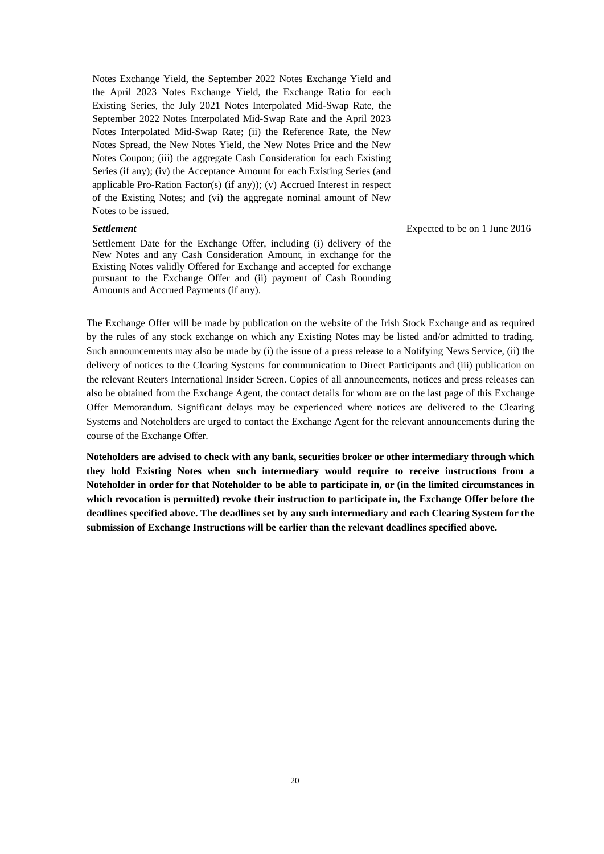Notes Exchange Yield, the September 2022 Notes Exchange Yield and the April 2023 Notes Exchange Yield, the Exchange Ratio for each Existing Series, the July 2021 Notes Interpolated Mid-Swap Rate, the September 2022 Notes Interpolated Mid-Swap Rate and the April 2023 Notes Interpolated Mid-Swap Rate; (ii) the Reference Rate, the New Notes Spread, the New Notes Yield, the New Notes Price and the New Notes Coupon; (iii) the aggregate Cash Consideration for each Existing Series (if any); (iv) the Acceptance Amount for each Existing Series (and applicable Pro-Ration Factor(s) (if any)); (v) Accrued Interest in respect of the Existing Notes; and (vi) the aggregate nominal amount of New Notes to be issued.

# *Settlement*

Settlement Date for the Exchange Offer, including (i) delivery of the New Notes and any Cash Consideration Amount, in exchange for the Existing Notes validly Offered for Exchange and accepted for exchange pursuant to the Exchange Offer and (ii) payment of Cash Rounding Amounts and Accrued Payments (if any).

Expected to be on 1 June 2016

The Exchange Offer will be made by publication on the website of the Irish Stock Exchange and as required by the rules of any stock exchange on which any Existing Notes may be listed and/or admitted to trading. Such announcements may also be made by (i) the issue of a press release to a Notifying News Service, (ii) the delivery of notices to the Clearing Systems for communication to Direct Participants and (iii) publication on the relevant Reuters International Insider Screen. Copies of all announcements, notices and press releases can also be obtained from the Exchange Agent, the contact details for whom are on the last page of this Exchange Offer Memorandum. Significant delays may be experienced where notices are delivered to the Clearing Systems and Noteholders are urged to contact the Exchange Agent for the relevant announcements during the course of the Exchange Offer.

**Noteholders are advised to check with any bank, securities broker or other intermediary through which they hold Existing Notes when such intermediary would require to receive instructions from a Noteholder in order for that Noteholder to be able to participate in, or (in the limited circumstances in which revocation is permitted) revoke their instruction to participate in, the Exchange Offer before the deadlines specified above. The deadlines set by any such intermediary and each Clearing System for the submission of Exchange Instructions will be earlier than the relevant deadlines specified above.**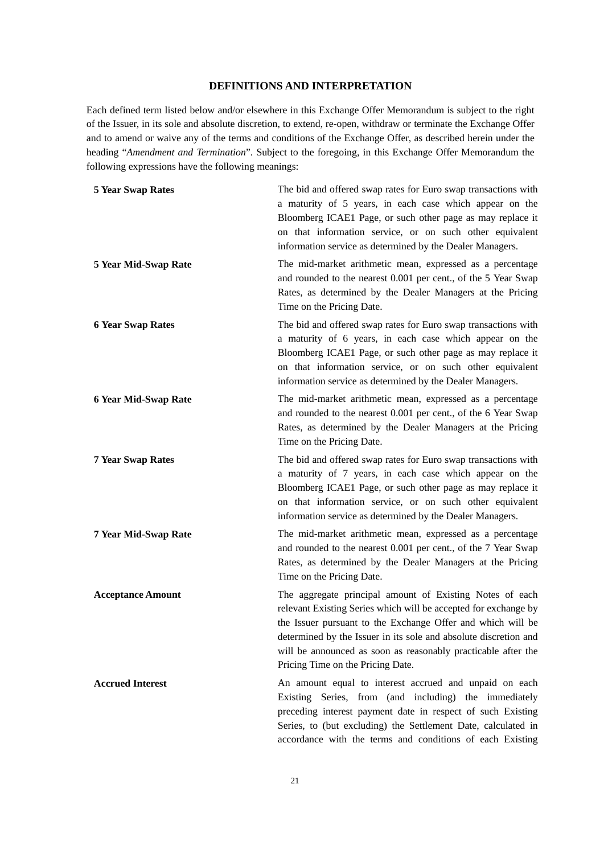# **DEFINITIONS AND INTERPRETATION**

Each defined term listed below and/or elsewhere in this Exchange Offer Memorandum is subject to the right of the Issuer, in its sole and absolute discretion, to extend, re-open, withdraw or terminate the Exchange Offer and to amend or waive any of the terms and conditions of the Exchange Offer, as described herein under the heading "*Amendment and Termination*". Subject to the foregoing, in this Exchange Offer Memorandum the following expressions have the following meanings:

| <b>5 Year Swap Rates</b>    | The bid and offered swap rates for Euro swap transactions with<br>a maturity of 5 years, in each case which appear on the<br>Bloomberg ICAE1 Page, or such other page as may replace it<br>on that information service, or on such other equivalent<br>information service as determined by the Dealer Managers.                                                     |
|-----------------------------|----------------------------------------------------------------------------------------------------------------------------------------------------------------------------------------------------------------------------------------------------------------------------------------------------------------------------------------------------------------------|
| 5 Year Mid-Swap Rate        | The mid-market arithmetic mean, expressed as a percentage<br>and rounded to the nearest 0.001 per cent., of the 5 Year Swap<br>Rates, as determined by the Dealer Managers at the Pricing<br>Time on the Pricing Date.                                                                                                                                               |
| <b>6 Year Swap Rates</b>    | The bid and offered swap rates for Euro swap transactions with<br>a maturity of 6 years, in each case which appear on the<br>Bloomberg ICAE1 Page, or such other page as may replace it<br>on that information service, or on such other equivalent<br>information service as determined by the Dealer Managers.                                                     |
| <b>6 Year Mid-Swap Rate</b> | The mid-market arithmetic mean, expressed as a percentage<br>and rounded to the nearest 0.001 per cent., of the 6 Year Swap<br>Rates, as determined by the Dealer Managers at the Pricing<br>Time on the Pricing Date.                                                                                                                                               |
| <b>7 Year Swap Rates</b>    | The bid and offered swap rates for Euro swap transactions with<br>a maturity of 7 years, in each case which appear on the<br>Bloomberg ICAE1 Page, or such other page as may replace it<br>on that information service, or on such other equivalent<br>information service as determined by the Dealer Managers.                                                     |
| 7 Year Mid-Swap Rate        | The mid-market arithmetic mean, expressed as a percentage<br>and rounded to the nearest 0.001 per cent., of the 7 Year Swap<br>Rates, as determined by the Dealer Managers at the Pricing<br>Time on the Pricing Date.                                                                                                                                               |
| <b>Acceptance Amount</b>    | The aggregate principal amount of Existing Notes of each<br>relevant Existing Series which will be accepted for exchange by<br>the Issuer pursuant to the Exchange Offer and which will be<br>determined by the Issuer in its sole and absolute discretion and<br>will be announced as soon as reasonably practicable after the<br>Pricing Time on the Pricing Date. |
| <b>Accrued Interest</b>     | An amount equal to interest accrued and unpaid on each<br>Existing Series, from (and including) the immediately<br>preceding interest payment date in respect of such Existing<br>Series, to (but excluding) the Settlement Date, calculated in<br>accordance with the terms and conditions of each Existing                                                         |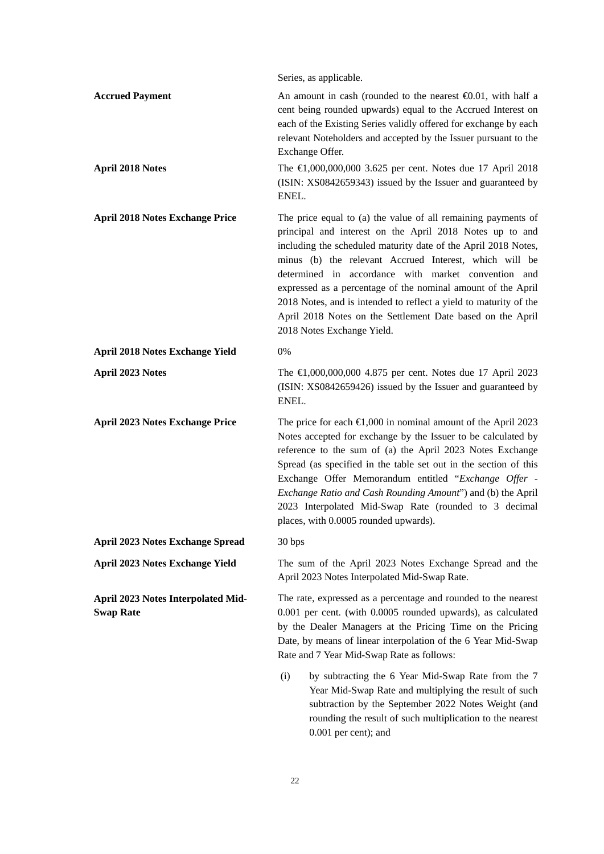|                                                        | Series, as applicable.                                                                                                                                                                                                                                                                                                                                                                                                                                                                                                                        |
|--------------------------------------------------------|-----------------------------------------------------------------------------------------------------------------------------------------------------------------------------------------------------------------------------------------------------------------------------------------------------------------------------------------------------------------------------------------------------------------------------------------------------------------------------------------------------------------------------------------------|
| <b>Accrued Payment</b><br><b>April 2018 Notes</b>      | An amount in cash (rounded to the nearest $\Theta$ .01, with half a<br>cent being rounded upwards) equal to the Accrued Interest on<br>each of the Existing Series validly offered for exchange by each<br>relevant Noteholders and accepted by the Issuer pursuant to the<br>Exchange Offer.<br>The $\in$ 1,000,000,000 3.625 per cent. Notes due 17 April 2018<br>(ISIN: XS0842659343) issued by the Issuer and guaranteed by<br>ENEL.                                                                                                      |
| <b>April 2018 Notes Exchange Price</b>                 | The price equal to (a) the value of all remaining payments of<br>principal and interest on the April 2018 Notes up to and<br>including the scheduled maturity date of the April 2018 Notes,<br>minus (b) the relevant Accrued Interest, which will be<br>determined in accordance with market convention and<br>expressed as a percentage of the nominal amount of the April<br>2018 Notes, and is intended to reflect a yield to maturity of the<br>April 2018 Notes on the Settlement Date based on the April<br>2018 Notes Exchange Yield. |
| <b>April 2018 Notes Exchange Yield</b>                 | 0%                                                                                                                                                                                                                                                                                                                                                                                                                                                                                                                                            |
| <b>April 2023 Notes</b>                                | The $\in$ 1,000,000,000 4.875 per cent. Notes due 17 April 2023<br>(ISIN: XS0842659426) issued by the Issuer and guaranteed by<br>ENEL.                                                                                                                                                                                                                                                                                                                                                                                                       |
| <b>April 2023 Notes Exchange Price</b>                 | The price for each $\bigoplus$ ,000 in nominal amount of the April 2023<br>Notes accepted for exchange by the Issuer to be calculated by<br>reference to the sum of (a) the April 2023 Notes Exchange<br>Spread (as specified in the table set out in the section of this<br>Exchange Offer Memorandum entitled "Exchange Offer -<br>Exchange Ratio and Cash Rounding Amount") and (b) the April<br>2023 Interpolated Mid-Swap Rate (rounded to 3 decimal<br>places, with 0.0005 rounded upwards).                                            |
| <b>April 2023 Notes Exchange Spread</b>                | 30 bps                                                                                                                                                                                                                                                                                                                                                                                                                                                                                                                                        |
| <b>April 2023 Notes Exchange Yield</b>                 | The sum of the April 2023 Notes Exchange Spread and the<br>April 2023 Notes Interpolated Mid-Swap Rate.                                                                                                                                                                                                                                                                                                                                                                                                                                       |
| April 2023 Notes Interpolated Mid-<br><b>Swap Rate</b> | The rate, expressed as a percentage and rounded to the nearest<br>0.001 per cent. (with 0.0005 rounded upwards), as calculated<br>by the Dealer Managers at the Pricing Time on the Pricing<br>Date, by means of linear interpolation of the 6 Year Mid-Swap<br>Rate and 7 Year Mid-Swap Rate as follows:                                                                                                                                                                                                                                     |
|                                                        | (i)<br>by subtracting the 6 Year Mid-Swap Rate from the 7<br>Year Mid-Swap Rate and multiplying the result of such<br>subtraction by the September 2022 Notes Weight (and<br>rounding the result of such multiplication to the nearest                                                                                                                                                                                                                                                                                                        |

0.001 per cent); and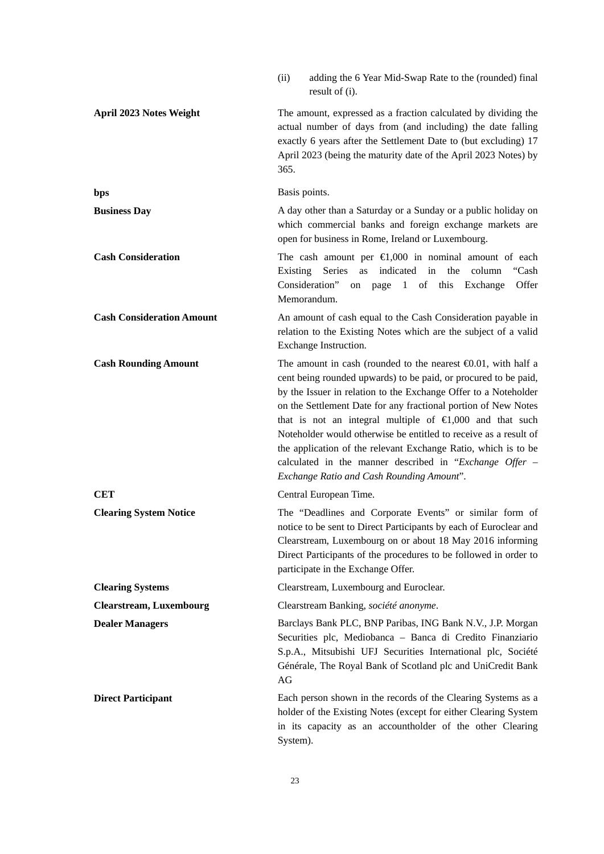|                                  | adding the 6 Year Mid-Swap Rate to the (rounded) final<br>(ii)<br>result of (i).                                                                                                                                                                                                                                                                                                                                                                                                                                                                                                                    |
|----------------------------------|-----------------------------------------------------------------------------------------------------------------------------------------------------------------------------------------------------------------------------------------------------------------------------------------------------------------------------------------------------------------------------------------------------------------------------------------------------------------------------------------------------------------------------------------------------------------------------------------------------|
| April 2023 Notes Weight          | The amount, expressed as a fraction calculated by dividing the<br>actual number of days from (and including) the date falling<br>exactly 6 years after the Settlement Date to (but excluding) 17<br>April 2023 (being the maturity date of the April 2023 Notes) by<br>365.                                                                                                                                                                                                                                                                                                                         |
| bps                              | Basis points.                                                                                                                                                                                                                                                                                                                                                                                                                                                                                                                                                                                       |
| <b>Business Day</b>              | A day other than a Saturday or a Sunday or a public holiday on<br>which commercial banks and foreign exchange markets are<br>open for business in Rome, Ireland or Luxembourg.                                                                                                                                                                                                                                                                                                                                                                                                                      |
| <b>Cash Consideration</b>        | The cash amount per $\in 1,000$ in nominal amount of each<br>Series<br>as indicated in<br>column<br>"Cash<br>Existing<br>the<br>Consideration"<br>on page 1 of this Exchange<br>Offer<br>Memorandum.                                                                                                                                                                                                                                                                                                                                                                                                |
| <b>Cash Consideration Amount</b> | An amount of cash equal to the Cash Consideration payable in<br>relation to the Existing Notes which are the subject of a valid<br>Exchange Instruction.                                                                                                                                                                                                                                                                                                                                                                                                                                            |
| <b>Cash Rounding Amount</b>      | The amount in cash (rounded to the nearest $\Theta$ .01, with half a<br>cent being rounded upwards) to be paid, or procured to be paid,<br>by the Issuer in relation to the Exchange Offer to a Noteholder<br>on the Settlement Date for any fractional portion of New Notes<br>that is not an integral multiple of $\in$ ,000 and that such<br>Noteholder would otherwise be entitled to receive as a result of<br>the application of the relevant Exchange Ratio, which is to be<br>calculated in the manner described in "Exchange Offer $-$<br><b>Exchange Ratio and Cash Rounding Amount".</b> |
| <b>CET</b>                       | Central European Time.                                                                                                                                                                                                                                                                                                                                                                                                                                                                                                                                                                              |
| <b>Clearing System Notice</b>    | The "Deadlines and Corporate Events" or similar form of<br>notice to be sent to Direct Participants by each of Euroclear and<br>Clearstream, Luxembourg on or about 18 May 2016 informing<br>Direct Participants of the procedures to be followed in order to<br>participate in the Exchange Offer.                                                                                                                                                                                                                                                                                                 |
| <b>Clearing Systems</b>          | Clearstream, Luxembourg and Euroclear.                                                                                                                                                                                                                                                                                                                                                                                                                                                                                                                                                              |
| <b>Clearstream, Luxembourg</b>   | Clearstream Banking, société anonyme.                                                                                                                                                                                                                                                                                                                                                                                                                                                                                                                                                               |
| <b>Dealer Managers</b>           | Barclays Bank PLC, BNP Paribas, ING Bank N.V., J.P. Morgan<br>Securities plc, Mediobanca - Banca di Credito Finanziario<br>S.p.A., Mitsubishi UFJ Securities International plc, Société<br>Générale, The Royal Bank of Scotland plc and UniCredit Bank<br>AG                                                                                                                                                                                                                                                                                                                                        |
| <b>Direct Participant</b>        | Each person shown in the records of the Clearing Systems as a<br>holder of the Existing Notes (except for either Clearing System<br>in its capacity as an accountholder of the other Clearing<br>System).                                                                                                                                                                                                                                                                                                                                                                                           |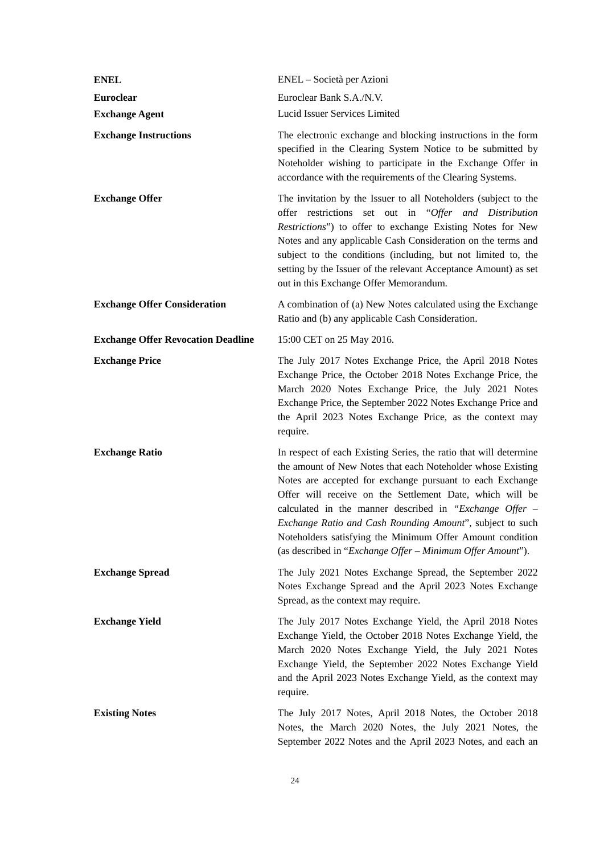| <b>ENEL</b>                               | ENEL - Società per Azioni                                                                                                                                                                                                                                                                                                                                                                                                                                                                                      |
|-------------------------------------------|----------------------------------------------------------------------------------------------------------------------------------------------------------------------------------------------------------------------------------------------------------------------------------------------------------------------------------------------------------------------------------------------------------------------------------------------------------------------------------------------------------------|
| <b>Euroclear</b>                          | Euroclear Bank S.A./N.V.                                                                                                                                                                                                                                                                                                                                                                                                                                                                                       |
| <b>Exchange Agent</b>                     | Lucid Issuer Services Limited                                                                                                                                                                                                                                                                                                                                                                                                                                                                                  |
| <b>Exchange Instructions</b>              | The electronic exchange and blocking instructions in the form<br>specified in the Clearing System Notice to be submitted by<br>Noteholder wishing to participate in the Exchange Offer in<br>accordance with the requirements of the Clearing Systems.                                                                                                                                                                                                                                                         |
| <b>Exchange Offer</b>                     | The invitation by the Issuer to all Noteholders (subject to the<br>offer restrictions set out in "Offer and Distribution<br>Restrictions") to offer to exchange Existing Notes for New<br>Notes and any applicable Cash Consideration on the terms and<br>subject to the conditions (including, but not limited to, the<br>setting by the Issuer of the relevant Acceptance Amount) as set<br>out in this Exchange Offer Memorandum.                                                                           |
| <b>Exchange Offer Consideration</b>       | A combination of (a) New Notes calculated using the Exchange<br>Ratio and (b) any applicable Cash Consideration.                                                                                                                                                                                                                                                                                                                                                                                               |
| <b>Exchange Offer Revocation Deadline</b> | 15:00 CET on 25 May 2016.                                                                                                                                                                                                                                                                                                                                                                                                                                                                                      |
| <b>Exchange Price</b>                     | The July 2017 Notes Exchange Price, the April 2018 Notes<br>Exchange Price, the October 2018 Notes Exchange Price, the<br>March 2020 Notes Exchange Price, the July 2021 Notes<br>Exchange Price, the September 2022 Notes Exchange Price and<br>the April 2023 Notes Exchange Price, as the context may<br>require.                                                                                                                                                                                           |
| <b>Exchange Ratio</b>                     | In respect of each Existing Series, the ratio that will determine<br>the amount of New Notes that each Noteholder whose Existing<br>Notes are accepted for exchange pursuant to each Exchange<br>Offer will receive on the Settlement Date, which will be<br>calculated in the manner described in "Exchange Offer $-$<br>Exchange Ratio and Cash Rounding Amount", subject to such<br>Noteholders satisfying the Minimum Offer Amount condition<br>(as described in "Exchange Offer - Minimum Offer Amount"). |
| <b>Exchange Spread</b>                    | The July 2021 Notes Exchange Spread, the September 2022<br>Notes Exchange Spread and the April 2023 Notes Exchange<br>Spread, as the context may require.                                                                                                                                                                                                                                                                                                                                                      |
| <b>Exchange Yield</b>                     | The July 2017 Notes Exchange Yield, the April 2018 Notes<br>Exchange Yield, the October 2018 Notes Exchange Yield, the<br>March 2020 Notes Exchange Yield, the July 2021 Notes<br>Exchange Yield, the September 2022 Notes Exchange Yield<br>and the April 2023 Notes Exchange Yield, as the context may<br>require.                                                                                                                                                                                           |
| <b>Existing Notes</b>                     | The July 2017 Notes, April 2018 Notes, the October 2018<br>Notes, the March 2020 Notes, the July 2021 Notes, the<br>September 2022 Notes and the April 2023 Notes, and each an                                                                                                                                                                                                                                                                                                                                 |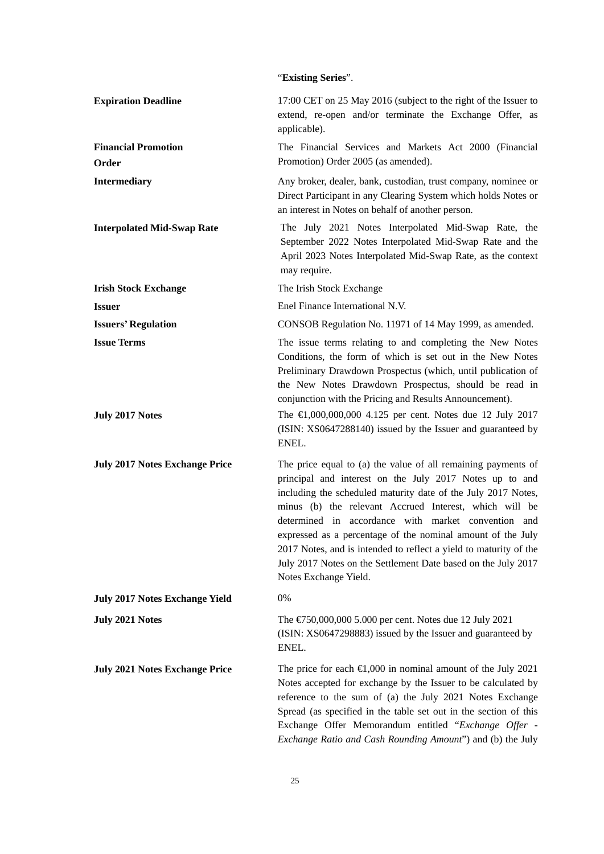# "**Existing Series**".

| <b>Expiration Deadline</b>            | 17:00 CET on 25 May 2016 (subject to the right of the Issuer to<br>extend, re-open and/or terminate the Exchange Offer, as<br>applicable).                                                                                                                                                                                                                                                                                                                                                                                               |
|---------------------------------------|------------------------------------------------------------------------------------------------------------------------------------------------------------------------------------------------------------------------------------------------------------------------------------------------------------------------------------------------------------------------------------------------------------------------------------------------------------------------------------------------------------------------------------------|
| <b>Financial Promotion</b><br>Order   | The Financial Services and Markets Act 2000 (Financial<br>Promotion) Order 2005 (as amended).                                                                                                                                                                                                                                                                                                                                                                                                                                            |
| <b>Intermediary</b>                   | Any broker, dealer, bank, custodian, trust company, nominee or<br>Direct Participant in any Clearing System which holds Notes or<br>an interest in Notes on behalf of another person.                                                                                                                                                                                                                                                                                                                                                    |
| <b>Interpolated Mid-Swap Rate</b>     | The July 2021 Notes Interpolated Mid-Swap Rate, the<br>September 2022 Notes Interpolated Mid-Swap Rate and the<br>April 2023 Notes Interpolated Mid-Swap Rate, as the context<br>may require.                                                                                                                                                                                                                                                                                                                                            |
| <b>Irish Stock Exchange</b>           | The Irish Stock Exchange                                                                                                                                                                                                                                                                                                                                                                                                                                                                                                                 |
| <b>Issuer</b>                         | Enel Finance International N.V.                                                                                                                                                                                                                                                                                                                                                                                                                                                                                                          |
| <b>Issuers' Regulation</b>            | CONSOB Regulation No. 11971 of 14 May 1999, as amended.                                                                                                                                                                                                                                                                                                                                                                                                                                                                                  |
| <b>Issue Terms</b>                    | The issue terms relating to and completing the New Notes<br>Conditions, the form of which is set out in the New Notes<br>Preliminary Drawdown Prospectus (which, until publication of<br>the New Notes Drawdown Prospectus, should be read in<br>conjunction with the Pricing and Results Announcement).                                                                                                                                                                                                                                 |
| <b>July 2017 Notes</b>                | The $\in$ ,000,000,000 4.125 per cent. Notes due 12 July 2017<br>(ISIN: XS0647288140) issued by the Issuer and guaranteed by<br>ENEL.                                                                                                                                                                                                                                                                                                                                                                                                    |
| <b>July 2017 Notes Exchange Price</b> | The price equal to (a) the value of all remaining payments of<br>principal and interest on the July 2017 Notes up to and<br>including the scheduled maturity date of the July 2017 Notes,<br>minus (b) the relevant Accrued Interest, which will be<br>determined in accordance with market convention and<br>expressed as a percentage of the nominal amount of the July<br>2017 Notes, and is intended to reflect a yield to maturity of the<br>July 2017 Notes on the Settlement Date based on the July 2017<br>Notes Exchange Yield. |
| <b>July 2017 Notes Exchange Yield</b> | 0%                                                                                                                                                                                                                                                                                                                                                                                                                                                                                                                                       |
| <b>July 2021 Notes</b>                | The $\text{\textsterling}750,000,000$ 5.000 per cent. Notes due 12 July 2021<br>(ISIN: XS0647298883) issued by the Issuer and guaranteed by<br>ENEL.                                                                                                                                                                                                                                                                                                                                                                                     |
| <b>July 2021 Notes Exchange Price</b> | The price for each $\in 1,000$ in nominal amount of the July 2021<br>Notes accepted for exchange by the Issuer to be calculated by<br>reference to the sum of (a) the July 2021 Notes Exchange<br>Spread (as specified in the table set out in the section of this<br>Exchange Offer Memorandum entitled "Exchange Offer -<br>Exchange Ratio and Cash Rounding Amount") and (b) the July                                                                                                                                                 |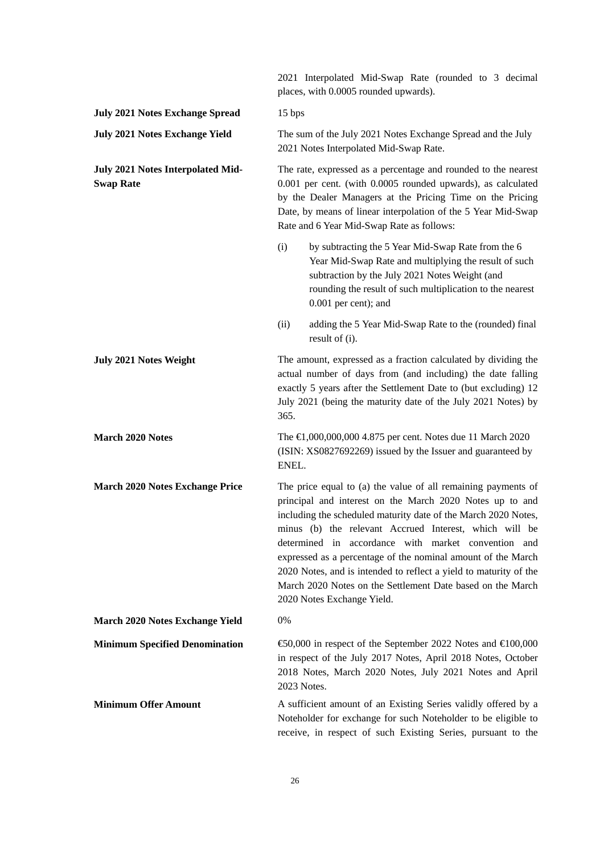2021 Interpolated Mid-Swap Rate (rounded to 3 decimal places, with 0.0005 rounded upwards). **July 2021 Notes Exchange Spread** 15 bps **July 2021 Notes Exchange Yield** The sum of the July 2021 Notes Exchange Spread and the July 2021 Notes Interpolated Mid-Swap Rate. **July 2021 Notes Interpolated Mid-Swap Rate** The rate, expressed as a percentage and rounded to the nearest 0.001 per cent. (with 0.0005 rounded upwards), as calculated by the Dealer Managers at the Pricing Time on the Pricing Date, by means of linear interpolation of the 5 Year Mid-Swap Rate and 6 Year Mid-Swap Rate as follows: (i) by subtracting the 5 Year Mid-Swap Rate from the 6 Year Mid-Swap Rate and multiplying the result of such subtraction by the July 2021 Notes Weight (and rounding the result of such multiplication to the nearest 0.001 per cent); and (ii) adding the 5 Year Mid-Swap Rate to the (rounded) final result of (i). **July 2021 Notes Weight** The amount, expressed as a fraction calculated by dividing the actual number of days from (and including) the date falling exactly 5 years after the Settlement Date to (but excluding) 12 July 2021 (being the maturity date of the July 2021 Notes) by 365. **March 2020 Notes** The **€**1,000,000,000 4.875 per cent. Notes due 11 March 2020 (ISIN: XS0827692269) issued by the Issuer and guaranteed by ENEL. **March 2020 Notes Exchange Price** The price equal to (a) the value of all remaining payments of principal and interest on the March 2020 Notes up to and including the scheduled maturity date of the March 2020 Notes, minus (b) the relevant Accrued Interest, which will be determined in accordance with market convention and expressed as a percentage of the nominal amount of the March 2020 Notes, and is intended to reflect a yield to maturity of the March 2020 Notes on the Settlement Date based on the March 2020 Notes Exchange Yield. **March 2020 Notes Exchange Yield** 0% **Minimum Specified Denomination**  $\qquad \qquad \text{€0,000}$  **in respect of the September 2022 Notes and €100,000** in respect of the July 2017 Notes, April 2018 Notes, October 2018 Notes, March 2020 Notes, July 2021 Notes and April 2023 Notes. **Minimum Offer Amount** A sufficient amount of an Existing Series validly offered by a Noteholder for exchange for such Noteholder to be eligible to receive, in respect of such Existing Series, pursuant to the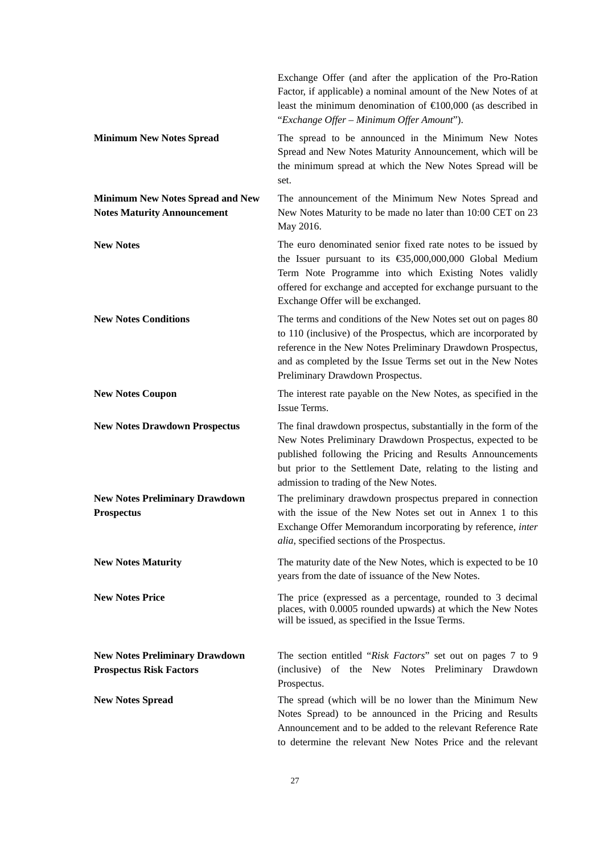|                                                                               | Exchange Offer (and after the application of the Pro-Ration<br>Factor, if applicable) a nominal amount of the New Notes of at<br>least the minimum denomination of $\in 00,000$ (as described in<br>"Exchange Offer – Minimum Offer Amount").                                                                |
|-------------------------------------------------------------------------------|--------------------------------------------------------------------------------------------------------------------------------------------------------------------------------------------------------------------------------------------------------------------------------------------------------------|
| <b>Minimum New Notes Spread</b>                                               | The spread to be announced in the Minimum New Notes<br>Spread and New Notes Maturity Announcement, which will be<br>the minimum spread at which the New Notes Spread will be<br>set.                                                                                                                         |
| <b>Minimum New Notes Spread and New</b><br><b>Notes Maturity Announcement</b> | The announcement of the Minimum New Notes Spread and<br>New Notes Maturity to be made no later than 10:00 CET on 23<br>May 2016.                                                                                                                                                                             |
| <b>New Notes</b>                                                              | The euro denominated senior fixed rate notes to be issued by<br>the Issuer pursuant to its $\text{\textsterling}5,000,000,000$ Global Medium<br>Term Note Programme into which Existing Notes validly<br>offered for exchange and accepted for exchange pursuant to the<br>Exchange Offer will be exchanged. |
| <b>New Notes Conditions</b>                                                   | The terms and conditions of the New Notes set out on pages 80<br>to 110 (inclusive) of the Prospectus, which are incorporated by<br>reference in the New Notes Preliminary Drawdown Prospectus,<br>and as completed by the Issue Terms set out in the New Notes<br>Preliminary Drawdown Prospectus.          |
| <b>New Notes Coupon</b>                                                       | The interest rate payable on the New Notes, as specified in the<br>Issue Terms.                                                                                                                                                                                                                              |
| <b>New Notes Drawdown Prospectus</b>                                          | The final drawdown prospectus, substantially in the form of the<br>New Notes Preliminary Drawdown Prospectus, expected to be<br>published following the Pricing and Results Announcements<br>but prior to the Settlement Date, relating to the listing and<br>admission to trading of the New Notes.         |
| <b>New Notes Preliminary Drawdown</b><br><b>Prospectus</b>                    | The preliminary drawdown prospectus prepared in connection<br>with the issue of the New Notes set out in Annex 1 to this<br>Exchange Offer Memorandum incorporating by reference, inter<br><i>alia</i> , specified sections of the Prospectus.                                                               |
| <b>New Notes Maturity</b>                                                     | The maturity date of the New Notes, which is expected to be 10<br>years from the date of issuance of the New Notes.                                                                                                                                                                                          |
| <b>New Notes Price</b>                                                        | The price (expressed as a percentage, rounded to 3 decimal<br>places, with 0.0005 rounded upwards) at which the New Notes<br>will be issued, as specified in the Issue Terms.                                                                                                                                |
| <b>New Notes Preliminary Drawdown</b><br><b>Prospectus Risk Factors</b>       | The section entitled "Risk Factors" set out on pages 7 to 9<br>(inclusive) of the New Notes Preliminary Drawdown<br>Prospectus.                                                                                                                                                                              |
| <b>New Notes Spread</b>                                                       | The spread (which will be no lower than the Minimum New<br>Notes Spread) to be announced in the Pricing and Results<br>Announcement and to be added to the relevant Reference Rate<br>to determine the relevant New Notes Price and the relevant                                                             |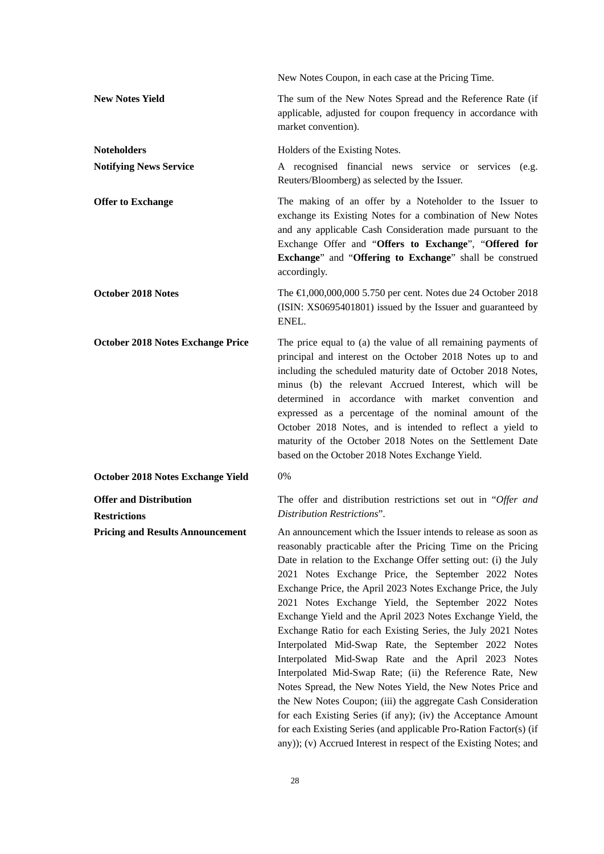| New Notes Coupon, in each case at the Pricing Time.                                                                                                                                                                                                                                                                                                                                                                                                                                                                                                                                                                                                                                                                                                                                      |
|------------------------------------------------------------------------------------------------------------------------------------------------------------------------------------------------------------------------------------------------------------------------------------------------------------------------------------------------------------------------------------------------------------------------------------------------------------------------------------------------------------------------------------------------------------------------------------------------------------------------------------------------------------------------------------------------------------------------------------------------------------------------------------------|
| The sum of the New Notes Spread and the Reference Rate (if<br>applicable, adjusted for coupon frequency in accordance with<br>market convention).                                                                                                                                                                                                                                                                                                                                                                                                                                                                                                                                                                                                                                        |
| Holders of the Existing Notes.                                                                                                                                                                                                                                                                                                                                                                                                                                                                                                                                                                                                                                                                                                                                                           |
| A recognised financial news service or services (e.g.<br>Reuters/Bloomberg) as selected by the Issuer.                                                                                                                                                                                                                                                                                                                                                                                                                                                                                                                                                                                                                                                                                   |
| The making of an offer by a Noteholder to the Issuer to<br>exchange its Existing Notes for a combination of New Notes<br>and any applicable Cash Consideration made pursuant to the<br>Exchange Offer and "Offers to Exchange", "Offered for<br>Exchange" and "Offering to Exchange" shall be construed<br>accordingly.                                                                                                                                                                                                                                                                                                                                                                                                                                                                  |
| The €1,000,000,000 5.750 per cent. Notes due 24 October 2018<br>(ISIN: XS0695401801) issued by the Issuer and guaranteed by<br>ENEL.                                                                                                                                                                                                                                                                                                                                                                                                                                                                                                                                                                                                                                                     |
| The price equal to (a) the value of all remaining payments of<br>principal and interest on the October 2018 Notes up to and<br>including the scheduled maturity date of October 2018 Notes,<br>minus (b) the relevant Accrued Interest, which will be<br>determined in accordance with market convention and<br>expressed as a percentage of the nominal amount of the<br>October 2018 Notes, and is intended to reflect a yield to<br>maturity of the October 2018 Notes on the Settlement Date<br>based on the October 2018 Notes Exchange Yield.                                                                                                                                                                                                                                      |
| 0%                                                                                                                                                                                                                                                                                                                                                                                                                                                                                                                                                                                                                                                                                                                                                                                       |
| The offer and distribution restrictions set out in "Offer and                                                                                                                                                                                                                                                                                                                                                                                                                                                                                                                                                                                                                                                                                                                            |
| Distribution Restrictions".<br>An announcement which the Issuer intends to release as soon as<br>reasonably practicable after the Pricing Time on the Pricing<br>Date in relation to the Exchange Offer setting out: (i) the July<br>2021 Notes Exchange Price, the September 2022 Notes<br>Exchange Price, the April 2023 Notes Exchange Price, the July<br>2021 Notes Exchange Yield, the September 2022 Notes<br>Exchange Yield and the April 2023 Notes Exchange Yield, the<br>Exchange Ratio for each Existing Series, the July 2021 Notes<br>Interpolated Mid-Swap Rate, the September 2022 Notes<br>Interpolated Mid-Swap Rate and the April 2023 Notes<br>Interpolated Mid-Swap Rate; (ii) the Reference Rate, New<br>Notes Spread, the New Notes Yield, the New Notes Price and |
|                                                                                                                                                                                                                                                                                                                                                                                                                                                                                                                                                                                                                                                                                                                                                                                          |

28

for each Existing Series (if any); (iv) the Acceptance Amount for each Existing Series (and applicable Pro-Ration Factor(s) (if any)); (v) Accrued Interest in respect of the Existing Notes; and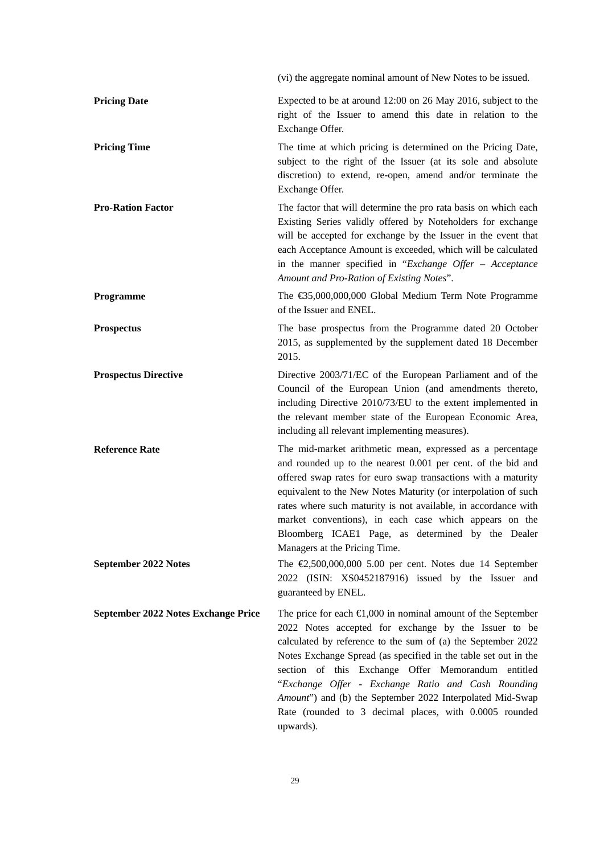|                                               | (vi) the aggregate nominal amount of New Notes to be issued.                                                                                                                                                                                                                                                                                                                                                                                                                                                                                        |
|-----------------------------------------------|-----------------------------------------------------------------------------------------------------------------------------------------------------------------------------------------------------------------------------------------------------------------------------------------------------------------------------------------------------------------------------------------------------------------------------------------------------------------------------------------------------------------------------------------------------|
| <b>Pricing Date</b>                           | Expected to be at around 12:00 on 26 May 2016, subject to the<br>right of the Issuer to amend this date in relation to the<br>Exchange Offer.                                                                                                                                                                                                                                                                                                                                                                                                       |
| <b>Pricing Time</b>                           | The time at which pricing is determined on the Pricing Date,<br>subject to the right of the Issuer (at its sole and absolute<br>discretion) to extend, re-open, amend and/or terminate the<br>Exchange Offer.                                                                                                                                                                                                                                                                                                                                       |
| <b>Pro-Ration Factor</b>                      | The factor that will determine the pro rata basis on which each<br>Existing Series validly offered by Noteholders for exchange<br>will be accepted for exchange by the Issuer in the event that<br>each Acceptance Amount is exceeded, which will be calculated<br>in the manner specified in "Exchange Offer - Acceptance<br>Amount and Pro-Ration of Existing Notes".                                                                                                                                                                             |
| Programme                                     | The €35,000,000,000 Global Medium Term Note Programme<br>of the Issuer and ENEL.                                                                                                                                                                                                                                                                                                                                                                                                                                                                    |
| <b>Prospectus</b>                             | The base prospectus from the Programme dated 20 October<br>2015, as supplemented by the supplement dated 18 December<br>2015.                                                                                                                                                                                                                                                                                                                                                                                                                       |
| <b>Prospectus Directive</b>                   | Directive 2003/71/EC of the European Parliament and of the<br>Council of the European Union (and amendments thereto,<br>including Directive 2010/73/EU to the extent implemented in<br>the relevant member state of the European Economic Area,<br>including all relevant implementing measures).                                                                                                                                                                                                                                                   |
| <b>Reference Rate</b><br>September 2022 Notes | The mid-market arithmetic mean, expressed as a percentage<br>and rounded up to the nearest 0.001 per cent. of the bid and<br>offered swap rates for euro swap transactions with a maturity<br>equivalent to the New Notes Maturity (or interpolation of such<br>rates where such maturity is not available, in accordance with<br>market conventions), in each case which appears on the<br>Bloomberg ICAE1 Page, as determined by the Dealer<br>Managers at the Pricing Time.<br>The $\text{E}, 500,000,000$ 5.00 per cent. Notes due 14 September |
|                                               | 2022 (ISIN: XS0452187916) issued by the Issuer and<br>guaranteed by ENEL.                                                                                                                                                                                                                                                                                                                                                                                                                                                                           |
| September 2022 Notes Exchange Price           | The price for each $\in 1,000$ in nominal amount of the September<br>2022 Notes accepted for exchange by the Issuer to be<br>calculated by reference to the sum of (a) the September 2022<br>Notes Exchange Spread (as specified in the table set out in the<br>section of this Exchange Offer Memorandum entitled<br>"Exchange Offer - Exchange Ratio and Cash Rounding<br>Amount") and (b) the September 2022 Interpolated Mid-Swap<br>Rate (rounded to 3 decimal places, with 0.0005 rounded<br>upwards).                                        |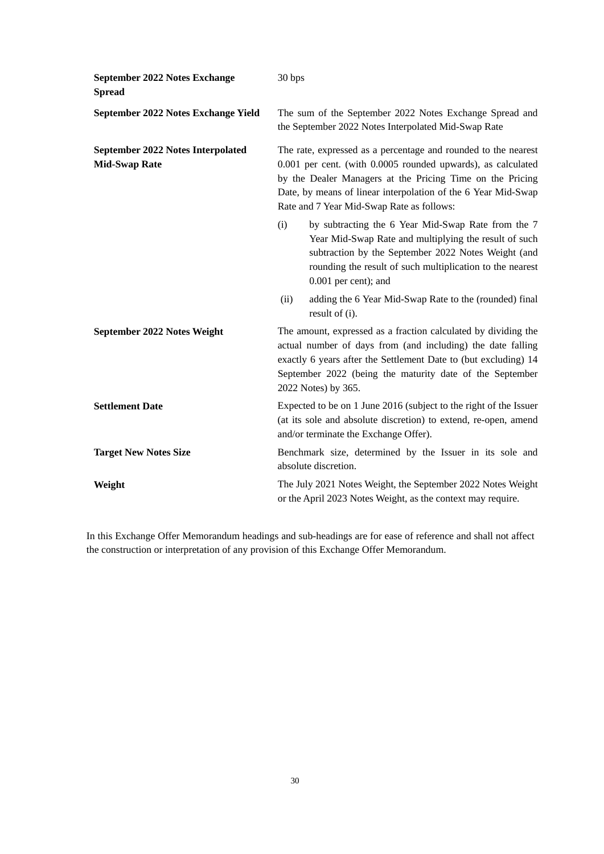| September 2022 Notes Exchange<br><b>Spread</b>                   | 30 bps                                                                                                                                                                                                                                                                                                    |
|------------------------------------------------------------------|-----------------------------------------------------------------------------------------------------------------------------------------------------------------------------------------------------------------------------------------------------------------------------------------------------------|
| September 2022 Notes Exchange Yield                              | The sum of the September 2022 Notes Exchange Spread and<br>the September 2022 Notes Interpolated Mid-Swap Rate                                                                                                                                                                                            |
| <b>September 2022 Notes Interpolated</b><br><b>Mid-Swap Rate</b> | The rate, expressed as a percentage and rounded to the nearest<br>0.001 per cent. (with 0.0005 rounded upwards), as calculated<br>by the Dealer Managers at the Pricing Time on the Pricing<br>Date, by means of linear interpolation of the 6 Year Mid-Swap<br>Rate and 7 Year Mid-Swap Rate as follows: |
|                                                                  | (i)<br>by subtracting the 6 Year Mid-Swap Rate from the 7<br>Year Mid-Swap Rate and multiplying the result of such<br>subtraction by the September 2022 Notes Weight (and<br>rounding the result of such multiplication to the nearest<br>0.001 per cent); and                                            |
|                                                                  | adding the 6 Year Mid-Swap Rate to the (rounded) final<br>(ii)<br>result of (i).                                                                                                                                                                                                                          |
| September 2022 Notes Weight                                      | The amount, expressed as a fraction calculated by dividing the<br>actual number of days from (and including) the date falling<br>exactly 6 years after the Settlement Date to (but excluding) 14<br>September 2022 (being the maturity date of the September<br>2022 Notes) by 365.                       |
| <b>Settlement Date</b>                                           | Expected to be on 1 June 2016 (subject to the right of the Issuer<br>(at its sole and absolute discretion) to extend, re-open, amend<br>and/or terminate the Exchange Offer).                                                                                                                             |
| <b>Target New Notes Size</b>                                     | Benchmark size, determined by the Issuer in its sole and<br>absolute discretion.                                                                                                                                                                                                                          |
| Weight                                                           | The July 2021 Notes Weight, the September 2022 Notes Weight<br>or the April 2023 Notes Weight, as the context may require.                                                                                                                                                                                |

In this Exchange Offer Memorandum headings and sub-headings are for ease of reference and shall not affect the construction or interpretation of any provision of this Exchange Offer Memorandum.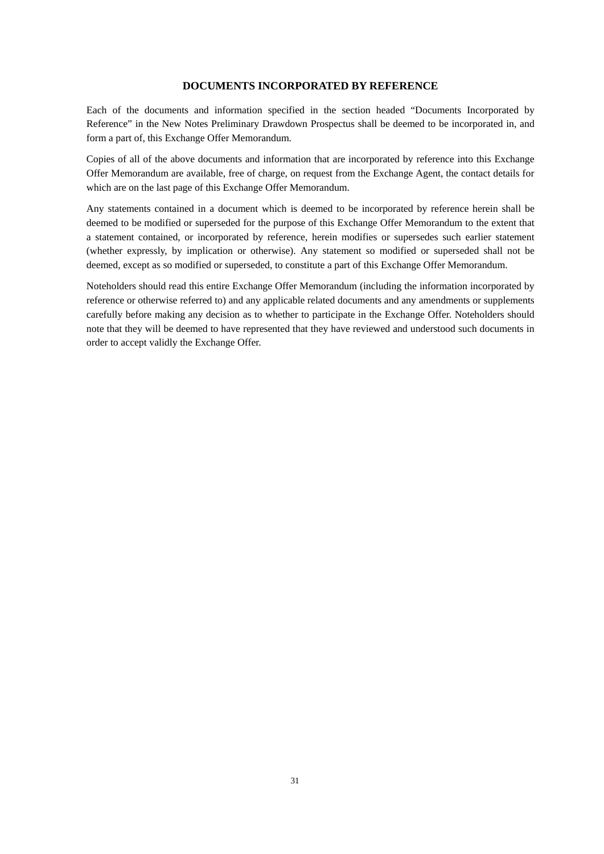# **DOCUMENTS INCORPORATED BY REFERENCE**

Each of the documents and information specified in the section headed "Documents Incorporated by Reference" in the New Notes Preliminary Drawdown Prospectus shall be deemed to be incorporated in, and form a part of, this Exchange Offer Memorandum.

Copies of all of the above documents and information that are incorporated by reference into this Exchange Offer Memorandum are available, free of charge, on request from the Exchange Agent, the contact details for which are on the last page of this Exchange Offer Memorandum.

Any statements contained in a document which is deemed to be incorporated by reference herein shall be deemed to be modified or superseded for the purpose of this Exchange Offer Memorandum to the extent that a statement contained, or incorporated by reference, herein modifies or supersedes such earlier statement (whether expressly, by implication or otherwise). Any statement so modified or superseded shall not be deemed, except as so modified or superseded, to constitute a part of this Exchange Offer Memorandum.

Noteholders should read this entire Exchange Offer Memorandum (including the information incorporated by reference or otherwise referred to) and any applicable related documents and any amendments or supplements carefully before making any decision as to whether to participate in the Exchange Offer. Noteholders should note that they will be deemed to have represented that they have reviewed and understood such documents in order to accept validly the Exchange Offer.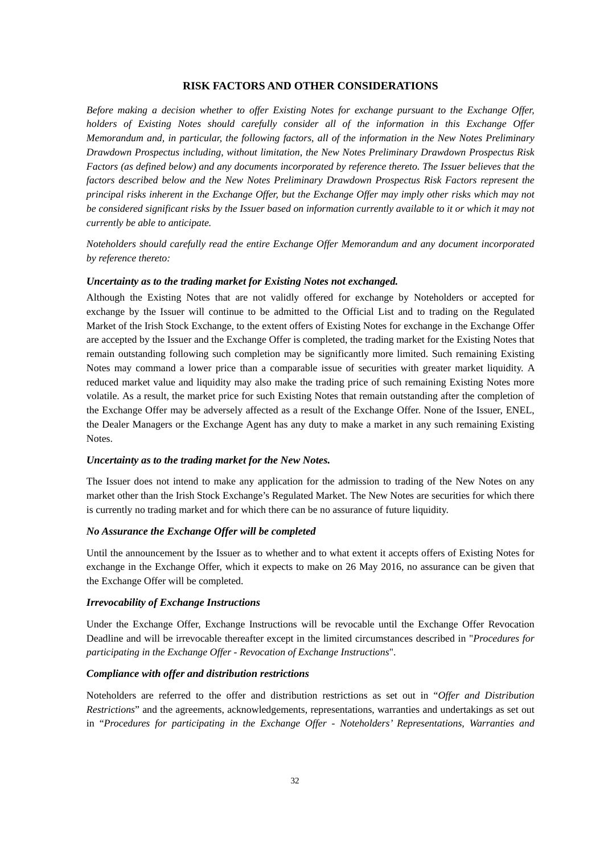# **RISK FACTORS AND OTHER CONSIDERATIONS**

*Before making a decision whether to offer Existing Notes for exchange pursuant to the Exchange Offer, holders of Existing Notes should carefully consider all of the information in this Exchange Offer Memorandum and, in particular, the following factors, all of the information in the New Notes Preliminary Drawdown Prospectus including, without limitation, the New Notes Preliminary Drawdown Prospectus Risk Factors (as defined below) and any documents incorporated by reference thereto. The Issuer believes that the factors described below and the New Notes Preliminary Drawdown Prospectus Risk Factors represent the principal risks inherent in the Exchange Offer, but the Exchange Offer may imply other risks which may not be considered significant risks by the Issuer based on information currently available to it or which it may not currently be able to anticipate.*

*Noteholders should carefully read the entire Exchange Offer Memorandum and any document incorporated by reference thereto:*

### *Uncertainty as to the trading market for Existing Notes not exchanged.*

Although the Existing Notes that are not validly offered for exchange by Noteholders or accepted for exchange by the Issuer will continue to be admitted to the Official List and to trading on the Regulated Market of the Irish Stock Exchange, to the extent offers of Existing Notes for exchange in the Exchange Offer are accepted by the Issuer and the Exchange Offer is completed, the trading market for the Existing Notes that remain outstanding following such completion may be significantly more limited. Such remaining Existing Notes may command a lower price than a comparable issue of securities with greater market liquidity. A reduced market value and liquidity may also make the trading price of such remaining Existing Notes more volatile. As a result, the market price for such Existing Notes that remain outstanding after the completion of the Exchange Offer may be adversely affected as a result of the Exchange Offer. None of the Issuer, ENEL, the Dealer Managers or the Exchange Agent has any duty to make a market in any such remaining Existing Notes.

#### *Uncertainty as to the trading market for the New Notes.*

The Issuer does not intend to make any application for the admission to trading of the New Notes on any market other than the Irish Stock Exchange's Regulated Market. The New Notes are securities for which there is currently no trading market and for which there can be no assurance of future liquidity.

### *No Assurance the Exchange Offer will be completed*

Until the announcement by the Issuer as to whether and to what extent it accepts offers of Existing Notes for exchange in the Exchange Offer, which it expects to make on 26 May 2016, no assurance can be given that the Exchange Offer will be completed.

#### *Irrevocability of Exchange Instructions*

Under the Exchange Offer, Exchange Instructions will be revocable until the Exchange Offer Revocation Deadline and will be irrevocable thereafter except in the limited circumstances described in "*Procedures for participating in the Exchange Offer - Revocation of Exchange Instructions*".

### *Compliance with offer and distribution restrictions*

Noteholders are referred to the offer and distribution restrictions as set out in "*Offer and Distribution Restrictions*" and the agreements, acknowledgements, representations, warranties and undertakings as set out in "*Procedures for participating in the Exchange Offer - Noteholders' Representations, Warranties and*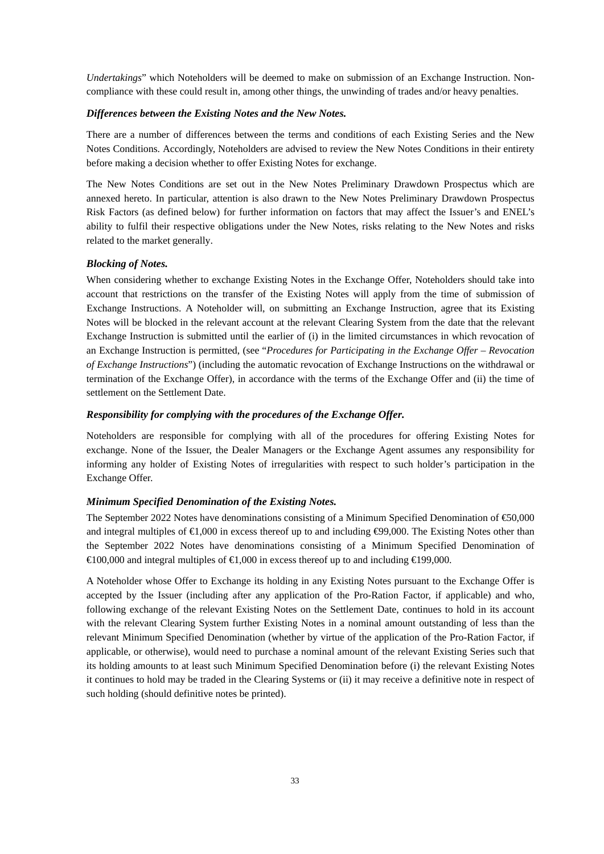*Undertakings*" which Noteholders will be deemed to make on submission of an Exchange Instruction. Noncompliance with these could result in, among other things, the unwinding of trades and/or heavy penalties.

# *Differences between the Existing Notes and the New Notes.*

There are a number of differences between the terms and conditions of each Existing Series and the New Notes Conditions. Accordingly, Noteholders are advised to review the New Notes Conditions in their entirety before making a decision whether to offer Existing Notes for exchange.

The New Notes Conditions are set out in the New Notes Preliminary Drawdown Prospectus which are annexed hereto. In particular, attention is also drawn to the New Notes Preliminary Drawdown Prospectus Risk Factors (as defined below) for further information on factors that may affect the Issuer's and ENEL's ability to fulfil their respective obligations under the New Notes, risks relating to the New Notes and risks related to the market generally.

# *Blocking of Notes.*

When considering whether to exchange Existing Notes in the Exchange Offer, Noteholders should take into account that restrictions on the transfer of the Existing Notes will apply from the time of submission of Exchange Instructions. A Noteholder will, on submitting an Exchange Instruction, agree that its Existing Notes will be blocked in the relevant account at the relevant Clearing System from the date that the relevant Exchange Instruction is submitted until the earlier of (i) in the limited circumstances in which revocation of an Exchange Instruction is permitted, (see "*Procedures for Participating in the Exchange Offer – Revocation of Exchange Instructions*") (including the automatic revocation of Exchange Instructions on the withdrawal or termination of the Exchange Offer), in accordance with the terms of the Exchange Offer and (ii) the time of settlement on the Settlement Date.

# *Responsibility for complying with the procedures of the Exchange Offer.*

Noteholders are responsible for complying with all of the procedures for offering Existing Notes for exchange. None of the Issuer, the Dealer Managers or the Exchange Agent assumes any responsibility for informing any holder of Existing Notes of irregularities with respect to such holder's participation in the Exchange Offer.

### *Minimum Specified Denomination of the Existing Notes.*

The September 2022 Notes have denominations consisting of a Minimum Specified Denomination of  $\epsilon$ 50,000 and integral multiples of  $\bigoplus$ ,000 in excess thereof up to and including  $\bigoplus$ 9,000. The Existing Notes other than the September 2022 Notes have denominations consisting of a Minimum Specified Denomination of  $\in$ 100,000 and integral multiples of  $\in$ 1,000 in excess thereof up to and including  $\in$ 199,000.

A Noteholder whose Offer to Exchange its holding in any Existing Notes pursuant to the Exchange Offer is accepted by the Issuer (including after any application of the Pro-Ration Factor, if applicable) and who, following exchange of the relevant Existing Notes on the Settlement Date, continues to hold in its account with the relevant Clearing System further Existing Notes in a nominal amount outstanding of less than the relevant Minimum Specified Denomination (whether by virtue of the application of the Pro-Ration Factor, if applicable, or otherwise), would need to purchase a nominal amount of the relevant Existing Series such that its holding amounts to at least such Minimum Specified Denomination before (i) the relevant Existing Notes it continues to hold may be traded in the Clearing Systems or (ii) it may receive a definitive note in respect of such holding (should definitive notes be printed).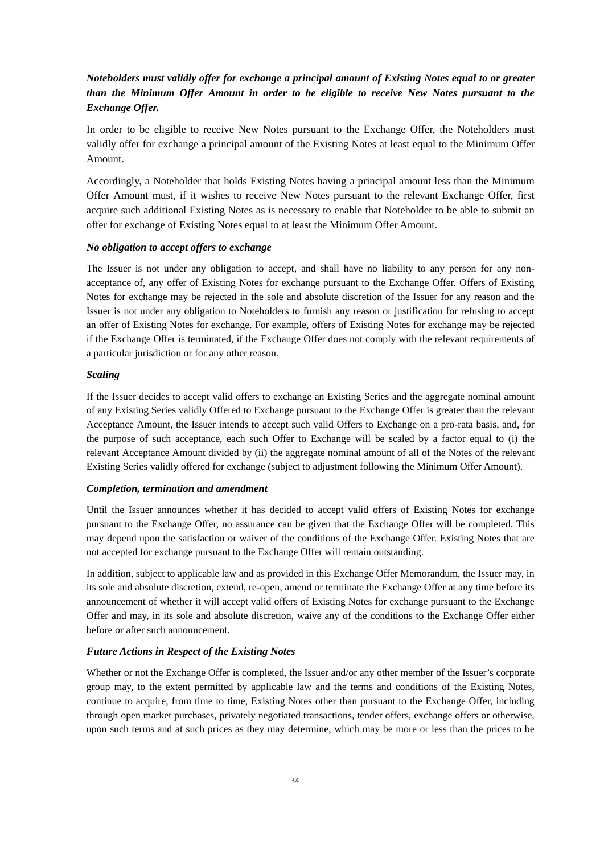# *Noteholders must validly offer for exchange a principal amount of Existing Notes equal to or greater than the Minimum Offer Amount in order to be eligible to receive New Notes pursuant to the Exchange Offer.*

In order to be eligible to receive New Notes pursuant to the Exchange Offer, the Noteholders must validly offer for exchange a principal amount of the Existing Notes at least equal to the Minimum Offer Amount.

Accordingly, a Noteholder that holds Existing Notes having a principal amount less than the Minimum Offer Amount must, if it wishes to receive New Notes pursuant to the relevant Exchange Offer, first acquire such additional Existing Notes as is necessary to enable that Noteholder to be able to submit an offer for exchange of Existing Notes equal to at least the Minimum Offer Amount.

## *No obligation to accept offers to exchange*

The Issuer is not under any obligation to accept, and shall have no liability to any person for any nonacceptance of, any offer of Existing Notes for exchange pursuant to the Exchange Offer. Offers of Existing Notes for exchange may be rejected in the sole and absolute discretion of the Issuer for any reason and the Issuer is not under any obligation to Noteholders to furnish any reason or justification for refusing to accept an offer of Existing Notes for exchange. For example, offers of Existing Notes for exchange may be rejected if the Exchange Offer is terminated, if the Exchange Offer does not comply with the relevant requirements of a particular jurisdiction or for any other reason.

## *Scaling*

If the Issuer decides to accept valid offers to exchange an Existing Series and the aggregate nominal amount of any Existing Series validly Offered to Exchange pursuant to the Exchange Offer is greater than the relevant Acceptance Amount, the Issuer intends to accept such valid Offers to Exchange on a pro-rata basis, and, for the purpose of such acceptance, each such Offer to Exchange will be scaled by a factor equal to (i) the relevant Acceptance Amount divided by (ii) the aggregate nominal amount of all of the Notes of the relevant Existing Series validly offered for exchange (subject to adjustment following the Minimum Offer Amount).

### *Completion, termination and amendment*

Until the Issuer announces whether it has decided to accept valid offers of Existing Notes for exchange pursuant to the Exchange Offer, no assurance can be given that the Exchange Offer will be completed. This may depend upon the satisfaction or waiver of the conditions of the Exchange Offer. Existing Notes that are not accepted for exchange pursuant to the Exchange Offer will remain outstanding.

In addition, subject to applicable law and as provided in this Exchange Offer Memorandum, the Issuer may, in its sole and absolute discretion, extend, re-open, amend or terminate the Exchange Offer at any time before its announcement of whether it will accept valid offers of Existing Notes for exchange pursuant to the Exchange Offer and may, in its sole and absolute discretion, waive any of the conditions to the Exchange Offer either before or after such announcement.

## *Future Actions in Respect of the Existing Notes*

Whether or not the Exchange Offer is completed, the Issuer and/or any other member of the Issuer's corporate group may, to the extent permitted by applicable law and the terms and conditions of the Existing Notes, continue to acquire, from time to time, Existing Notes other than pursuant to the Exchange Offer, including through open market purchases, privately negotiated transactions, tender offers, exchange offers or otherwise, upon such terms and at such prices as they may determine, which may be more or less than the prices to be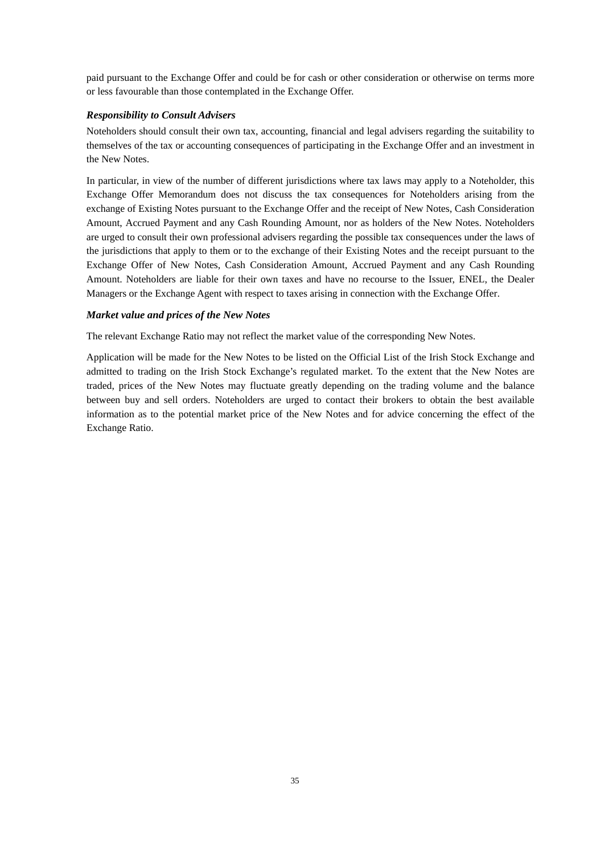paid pursuant to the Exchange Offer and could be for cash or other consideration or otherwise on terms more or less favourable than those contemplated in the Exchange Offer.

## *Responsibility to Consult Advisers*

Noteholders should consult their own tax, accounting, financial and legal advisers regarding the suitability to themselves of the tax or accounting consequences of participating in the Exchange Offer and an investment in the New Notes.

In particular, in view of the number of different jurisdictions where tax laws may apply to a Noteholder, this Exchange Offer Memorandum does not discuss the tax consequences for Noteholders arising from the exchange of Existing Notes pursuant to the Exchange Offer and the receipt of New Notes, Cash Consideration Amount, Accrued Payment and any Cash Rounding Amount, nor as holders of the New Notes. Noteholders are urged to consult their own professional advisers regarding the possible tax consequences under the laws of the jurisdictions that apply to them or to the exchange of their Existing Notes and the receipt pursuant to the Exchange Offer of New Notes, Cash Consideration Amount, Accrued Payment and any Cash Rounding Amount. Noteholders are liable for their own taxes and have no recourse to the Issuer, ENEL, the Dealer Managers or the Exchange Agent with respect to taxes arising in connection with the Exchange Offer.

## *Market value and prices of the New Notes*

The relevant Exchange Ratio may not reflect the market value of the corresponding New Notes.

Application will be made for the New Notes to be listed on the Official List of the Irish Stock Exchange and admitted to trading on the Irish Stock Exchange's regulated market. To the extent that the New Notes are traded, prices of the New Notes may fluctuate greatly depending on the trading volume and the balance between buy and sell orders. Noteholders are urged to contact their brokers to obtain the best available information as to the potential market price of the New Notes and for advice concerning the effect of the Exchange Ratio.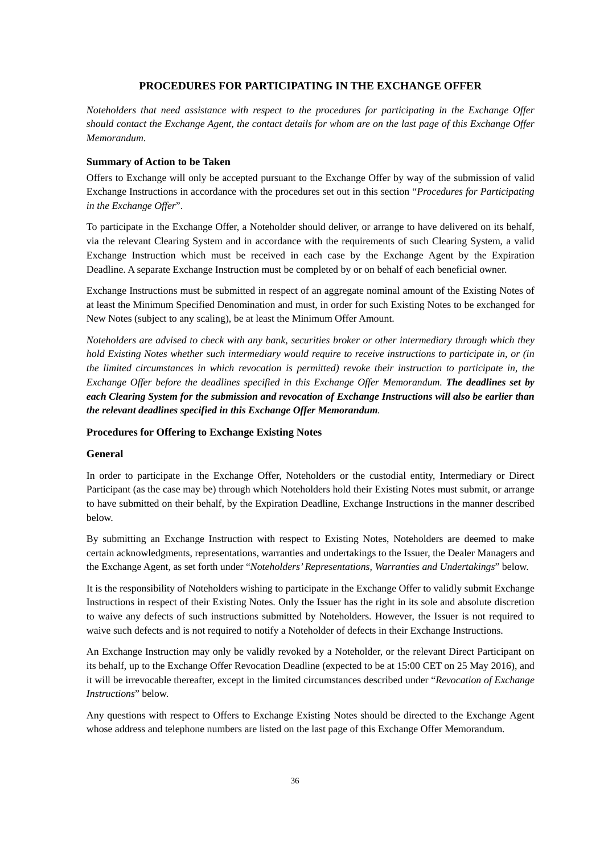## **PROCEDURES FOR PARTICIPATING IN THE EXCHANGE OFFER**

*Noteholders that need assistance with respect to the procedures for participating in the Exchange Offer should contact the Exchange Agent, the contact details for whom are on the last page of this Exchange Offer Memorandum.*

### **Summary of Action to be Taken**

Offers to Exchange will only be accepted pursuant to the Exchange Offer by way of the submission of valid Exchange Instructions in accordance with the procedures set out in this section "*Procedures for Participating in the Exchange Offer*".

To participate in the Exchange Offer, a Noteholder should deliver, or arrange to have delivered on its behalf, via the relevant Clearing System and in accordance with the requirements of such Clearing System, a valid Exchange Instruction which must be received in each case by the Exchange Agent by the Expiration Deadline. A separate Exchange Instruction must be completed by or on behalf of each beneficial owner.

Exchange Instructions must be submitted in respect of an aggregate nominal amount of the Existing Notes of at least the Minimum Specified Denomination and must, in order for such Existing Notes to be exchanged for New Notes (subject to any scaling), be at least the Minimum Offer Amount.

*Noteholders are advised to check with any bank, securities broker or other intermediary through which they hold Existing Notes whether such intermediary would require to receive instructions to participate in, or (in the limited circumstances in which revocation is permitted) revoke their instruction to participate in, the Exchange Offer before the deadlines specified in this Exchange Offer Memorandum. The deadlines set by each Clearing System for the submission and revocation of Exchange Instructions will also be earlier than the relevant deadlines specified in this Exchange Offer Memorandum.*

### **Procedures for Offering to Exchange Existing Notes**

#### **General**

In order to participate in the Exchange Offer, Noteholders or the custodial entity, Intermediary or Direct Participant (as the case may be) through which Noteholders hold their Existing Notes must submit, or arrange to have submitted on their behalf, by the Expiration Deadline, Exchange Instructions in the manner described below.

By submitting an Exchange Instruction with respect to Existing Notes, Noteholders are deemed to make certain acknowledgments, representations, warranties and undertakings to the Issuer, the Dealer Managers and the Exchange Agent, as set forth under "*Noteholders' Representations, Warranties and Undertakings*" below.

It is the responsibility of Noteholders wishing to participate in the Exchange Offer to validly submit Exchange Instructions in respect of their Existing Notes. Only the Issuer has the right in its sole and absolute discretion to waive any defects of such instructions submitted by Noteholders. However, the Issuer is not required to waive such defects and is not required to notify a Noteholder of defects in their Exchange Instructions.

An Exchange Instruction may only be validly revoked by a Noteholder, or the relevant Direct Participant on its behalf, up to the Exchange Offer Revocation Deadline (expected to be at 15:00 CET on 25 May 2016), and it will be irrevocable thereafter, except in the limited circumstances described under "*Revocation of Exchange Instructions*" below.

Any questions with respect to Offers to Exchange Existing Notes should be directed to the Exchange Agent whose address and telephone numbers are listed on the last page of this Exchange Offer Memorandum.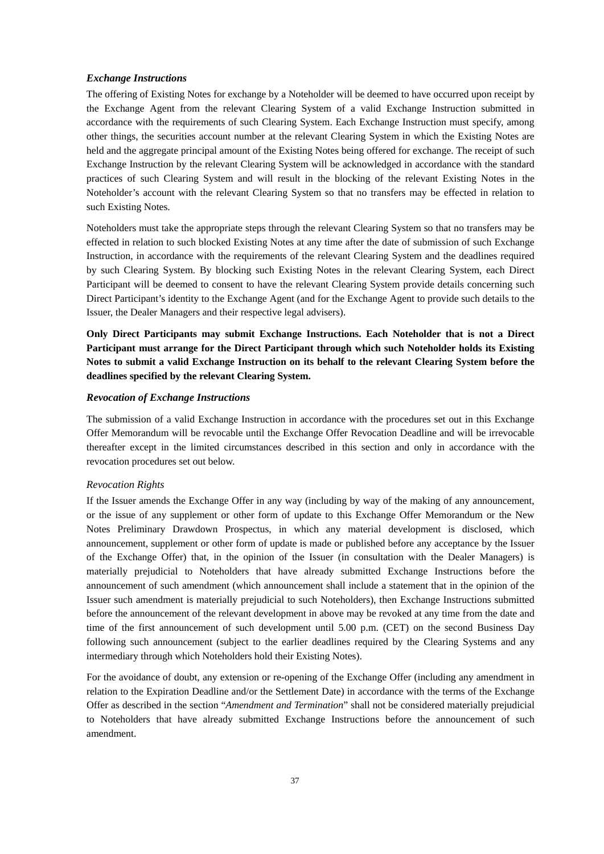### *Exchange Instructions*

The offering of Existing Notes for exchange by a Noteholder will be deemed to have occurred upon receipt by the Exchange Agent from the relevant Clearing System of a valid Exchange Instruction submitted in accordance with the requirements of such Clearing System. Each Exchange Instruction must specify, among other things, the securities account number at the relevant Clearing System in which the Existing Notes are held and the aggregate principal amount of the Existing Notes being offered for exchange. The receipt of such Exchange Instruction by the relevant Clearing System will be acknowledged in accordance with the standard practices of such Clearing System and will result in the blocking of the relevant Existing Notes in the Noteholder's account with the relevant Clearing System so that no transfers may be effected in relation to such Existing Notes.

Noteholders must take the appropriate steps through the relevant Clearing System so that no transfers may be effected in relation to such blocked Existing Notes at any time after the date of submission of such Exchange Instruction, in accordance with the requirements of the relevant Clearing System and the deadlines required by such Clearing System. By blocking such Existing Notes in the relevant Clearing System, each Direct Participant will be deemed to consent to have the relevant Clearing System provide details concerning such Direct Participant's identity to the Exchange Agent (and for the Exchange Agent to provide such details to the Issuer, the Dealer Managers and their respective legal advisers).

**Only Direct Participants may submit Exchange Instructions. Each Noteholder that is not a Direct Participant must arrange for the Direct Participant through which such Noteholder holds its Existing Notes to submit a valid Exchange Instruction on its behalf to the relevant Clearing System before the deadlines specified by the relevant Clearing System.**

### *Revocation of Exchange Instructions*

The submission of a valid Exchange Instruction in accordance with the procedures set out in this Exchange Offer Memorandum will be revocable until the Exchange Offer Revocation Deadline and will be irrevocable thereafter except in the limited circumstances described in this section and only in accordance with the revocation procedures set out below.

### *Revocation Rights*

If the Issuer amends the Exchange Offer in any way (including by way of the making of any announcement, or the issue of any supplement or other form of update to this Exchange Offer Memorandum or the New Notes Preliminary Drawdown Prospectus, in which any material development is disclosed, which announcement, supplement or other form of update is made or published before any acceptance by the Issuer of the Exchange Offer) that, in the opinion of the Issuer (in consultation with the Dealer Managers) is materially prejudicial to Noteholders that have already submitted Exchange Instructions before the announcement of such amendment (which announcement shall include a statement that in the opinion of the Issuer such amendment is materially prejudicial to such Noteholders), then Exchange Instructions submitted before the announcement of the relevant development in above may be revoked at any time from the date and time of the first announcement of such development until 5.00 p.m. (CET) on the second Business Day following such announcement (subject to the earlier deadlines required by the Clearing Systems and any intermediary through which Noteholders hold their Existing Notes).

For the avoidance of doubt, any extension or re-opening of the Exchange Offer (including any amendment in relation to the Expiration Deadline and/or the Settlement Date) in accordance with the terms of the Exchange Offer as described in the section "*Amendment and Termination*" shall not be considered materially prejudicial to Noteholders that have already submitted Exchange Instructions before the announcement of such amendment.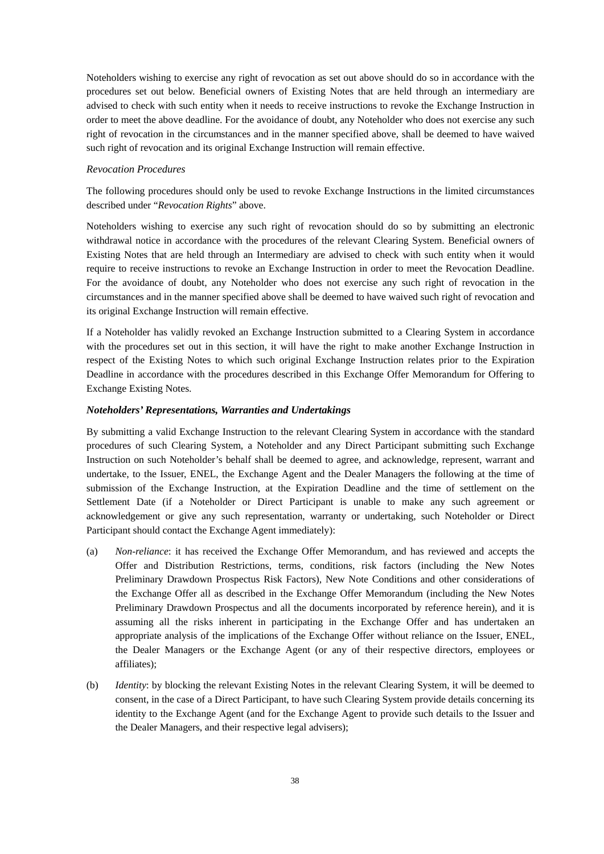Noteholders wishing to exercise any right of revocation as set out above should do so in accordance with the procedures set out below. Beneficial owners of Existing Notes that are held through an intermediary are advised to check with such entity when it needs to receive instructions to revoke the Exchange Instruction in order to meet the above deadline. For the avoidance of doubt, any Noteholder who does not exercise any such right of revocation in the circumstances and in the manner specified above, shall be deemed to have waived such right of revocation and its original Exchange Instruction will remain effective.

### *Revocation Procedures*

The following procedures should only be used to revoke Exchange Instructions in the limited circumstances described under "*Revocation Rights*" above.

Noteholders wishing to exercise any such right of revocation should do so by submitting an electronic withdrawal notice in accordance with the procedures of the relevant Clearing System. Beneficial owners of Existing Notes that are held through an Intermediary are advised to check with such entity when it would require to receive instructions to revoke an Exchange Instruction in order to meet the Revocation Deadline. For the avoidance of doubt, any Noteholder who does not exercise any such right of revocation in the circumstances and in the manner specified above shall be deemed to have waived such right of revocation and its original Exchange Instruction will remain effective.

If a Noteholder has validly revoked an Exchange Instruction submitted to a Clearing System in accordance with the procedures set out in this section, it will have the right to make another Exchange Instruction in respect of the Existing Notes to which such original Exchange Instruction relates prior to the Expiration Deadline in accordance with the procedures described in this Exchange Offer Memorandum for Offering to Exchange Existing Notes.

## *Noteholders' Representations, Warranties and Undertakings*

By submitting a valid Exchange Instruction to the relevant Clearing System in accordance with the standard procedures of such Clearing System, a Noteholder and any Direct Participant submitting such Exchange Instruction on such Noteholder's behalf shall be deemed to agree, and acknowledge, represent, warrant and undertake, to the Issuer, ENEL, the Exchange Agent and the Dealer Managers the following at the time of submission of the Exchange Instruction, at the Expiration Deadline and the time of settlement on the Settlement Date (if a Noteholder or Direct Participant is unable to make any such agreement or acknowledgement or give any such representation, warranty or undertaking, such Noteholder or Direct Participant should contact the Exchange Agent immediately):

- (a) *Non-reliance*: it has received the Exchange Offer Memorandum, and has reviewed and accepts the Offer and Distribution Restrictions, terms, conditions, risk factors (including the New Notes Preliminary Drawdown Prospectus Risk Factors), New Note Conditions and other considerations of the Exchange Offer all as described in the Exchange Offer Memorandum (including the New Notes Preliminary Drawdown Prospectus and all the documents incorporated by reference herein), and it is assuming all the risks inherent in participating in the Exchange Offer and has undertaken an appropriate analysis of the implications of the Exchange Offer without reliance on the Issuer, ENEL, the Dealer Managers or the Exchange Agent (or any of their respective directors, employees or affiliates);
- (b) *Identity*: by blocking the relevant Existing Notes in the relevant Clearing System, it will be deemed to consent, in the case of a Direct Participant, to have such Clearing System provide details concerning its identity to the Exchange Agent (and for the Exchange Agent to provide such details to the Issuer and the Dealer Managers, and their respective legal advisers);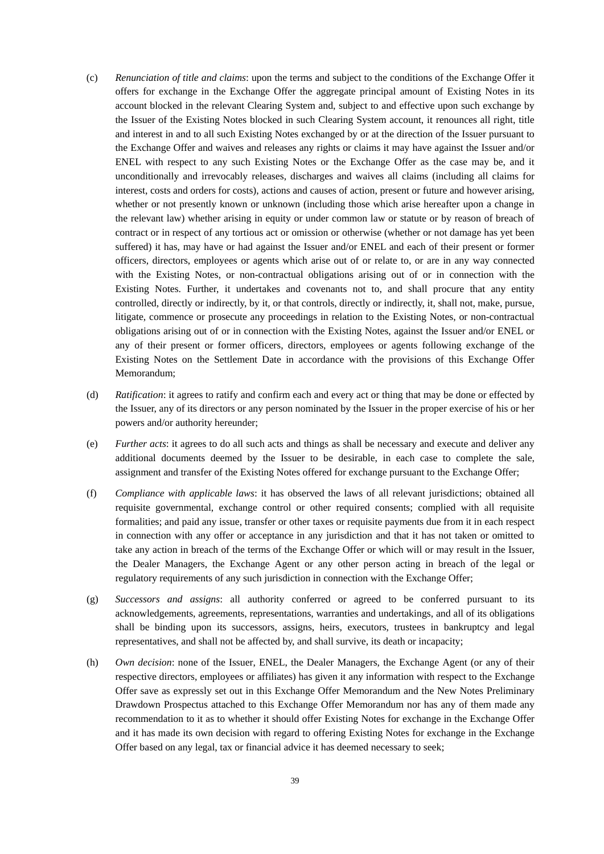- (c) *Renunciation of title and claims*: upon the terms and subject to the conditions of the Exchange Offer it offers for exchange in the Exchange Offer the aggregate principal amount of Existing Notes in its account blocked in the relevant Clearing System and, subject to and effective upon such exchange by the Issuer of the Existing Notes blocked in such Clearing System account, it renounces all right, title and interest in and to all such Existing Notes exchanged by or at the direction of the Issuer pursuant to the Exchange Offer and waives and releases any rights or claims it may have against the Issuer and/or ENEL with respect to any such Existing Notes or the Exchange Offer as the case may be, and it unconditionally and irrevocably releases, discharges and waives all claims (including all claims for interest, costs and orders for costs), actions and causes of action, present or future and however arising, whether or not presently known or unknown (including those which arise hereafter upon a change in the relevant law) whether arising in equity or under common law or statute or by reason of breach of contract or in respect of any tortious act or omission or otherwise (whether or not damage has yet been suffered) it has, may have or had against the Issuer and/or ENEL and each of their present or former officers, directors, employees or agents which arise out of or relate to, or are in any way connected with the Existing Notes, or non-contractual obligations arising out of or in connection with the Existing Notes. Further, it undertakes and covenants not to, and shall procure that any entity controlled, directly or indirectly, by it, or that controls, directly or indirectly, it, shall not, make, pursue, litigate, commence or prosecute any proceedings in relation to the Existing Notes, or non-contractual obligations arising out of or in connection with the Existing Notes, against the Issuer and/or ENEL or any of their present or former officers, directors, employees or agents following exchange of the Existing Notes on the Settlement Date in accordance with the provisions of this Exchange Offer Memorandum;
- (d) *Ratification*: it agrees to ratify and confirm each and every act or thing that may be done or effected by the Issuer, any of its directors or any person nominated by the Issuer in the proper exercise of his or her powers and/or authority hereunder;
- (e) *Further acts*: it agrees to do all such acts and things as shall be necessary and execute and deliver any additional documents deemed by the Issuer to be desirable, in each case to complete the sale, assignment and transfer of the Existing Notes offered for exchange pursuant to the Exchange Offer;
- (f) *Compliance with applicable laws*: it has observed the laws of all relevant jurisdictions; obtained all requisite governmental, exchange control or other required consents; complied with all requisite formalities; and paid any issue, transfer or other taxes or requisite payments due from it in each respect in connection with any offer or acceptance in any jurisdiction and that it has not taken or omitted to take any action in breach of the terms of the Exchange Offer or which will or may result in the Issuer, the Dealer Managers, the Exchange Agent or any other person acting in breach of the legal or regulatory requirements of any such jurisdiction in connection with the Exchange Offer;
- (g) *Successors and assigns*: all authority conferred or agreed to be conferred pursuant to its acknowledgements, agreements, representations, warranties and undertakings, and all of its obligations shall be binding upon its successors, assigns, heirs, executors, trustees in bankruptcy and legal representatives, and shall not be affected by, and shall survive, its death or incapacity;
- (h) *Own decision*: none of the Issuer, ENEL, the Dealer Managers, the Exchange Agent (or any of their respective directors, employees or affiliates) has given it any information with respect to the Exchange Offer save as expressly set out in this Exchange Offer Memorandum and the New Notes Preliminary Drawdown Prospectus attached to this Exchange Offer Memorandum nor has any of them made any recommendation to it as to whether it should offer Existing Notes for exchange in the Exchange Offer and it has made its own decision with regard to offering Existing Notes for exchange in the Exchange Offer based on any legal, tax or financial advice it has deemed necessary to seek;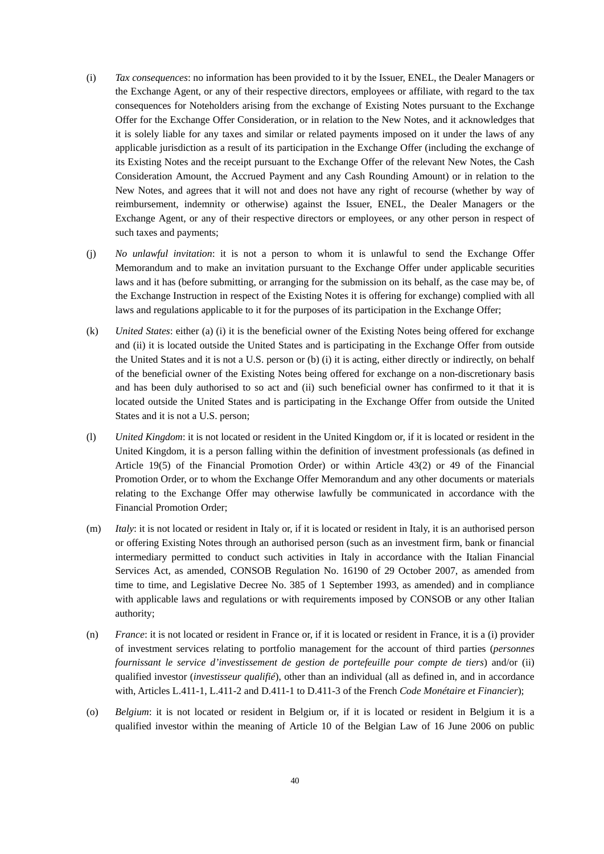- (i) *Tax consequences*: no information has been provided to it by the Issuer, ENEL, the Dealer Managers or the Exchange Agent, or any of their respective directors, employees or affiliate, with regard to the tax consequences for Noteholders arising from the exchange of Existing Notes pursuant to the Exchange Offer for the Exchange Offer Consideration, or in relation to the New Notes, and it acknowledges that it is solely liable for any taxes and similar or related payments imposed on it under the laws of any applicable jurisdiction as a result of its participation in the Exchange Offer (including the exchange of its Existing Notes and the receipt pursuant to the Exchange Offer of the relevant New Notes, the Cash Consideration Amount, the Accrued Payment and any Cash Rounding Amount) or in relation to the New Notes, and agrees that it will not and does not have any right of recourse (whether by way of reimbursement, indemnity or otherwise) against the Issuer, ENEL, the Dealer Managers or the Exchange Agent, or any of their respective directors or employees, or any other person in respect of such taxes and payments;
- (j) *No unlawful invitation*: it is not a person to whom it is unlawful to send the Exchange Offer Memorandum and to make an invitation pursuant to the Exchange Offer under applicable securities laws and it has (before submitting, or arranging for the submission on its behalf, as the case may be, of the Exchange Instruction in respect of the Existing Notes it is offering for exchange) complied with all laws and regulations applicable to it for the purposes of its participation in the Exchange Offer;
- (k) *United States*: either (a) (i) it is the beneficial owner of the Existing Notes being offered for exchange and (ii) it is located outside the United States and is participating in the Exchange Offer from outside the United States and it is not a U.S. person or (b) (i) it is acting, either directly or indirectly, on behalf of the beneficial owner of the Existing Notes being offered for exchange on a non-discretionary basis and has been duly authorised to so act and (ii) such beneficial owner has confirmed to it that it is located outside the United States and is participating in the Exchange Offer from outside the United States and it is not a U.S. person;
- (l) *United Kingdom*: it is not located or resident in the United Kingdom or, if it is located or resident in the United Kingdom, it is a person falling within the definition of investment professionals (as defined in Article 19(5) of the Financial Promotion Order) or within Article 43(2) or 49 of the Financial Promotion Order, or to whom the Exchange Offer Memorandum and any other documents or materials relating to the Exchange Offer may otherwise lawfully be communicated in accordance with the Financial Promotion Order;
- (m) *Italy*: it is not located or resident in Italy or, if it is located or resident in Italy, it is an authorised person or offering Existing Notes through an authorised person (such as an investment firm, bank or financial intermediary permitted to conduct such activities in Italy in accordance with the Italian Financial Services Act, as amended, CONSOB Regulation No. 16190 of 29 October 2007, as amended from time to time, and Legislative Decree No. 385 of 1 September 1993, as amended) and in compliance with applicable laws and regulations or with requirements imposed by CONSOB or any other Italian authority;
- (n) *France*: it is not located or resident in France or, if it is located or resident in France, it is a (i) provider of investment services relating to portfolio management for the account of third parties (*personnes fournissant le service d'investissement de gestion de portefeuille pour compte de tiers*) and/or (ii) qualified investor (*investisseur qualifié*), other than an individual (all as defined in, and in accordance with, Articles L.411-1, L.411-2 and D.411-1 to D.411-3 of the French *Code Monétaire et Financier*);
- (o) *Belgium*: it is not located or resident in Belgium or, if it is located or resident in Belgium it is a qualified investor within the meaning of Article 10 of the Belgian Law of 16 June 2006 on public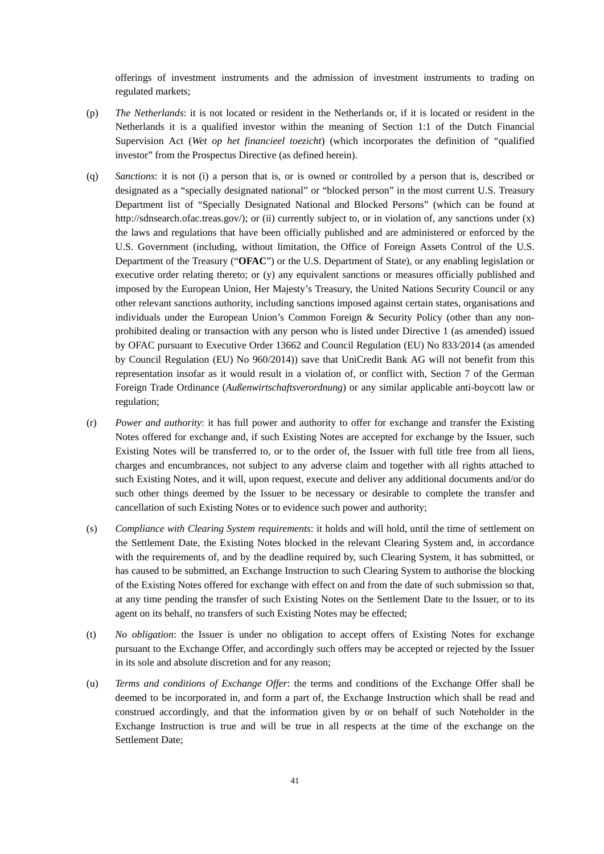offerings of investment instruments and the admission of investment instruments to trading on regulated markets;

- (p) *The Netherlands*: it is not located or resident in the Netherlands or, if it is located or resident in the Netherlands it is a qualified investor within the meaning of Section 1:1 of the Dutch Financial Supervision Act (*Wet op het financieel toezicht*) (which incorporates the definition of "qualified investor" from the Prospectus Directive (as defined herein).
- (q) *Sanctions*: it is not (i) a person that is, or is owned or controlled by a person that is, described or designated as a "specially designated national" or "blocked person" in the most current U.S. Treasury Department list of "Specially Designated National and Blocked Persons" (which can be found at http://sdnsearch.ofac.treas.gov/); or (ii) currently subject to, or in violation of, any sanctions under (x) the laws and regulations that have been officially published and are administered or enforced by the U.S. Government (including, without limitation, the Office of Foreign Assets Control of the U.S. Department of the Treasury ("**OFAC**") or the U.S. Department of State), or any enabling legislation or executive order relating thereto; or (y) any equivalent sanctions or measures officially published and imposed by the European Union, Her Majesty's Treasury, the United Nations Security Council or any other relevant sanctions authority, including sanctions imposed against certain states, organisations and individuals under the European Union's Common Foreign & Security Policy (other than any nonprohibited dealing or transaction with any person who is listed under Directive 1 (as amended) issued by OFAC pursuant to Executive Order 13662 and Council Regulation (EU) No 833/2014 (as amended by Council Regulation (EU) No 960/2014)) save that UniCredit Bank AG will not benefit from this representation insofar as it would result in a violation of, or conflict with, Section 7 of the German Foreign Trade Ordinance (*Außenwirtschaftsverordnung*) or any similar applicable anti-boycott law or regulation;
- (r) *Power and authority*: it has full power and authority to offer for exchange and transfer the Existing Notes offered for exchange and, if such Existing Notes are accepted for exchange by the Issuer, such Existing Notes will be transferred to, or to the order of, the Issuer with full title free from all liens, charges and encumbrances, not subject to any adverse claim and together with all rights attached to such Existing Notes, and it will, upon request, execute and deliver any additional documents and/or do such other things deemed by the Issuer to be necessary or desirable to complete the transfer and cancellation of such Existing Notes or to evidence such power and authority;
- (s) *Compliance with Clearing System requirements*: it holds and will hold, until the time of settlement on the Settlement Date, the Existing Notes blocked in the relevant Clearing System and, in accordance with the requirements of, and by the deadline required by, such Clearing System, it has submitted, or has caused to be submitted, an Exchange Instruction to such Clearing System to authorise the blocking of the Existing Notes offered for exchange with effect on and from the date of such submission so that, at any time pending the transfer of such Existing Notes on the Settlement Date to the Issuer, or to its agent on its behalf, no transfers of such Existing Notes may be effected;
- (t) *No obligation*: the Issuer is under no obligation to accept offers of Existing Notes for exchange pursuant to the Exchange Offer, and accordingly such offers may be accepted or rejected by the Issuer in its sole and absolute discretion and for any reason;
- (u) *Terms and conditions of Exchange Offer*: the terms and conditions of the Exchange Offer shall be deemed to be incorporated in, and form a part of, the Exchange Instruction which shall be read and construed accordingly, and that the information given by or on behalf of such Noteholder in the Exchange Instruction is true and will be true in all respects at the time of the exchange on the Settlement Date;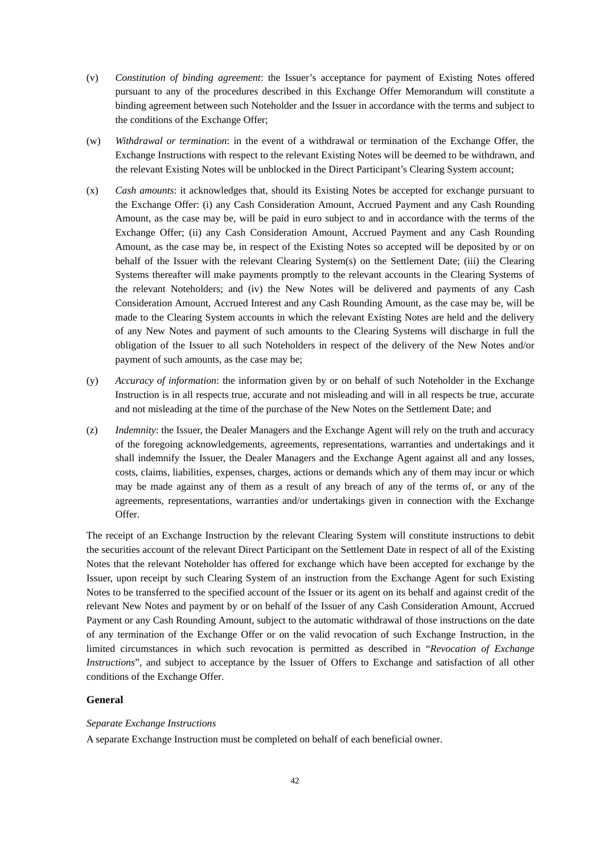- (v) *Constitution of binding agreement*: the Issuer's acceptance for payment of Existing Notes offered pursuant to any of the procedures described in this Exchange Offer Memorandum will constitute a binding agreement between such Noteholder and the Issuer in accordance with the terms and subject to the conditions of the Exchange Offer;
- (w) *Withdrawal or termination*: in the event of a withdrawal or termination of the Exchange Offer, the Exchange Instructions with respect to the relevant Existing Notes will be deemed to be withdrawn, and the relevant Existing Notes will be unblocked in the Direct Participant's Clearing System account;
- (x) *Cash amounts*: it acknowledges that, should its Existing Notes be accepted for exchange pursuant to the Exchange Offer: (i) any Cash Consideration Amount, Accrued Payment and any Cash Rounding Amount, as the case may be, will be paid in euro subject to and in accordance with the terms of the Exchange Offer; (ii) any Cash Consideration Amount, Accrued Payment and any Cash Rounding Amount, as the case may be, in respect of the Existing Notes so accepted will be deposited by or on behalf of the Issuer with the relevant Clearing System(s) on the Settlement Date; (iii) the Clearing Systems thereafter will make payments promptly to the relevant accounts in the Clearing Systems of the relevant Noteholders; and (iv) the New Notes will be delivered and payments of any Cash Consideration Amount, Accrued Interest and any Cash Rounding Amount, as the case may be, will be made to the Clearing System accounts in which the relevant Existing Notes are held and the delivery of any New Notes and payment of such amounts to the Clearing Systems will discharge in full the obligation of the Issuer to all such Noteholders in respect of the delivery of the New Notes and/or payment of such amounts, as the case may be;
- (y) *Accuracy of information*: the information given by or on behalf of such Noteholder in the Exchange Instruction is in all respects true, accurate and not misleading and will in all respects be true, accurate and not misleading at the time of the purchase of the New Notes on the Settlement Date; and
- (z) *Indemnity*: the Issuer, the Dealer Managers and the Exchange Agent will rely on the truth and accuracy of the foregoing acknowledgements, agreements, representations, warranties and undertakings and it shall indemnify the Issuer, the Dealer Managers and the Exchange Agent against all and any losses, costs, claims, liabilities, expenses, charges, actions or demands which any of them may incur or which may be made against any of them as a result of any breach of any of the terms of, or any of the agreements, representations, warranties and/or undertakings given in connection with the Exchange Offer.

The receipt of an Exchange Instruction by the relevant Clearing System will constitute instructions to debit the securities account of the relevant Direct Participant on the Settlement Date in respect of all of the Existing Notes that the relevant Noteholder has offered for exchange which have been accepted for exchange by the Issuer, upon receipt by such Clearing System of an instruction from the Exchange Agent for such Existing Notes to be transferred to the specified account of the Issuer or its agent on its behalf and against credit of the relevant New Notes and payment by or on behalf of the Issuer of any Cash Consideration Amount, Accrued Payment or any Cash Rounding Amount, subject to the automatic withdrawal of those instructions on the date of any termination of the Exchange Offer or on the valid revocation of such Exchange Instruction, in the limited circumstances in which such revocation is permitted as described in "*Revocation of Exchange Instructions*", and subject to acceptance by the Issuer of Offers to Exchange and satisfaction of all other conditions of the Exchange Offer.

## **General**

## *Separate Exchange Instructions*

A separate Exchange Instruction must be completed on behalf of each beneficial owner.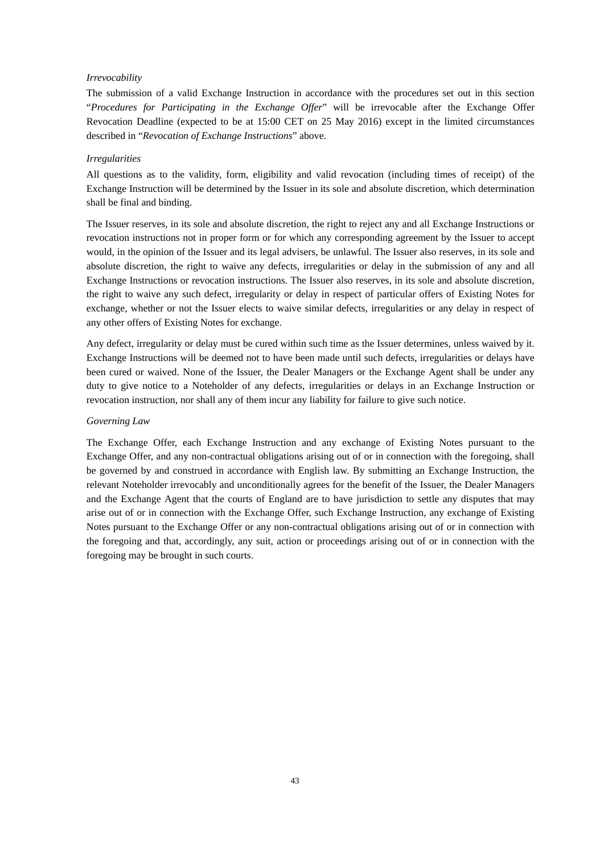### *Irrevocability*

The submission of a valid Exchange Instruction in accordance with the procedures set out in this section "*Procedures for Participating in the Exchange Offer*" will be irrevocable after the Exchange Offer Revocation Deadline (expected to be at 15:00 CET on 25 May 2016) except in the limited circumstances described in "*Revocation of Exchange Instructions*" above.

#### *Irregularities*

All questions as to the validity, form, eligibility and valid revocation (including times of receipt) of the Exchange Instruction will be determined by the Issuer in its sole and absolute discretion, which determination shall be final and binding.

The Issuer reserves, in its sole and absolute discretion, the right to reject any and all Exchange Instructions or revocation instructions not in proper form or for which any corresponding agreement by the Issuer to accept would, in the opinion of the Issuer and its legal advisers, be unlawful. The Issuer also reserves, in its sole and absolute discretion, the right to waive any defects, irregularities or delay in the submission of any and all Exchange Instructions or revocation instructions. The Issuer also reserves, in its sole and absolute discretion, the right to waive any such defect, irregularity or delay in respect of particular offers of Existing Notes for exchange, whether or not the Issuer elects to waive similar defects, irregularities or any delay in respect of any other offers of Existing Notes for exchange.

Any defect, irregularity or delay must be cured within such time as the Issuer determines, unless waived by it. Exchange Instructions will be deemed not to have been made until such defects, irregularities or delays have been cured or waived. None of the Issuer, the Dealer Managers or the Exchange Agent shall be under any duty to give notice to a Noteholder of any defects, irregularities or delays in an Exchange Instruction or revocation instruction, nor shall any of them incur any liability for failure to give such notice.

### *Governing Law*

The Exchange Offer, each Exchange Instruction and any exchange of Existing Notes pursuant to the Exchange Offer, and any non-contractual obligations arising out of or in connection with the foregoing, shall be governed by and construed in accordance with English law. By submitting an Exchange Instruction, the relevant Noteholder irrevocably and unconditionally agrees for the benefit of the Issuer, the Dealer Managers and the Exchange Agent that the courts of England are to have jurisdiction to settle any disputes that may arise out of or in connection with the Exchange Offer, such Exchange Instruction, any exchange of Existing Notes pursuant to the Exchange Offer or any non-contractual obligations arising out of or in connection with the foregoing and that, accordingly, any suit, action or proceedings arising out of or in connection with the foregoing may be brought in such courts.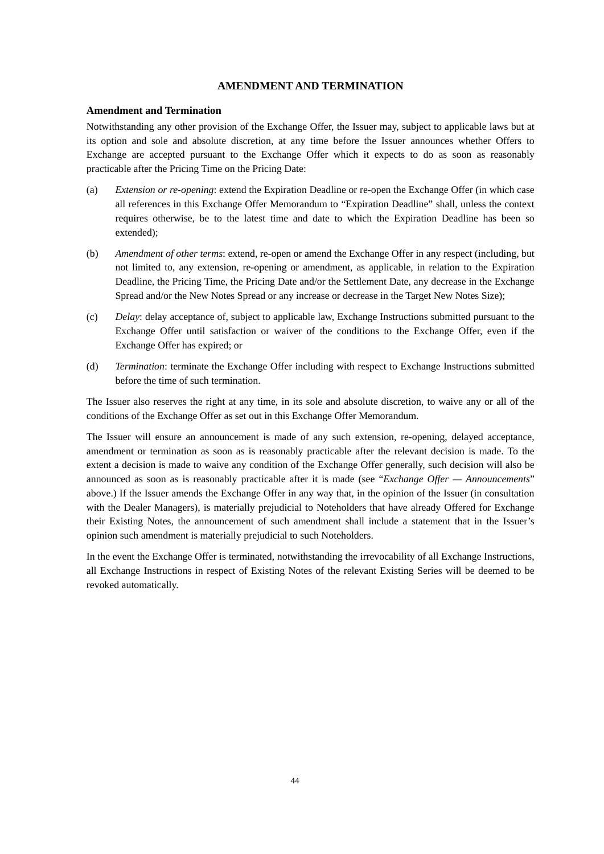## **AMENDMENT AND TERMINATION**

#### **Amendment and Termination**

Notwithstanding any other provision of the Exchange Offer, the Issuer may, subject to applicable laws but at its option and sole and absolute discretion, at any time before the Issuer announces whether Offers to Exchange are accepted pursuant to the Exchange Offer which it expects to do as soon as reasonably practicable after the Pricing Time on the Pricing Date:

- (a) *Extension or re-opening*: extend the Expiration Deadline or re-open the Exchange Offer (in which case all references in this Exchange Offer Memorandum to "Expiration Deadline" shall, unless the context requires otherwise, be to the latest time and date to which the Expiration Deadline has been so extended);
- (b) *Amendment of other terms*: extend, re-open or amend the Exchange Offer in any respect (including, but not limited to, any extension, re-opening or amendment, as applicable, in relation to the Expiration Deadline, the Pricing Time, the Pricing Date and/or the Settlement Date, any decrease in the Exchange Spread and/or the New Notes Spread or any increase or decrease in the Target New Notes Size);
- (c) *Delay*: delay acceptance of, subject to applicable law, Exchange Instructions submitted pursuant to the Exchange Offer until satisfaction or waiver of the conditions to the Exchange Offer, even if the Exchange Offer has expired; or
- (d) *Termination*: terminate the Exchange Offer including with respect to Exchange Instructions submitted before the time of such termination.

The Issuer also reserves the right at any time, in its sole and absolute discretion, to waive any or all of the conditions of the Exchange Offer as set out in this Exchange Offer Memorandum.

The Issuer will ensure an announcement is made of any such extension, re-opening, delayed acceptance, amendment or termination as soon as is reasonably practicable after the relevant decision is made. To the extent a decision is made to waive any condition of the Exchange Offer generally, such decision will also be announced as soon as is reasonably practicable after it is made (see "*Exchange Offer — Announcements*" above.) If the Issuer amends the Exchange Offer in any way that, in the opinion of the Issuer (in consultation with the Dealer Managers), is materially prejudicial to Noteholders that have already Offered for Exchange their Existing Notes, the announcement of such amendment shall include a statement that in the Issuer's opinion such amendment is materially prejudicial to such Noteholders.

In the event the Exchange Offer is terminated, notwithstanding the irrevocability of all Exchange Instructions, all Exchange Instructions in respect of Existing Notes of the relevant Existing Series will be deemed to be revoked automatically.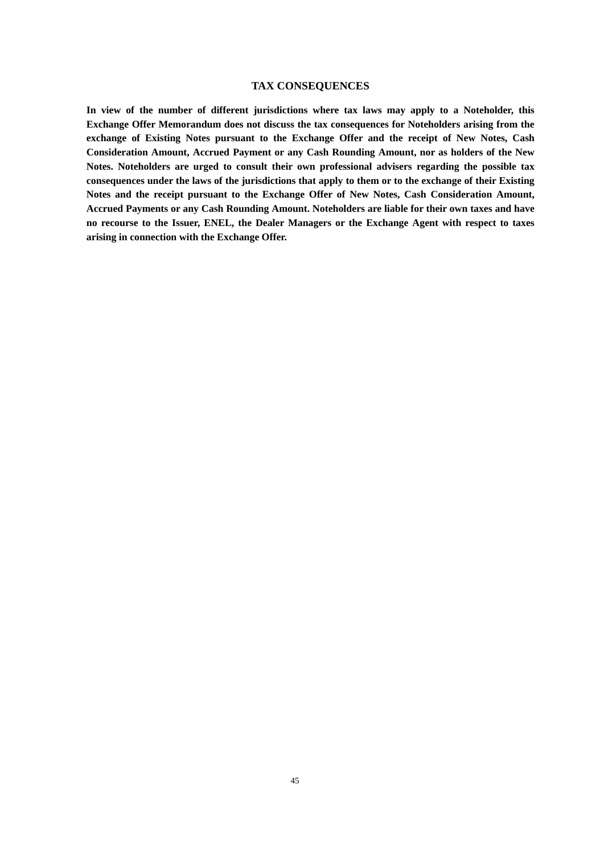## **TAX CONSEQUENCES**

**In view of the number of different jurisdictions where tax laws may apply to a Noteholder, this Exchange Offer Memorandum does not discuss the tax consequences for Noteholders arising from the exchange of Existing Notes pursuant to the Exchange Offer and the receipt of New Notes, Cash Consideration Amount, Accrued Payment or any Cash Rounding Amount, nor as holders of the New Notes. Noteholders are urged to consult their own professional advisers regarding the possible tax consequences under the laws of the jurisdictions that apply to them or to the exchange of their Existing Notes and the receipt pursuant to the Exchange Offer of New Notes, Cash Consideration Amount, Accrued Payments or any Cash Rounding Amount. Noteholders are liable for their own taxes and have no recourse to the Issuer, ENEL, the Dealer Managers or the Exchange Agent with respect to taxes arising in connection with the Exchange Offer.**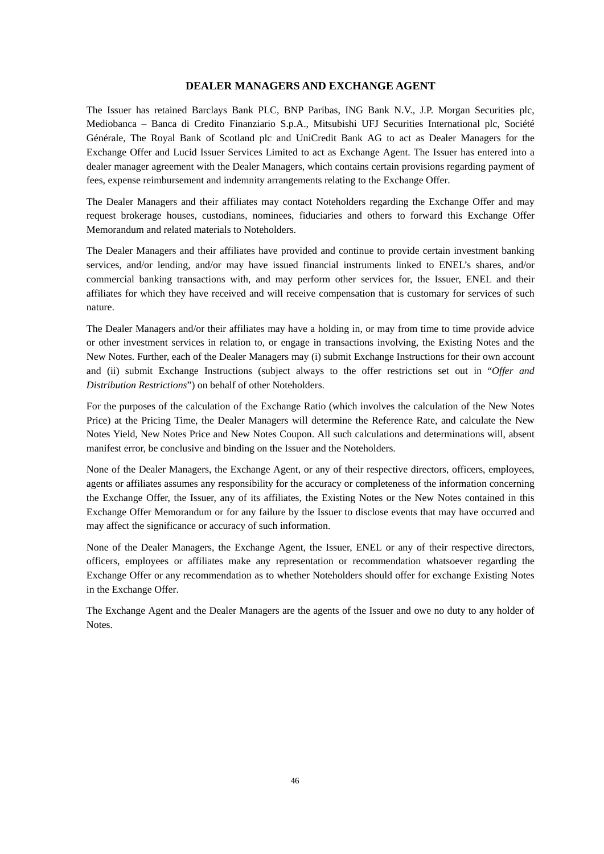## **DEALER MANAGERS AND EXCHANGE AGENT**

The Issuer has retained Barclays Bank PLC, BNP Paribas, ING Bank N.V., J.P. Morgan Securities plc, Mediobanca – Banca di Credito Finanziario S.p.A., Mitsubishi UFJ Securities International plc, Société Générale, The Royal Bank of Scotland plc and UniCredit Bank AG to act as Dealer Managers for the Exchange Offer and Lucid Issuer Services Limited to act as Exchange Agent. The Issuer has entered into a dealer manager agreement with the Dealer Managers, which contains certain provisions regarding payment of fees, expense reimbursement and indemnity arrangements relating to the Exchange Offer.

The Dealer Managers and their affiliates may contact Noteholders regarding the Exchange Offer and may request brokerage houses, custodians, nominees, fiduciaries and others to forward this Exchange Offer Memorandum and related materials to Noteholders.

The Dealer Managers and their affiliates have provided and continue to provide certain investment banking services, and/or lending, and/or may have issued financial instruments linked to ENEL's shares, and/or commercial banking transactions with, and may perform other services for, the Issuer, ENEL and their affiliates for which they have received and will receive compensation that is customary for services of such nature.

The Dealer Managers and/or their affiliates may have a holding in, or may from time to time provide advice or other investment services in relation to, or engage in transactions involving, the Existing Notes and the New Notes. Further, each of the Dealer Managers may (i) submit Exchange Instructions for their own account and (ii) submit Exchange Instructions (subject always to the offer restrictions set out in "*Offer and Distribution Restrictions*") on behalf of other Noteholders.

For the purposes of the calculation of the Exchange Ratio (which involves the calculation of the New Notes Price) at the Pricing Time, the Dealer Managers will determine the Reference Rate, and calculate the New Notes Yield, New Notes Price and New Notes Coupon. All such calculations and determinations will, absent manifest error, be conclusive and binding on the Issuer and the Noteholders.

None of the Dealer Managers, the Exchange Agent, or any of their respective directors, officers, employees, agents or affiliates assumes any responsibility for the accuracy or completeness of the information concerning the Exchange Offer, the Issuer, any of its affiliates, the Existing Notes or the New Notes contained in this Exchange Offer Memorandum or for any failure by the Issuer to disclose events that may have occurred and may affect the significance or accuracy of such information.

None of the Dealer Managers, the Exchange Agent, the Issuer, ENEL or any of their respective directors, officers, employees or affiliates make any representation or recommendation whatsoever regarding the Exchange Offer or any recommendation as to whether Noteholders should offer for exchange Existing Notes in the Exchange Offer.

The Exchange Agent and the Dealer Managers are the agents of the Issuer and owe no duty to any holder of **Notes**.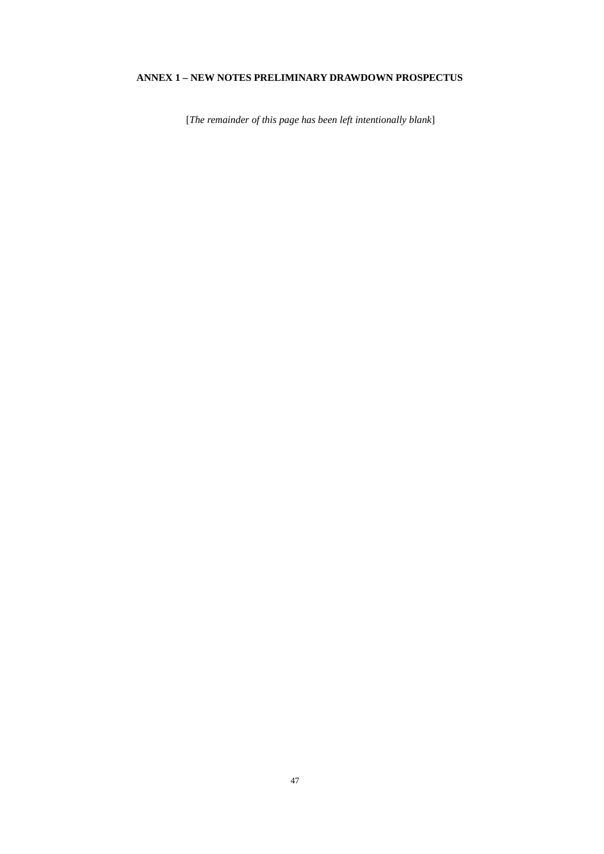# **ANNEX 1 – NEW NOTES PRELIMINARY DRAWDOWN PROSPECTUS**

[*The remainder of this page has been left intentionally blank*]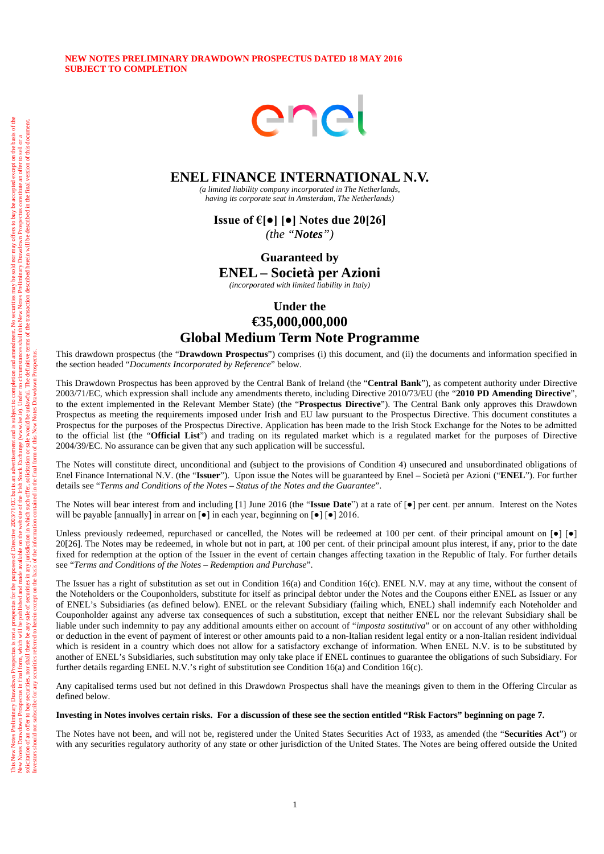Investors should not subscribe for any securities referred to herein except on the basis of the information contained in the final form of this New Notes Drawdown Prospectus.

### **NEW NOTES PRELIMINARY DRAWDOWN PROSPECTUS DATED 18 MAY 2016 SUBJECT TO COMPLETION**



# **ENEL FINANCE INTERNATIONAL N.V.**

*(a limited liability company incorporated in The Netherlands, having its corporate seat in Amsterdam, The Netherlands)* 

**Issue of €[●] [●] Notes due 20[26]**  *(the "Notes")*

**Guaranteed by** 

**ENEL – Società per Azioni**

*(incorporated with limited liability in Italy)*

# **Under the €35,000,000,000 Global Medium Term Note Programme**

This drawdown prospectus (the "**Drawdown Prospectus**") comprises (i) this document, and (ii) the documents and information specified in the section headed "*Documents Incorporated by Reference*" below.

This Drawdown Prospectus has been approved by the Central Bank of Ireland (the "**Central Bank**"), as competent authority under Directive 2003/71/EC, which expression shall include any amendments thereto, including Directive 2010/73/EU (the "**2010 PD Amending Directive**", to the extent implemented in the Relevant Member State) (the "**Prospectus Directive**"). The Central Bank only approves this Drawdown Prospectus as meeting the requirements imposed under Irish and EU law pursuant to the Prospectus Directive. This document constitutes a Prospectus for the purposes of the Prospectus Directive. Application has been made to the Irish Stock Exchange for the Notes to be admitted to the official list (the "**Official List**") and trading on its regulated market which is a regulated market for the purposes of Directive 2004/39/EC. No assurance can be given that any such application will be successful.

The Notes will constitute direct, unconditional and (subject to the provisions of Condition 4) unsecured and unsubordinated obligations of Enel Finance International N.V. (the "**Issuer**"). Upon issue the Notes will be guaranteed by Enel – Società per Azioni ("**ENEL**"). For further details see "*Terms and Conditions of the Notes – Status of the Notes and the Guarantee*".

The Notes will bear interest from and including [1] June 2016 (the "**Issue Date**") at a rate of [●] per cent. per annum. Interest on the Notes will be payable [annually] in arrear on  $\lceil \bullet \rceil$  in each year, beginning on  $\lceil \bullet \rceil$  [ $\bullet$ ] 2016.

Unless previously redeemed, repurchased or cancelled, the Notes will be redeemed at 100 per cent. of their principal amount on  $[\bullet] [\bullet]$ 20[26]. The Notes may be redeemed, in whole but not in part, at 100 per cent. of their principal amount plus interest, if any, prior to the date fixed for redemption at the option of the Issuer in the event of certain changes affecting taxation in the Republic of Italy. For further details see "*Terms and Conditions of the Notes – Redemption and Purchase*".

The Issuer has a right of substitution as set out in Condition 16(a) and Condition 16(c). ENEL N.V. may at any time, without the consent of the Noteholders or the Couponholders, substitute for itself as principal debtor under the Notes and the Coupons either ENEL as Issuer or any of ENEL's Subsidiaries (as defined below). ENEL or the relevant Subsidiary (failing which, ENEL) shall indemnify each Noteholder and Couponholder against any adverse tax consequences of such a substitution, except that neither ENEL nor the relevant Subsidiary shall be liable under such indemnity to pay any additional amounts either on account of "*imposta sostitutiva*" or on account of any other withholding or deduction in the event of payment of interest or other amounts paid to a non-Italian resident legal entity or a non-Italian resident individual which is resident in a country which does not allow for a satisfactory exchange of information. When ENEL N.V. is to be substituted by another of ENEL's Subsidiaries, such substitution may only take place if ENEL continues to guarantee the obligations of such Subsidiary. For further details regarding ENEL N.V.'s right of substitution see Condition 16(a) and Condition 16(c).

Any capitalised terms used but not defined in this Drawdown Prospectus shall have the meanings given to them in the Offering Circular as defined below.

#### **Investing in Notes involves certain risks. For a discussion of these see the section entitled "Risk Factors" beginning on page 7.**

The Notes have not been, and will not be, registered under the United States Securities Act of 1933, as amended (the "**Securities Act**") or with any securities regulatory authority of any state or other jurisdiction of the United States. The Notes are being offered outside the United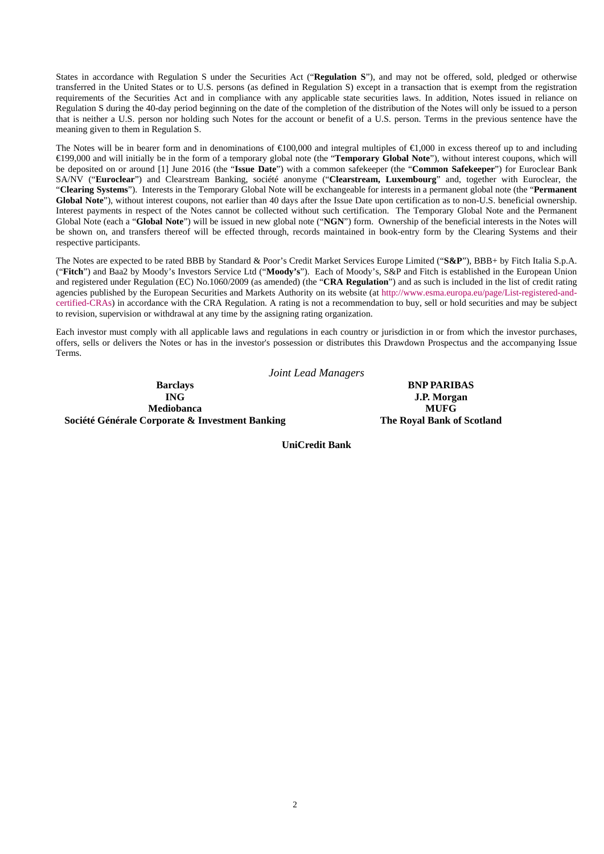States in accordance with Regulation S under the Securities Act ("**Regulation S**"), and may not be offered, sold, pledged or otherwise transferred in the United States or to U.S. persons (as defined in Regulation S) except in a transaction that is exempt from the registration requirements of the Securities Act and in compliance with any applicable state securities laws. In addition, Notes issued in reliance on Regulation S during the 40-day period beginning on the date of the completion of the distribution of the Notes will only be issued to a person that is neither a U.S. person nor holding such Notes for the account or benefit of a U.S. person. Terms in the previous sentence have the meaning given to them in Regulation S.

The Notes will be in bearer form and in denominations of  $\epsilon 0.0000$  and integral multiples of  $\epsilon 1,000$  in excess thereof up to and including €199,000 and will initially be in the form of a temporary global note (the "**Temporary Global Note**"), without interest coupons, which will be deposited on or around [1] June 2016 (the "**Issue Date**") with a common safekeeper (the "**Common Safekeeper**") for Euroclear Bank SA/NV ("**Euroclear**") and Clearstream Banking, société anonyme ("**Clearstream, Luxembourg**" and, together with Euroclear, the "**Clearing Systems**"). Interests in the Temporary Global Note will be exchangeable for interests in a permanent global note (the "**Permanent Global Note**"), without interest coupons, not earlier than 40 days after the Issue Date upon certification as to non-U.S. beneficial ownership. Interest payments in respect of the Notes cannot be collected without such certification. The Temporary Global Note and the Permanent Global Note (each a "**Global Note**") will be issued in new global note ("**NGN**") form. Ownership of the beneficial interests in the Notes will be shown on, and transfers thereof will be effected through, records maintained in book-entry form by the Clearing Systems and their respective participants.

The Notes are expected to be rated BBB by Standard & Poor's Credit Market Services Europe Limited ("**S&P**"), BBB+ by Fitch Italia S.p.A. ("**Fitch**") and Baa2 by Moody's Investors Service Ltd ("**Moody's**"). Each of Moody's, S&P and Fitch is established in the European Union and registered under Regulation (EC) No.1060/2009 (as amended) (the "**CRA Regulation**") and as such is included in the list of credit rating agencies published by the European Securities and Markets Authority on its website (at [http://www.esma.europa.eu/page/List-registered-and](http://www.esma.europa.eu/page/List-registered-and-certified-CRAs)[certified-CRAs\)](http://www.esma.europa.eu/page/List-registered-and-certified-CRAs) in accordance with the CRA Regulation. A rating is not a recommendation to buy, sell or hold securities and may be subject to revision, supervision or withdrawal at any time by the assigning rating organization.

Each investor must comply with all applicable laws and regulations in each country or jurisdiction in or from which the investor purchases, offers, sells or delivers the Notes or has in the investor's possession or distributes this Drawdown Prospectus and the accompanying Issue Terms.

*Joint Lead Managers* **Barclays BNP PARIBAS**<br> **BNP PARIBAS Mediobanca MUFG Société Générale Corporate & Investment Banking The Royal Bank of Scotland**

**J.P. Morgan** 

**UniCredit Bank**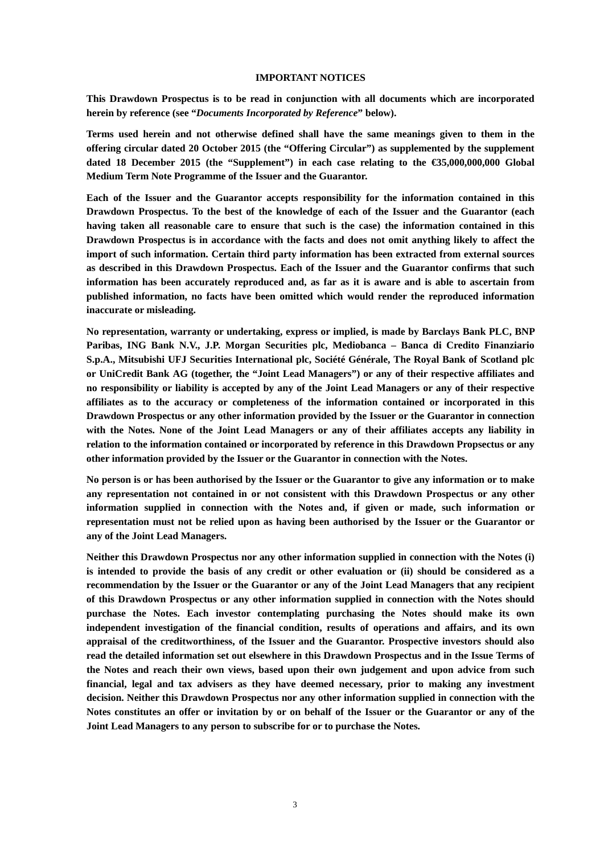### **IMPORTANT NOTICES**

**This Drawdown Prospectus is to be read in conjunction with all documents which are incorporated herein by reference (see "***Documents Incorporated by Reference***" below).** 

**Terms used herein and not otherwise defined shall have the same meanings given to them in the offering circular dated 20 October 2015 (the "Offering Circular") as supplemented by the supplement dated 18 December 2015 (the "Supplement") in each case relating to the €35,000,000,000 Global Medium Term Note Programme of the Issuer and the Guarantor.**

**Each of the Issuer and the Guarantor accepts responsibility for the information contained in this Drawdown Prospectus. To the best of the knowledge of each of the Issuer and the Guarantor (each having taken all reasonable care to ensure that such is the case) the information contained in this Drawdown Prospectus is in accordance with the facts and does not omit anything likely to affect the import of such information. Certain third party information has been extracted from external sources as described in this Drawdown Prospectus. Each of the Issuer and the Guarantor confirms that such information has been accurately reproduced and, as far as it is aware and is able to ascertain from published information, no facts have been omitted which would render the reproduced information inaccurate or misleading.**

**No representation, warranty or undertaking, express or implied, is made by Barclays Bank PLC, BNP Paribas, ING Bank N.V., J.P. Morgan Securities plc, Mediobanca – Banca di Credito Finanziario S.p.A., Mitsubishi UFJ Securities International plc, Société Générale, The Royal Bank of Scotland plc or UniCredit Bank AG (together, the "Joint Lead Managers") or any of their respective affiliates and no responsibility or liability is accepted by any of the Joint Lead Managers or any of their respective affiliates as to the accuracy or completeness of the information contained or incorporated in this Drawdown Prospectus or any other information provided by the Issuer or the Guarantor in connection with the Notes. None of the Joint Lead Managers or any of their affiliates accepts any liability in relation to the information contained or incorporated by reference in this Drawdown Propsectus or any other information provided by the Issuer or the Guarantor in connection with the Notes.**

**No person is or has been authorised by the Issuer or the Guarantor to give any information or to make any representation not contained in or not consistent with this Drawdown Prospectus or any other information supplied in connection with the Notes and, if given or made, such information or representation must not be relied upon as having been authorised by the Issuer or the Guarantor or any of the Joint Lead Managers.**

**Neither this Drawdown Prospectus nor any other information supplied in connection with the Notes (i) is intended to provide the basis of any credit or other evaluation or (ii) should be considered as a recommendation by the Issuer or the Guarantor or any of the Joint Lead Managers that any recipient of this Drawdown Prospectus or any other information supplied in connection with the Notes should purchase the Notes. Each investor contemplating purchasing the Notes should make its own independent investigation of the financial condition, results of operations and affairs, and its own appraisal of the creditworthiness, of the Issuer and the Guarantor. Prospective investors should also read the detailed information set out elsewhere in this Drawdown Prospectus and in the Issue Terms of the Notes and reach their own views, based upon their own judgement and upon advice from such financial, legal and tax advisers as they have deemed necessary, prior to making any investment decision. Neither this Drawdown Prospectus nor any other information supplied in connection with the Notes constitutes an offer or invitation by or on behalf of the Issuer or the Guarantor or any of the Joint Lead Managers to any person to subscribe for or to purchase the Notes.**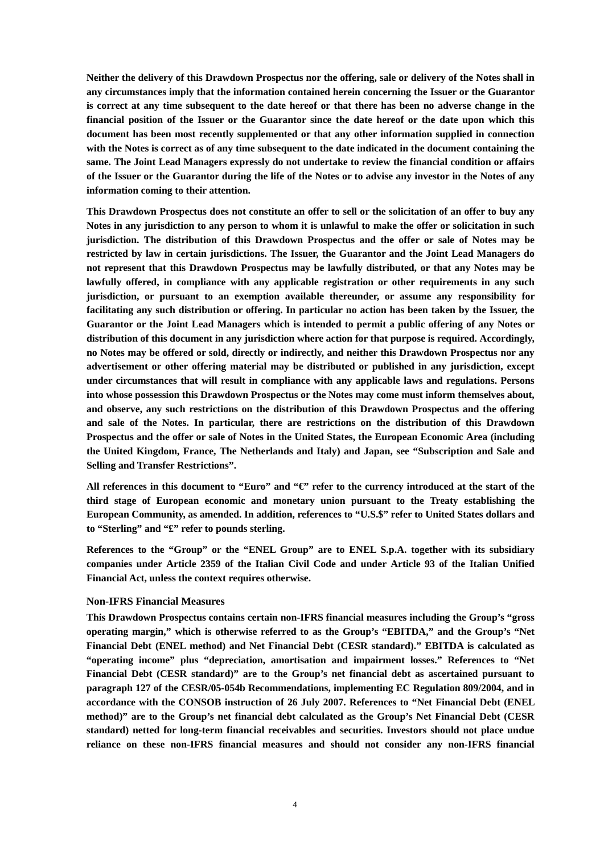**Neither the delivery of this Drawdown Prospectus nor the offering, sale or delivery of the Notes shall in any circumstances imply that the information contained herein concerning the Issuer or the Guarantor is correct at any time subsequent to the date hereof or that there has been no adverse change in the financial position of the Issuer or the Guarantor since the date hereof or the date upon which this document has been most recently supplemented or that any other information supplied in connection with the Notes is correct as of any time subsequent to the date indicated in the document containing the same. The Joint Lead Managers expressly do not undertake to review the financial condition or affairs of the Issuer or the Guarantor during the life of the Notes or to advise any investor in the Notes of any information coming to their attention.**

**This Drawdown Prospectus does not constitute an offer to sell or the solicitation of an offer to buy any Notes in any jurisdiction to any person to whom it is unlawful to make the offer or solicitation in such jurisdiction. The distribution of this Drawdown Prospectus and the offer or sale of Notes may be restricted by law in certain jurisdictions. The Issuer, the Guarantor and the Joint Lead Managers do not represent that this Drawdown Prospectus may be lawfully distributed, or that any Notes may be lawfully offered, in compliance with any applicable registration or other requirements in any such jurisdiction, or pursuant to an exemption available thereunder, or assume any responsibility for facilitating any such distribution or offering. In particular no action has been taken by the Issuer, the Guarantor or the Joint Lead Managers which is intended to permit a public offering of any Notes or distribution of this document in any jurisdiction where action for that purpose is required. Accordingly, no Notes may be offered or sold, directly or indirectly, and neither this Drawdown Prospectus nor any advertisement or other offering material may be distributed or published in any jurisdiction, except under circumstances that will result in compliance with any applicable laws and regulations. Persons into whose possession this Drawdown Prospectus or the Notes may come must inform themselves about, and observe, any such restrictions on the distribution of this Drawdown Prospectus and the offering and sale of the Notes. In particular, there are restrictions on the distribution of this Drawdown Prospectus and the offer or sale of Notes in the United States, the European Economic Area (including the United Kingdom, France, The Netherlands and Italy) and Japan, see "Subscription and Sale and Selling and Transfer Restrictions".**

**All references in this document to "Euro" and "€" refer to the currency introduced at the start of the third stage of European economic and monetary union pursuant to the Treaty establishing the European Community, as amended. In addition, references to "U.S.\$" refer to United States dollars and to "Sterling" and "£" refer to pounds sterling.**

**References to the "Group" or the "ENEL Group" are to ENEL S.p.A. together with its subsidiary companies under Article 2359 of the Italian Civil Code and under Article 93 of the Italian Unified Financial Act, unless the context requires otherwise.**

### **Non-IFRS Financial Measures**

**This Drawdown Prospectus contains certain non-IFRS financial measures including the Group's "gross operating margin," which is otherwise referred to as the Group's "EBITDA," and the Group's "Net Financial Debt (ENEL method) and Net Financial Debt (CESR standard)." EBITDA is calculated as "operating income" plus "depreciation, amortisation and impairment losses." References to "Net Financial Debt (CESR standard)" are to the Group's net financial debt as ascertained pursuant to paragraph 127 of the CESR/05-054b Recommendations, implementing EC Regulation 809/2004, and in accordance with the CONSOB instruction of 26 July 2007. References to "Net Financial Debt (ENEL method)" are to the Group's net financial debt calculated as the Group's Net Financial Debt (CESR standard) netted for long-term financial receivables and securities. Investors should not place undue reliance on these non-IFRS financial measures and should not consider any non-IFRS financial**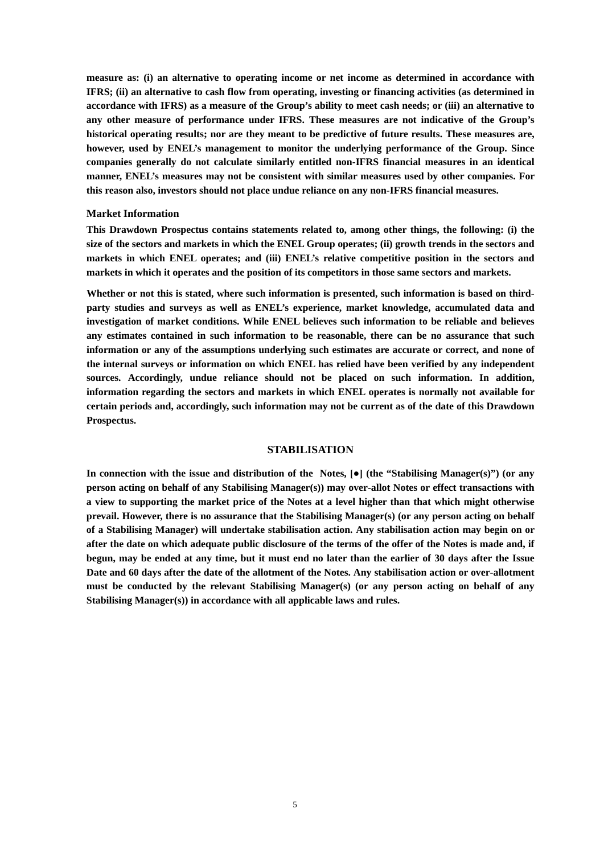**measure as: (i) an alternative to operating income or net income as determined in accordance with IFRS; (ii) an alternative to cash flow from operating, investing or financing activities (as determined in accordance with IFRS) as a measure of the Group's ability to meet cash needs; or (iii) an alternative to any other measure of performance under IFRS. These measures are not indicative of the Group's historical operating results; nor are they meant to be predictive of future results. These measures are, however, used by ENEL's management to monitor the underlying performance of the Group. Since companies generally do not calculate similarly entitled non-IFRS financial measures in an identical manner, ENEL's measures may not be consistent with similar measures used by other companies. For this reason also, investors should not place undue reliance on any non-IFRS financial measures.**

### **Market Information**

**This Drawdown Prospectus contains statements related to, among other things, the following: (i) the size of the sectors and markets in which the ENEL Group operates; (ii) growth trends in the sectors and markets in which ENEL operates; and (iii) ENEL's relative competitive position in the sectors and markets in which it operates and the position of its competitors in those same sectors and markets.**

**Whether or not this is stated, where such information is presented, such information is based on thirdparty studies and surveys as well as ENEL's experience, market knowledge, accumulated data and investigation of market conditions. While ENEL believes such information to be reliable and believes any estimates contained in such information to be reasonable, there can be no assurance that such information or any of the assumptions underlying such estimates are accurate or correct, and none of the internal surveys or information on which ENEL has relied have been verified by any independent sources. Accordingly, undue reliance should not be placed on such information. In addition, information regarding the sectors and markets in which ENEL operates is normally not available for certain periods and, accordingly, such information may not be current as of the date of this Drawdown Prospectus.**

## **STABILISATION**

**In connection with the issue and distribution of the Notes, [●] (the "Stabilising Manager(s)") (or any person acting on behalf of any Stabilising Manager(s)) may over-allot Notes or effect transactions with a view to supporting the market price of the Notes at a level higher than that which might otherwise prevail. However, there is no assurance that the Stabilising Manager(s) (or any person acting on behalf of a Stabilising Manager) will undertake stabilisation action. Any stabilisation action may begin on or after the date on which adequate public disclosure of the terms of the offer of the Notes is made and, if begun, may be ended at any time, but it must end no later than the earlier of 30 days after the Issue Date and 60 days after the date of the allotment of the Notes. Any stabilisation action or over-allotment must be conducted by the relevant Stabilising Manager(s) (or any person acting on behalf of any Stabilising Manager(s)) in accordance with all applicable laws and rules.**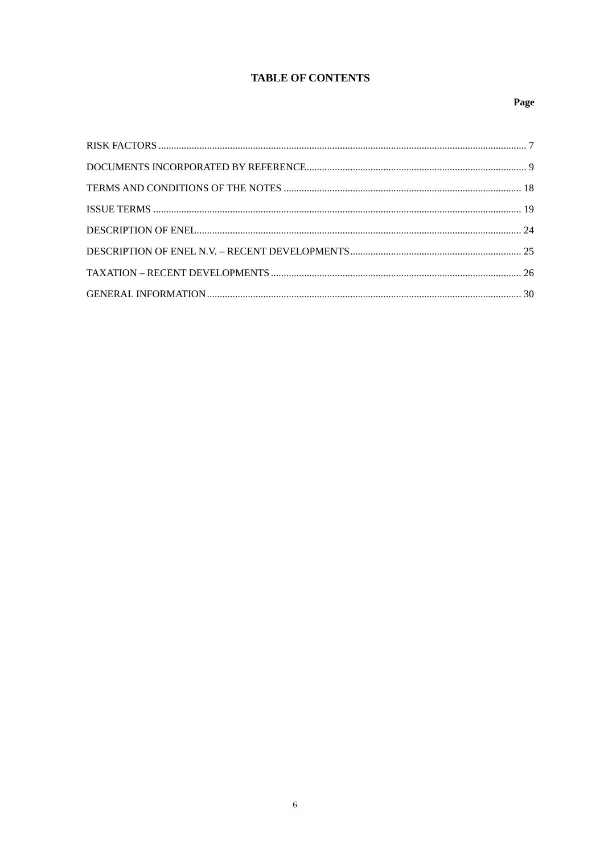# **TABLE OF CONTENTS**

# Page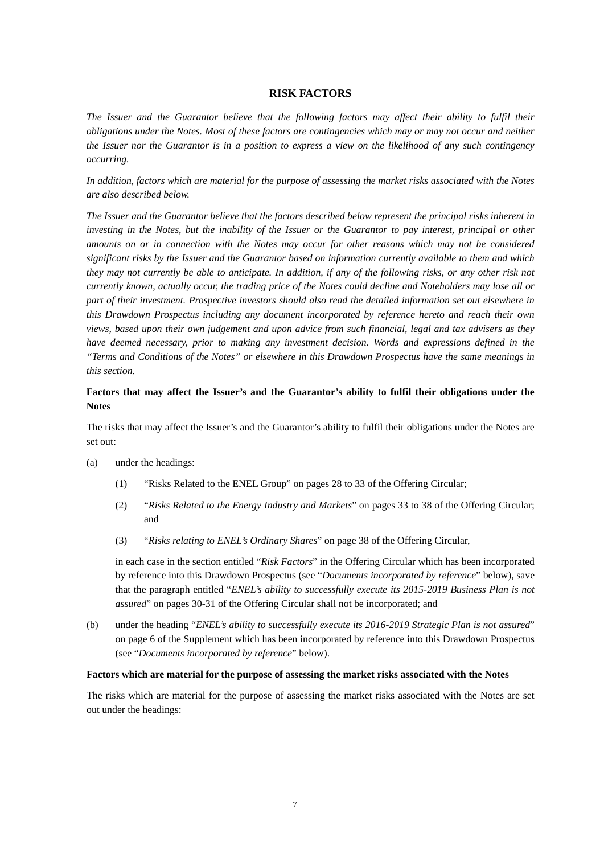## **RISK FACTORS**

<span id="page-56-0"></span>*The Issuer and the Guarantor believe that the following factors may affect their ability to fulfil their obligations under the Notes. Most of these factors are contingencies which may or may not occur and neither the Issuer nor the Guarantor is in a position to express a view on the likelihood of any such contingency occurring.*

*In addition, factors which are material for the purpose of assessing the market risks associated with the Notes are also described below.*

*The Issuer and the Guarantor believe that the factors described below represent the principal risks inherent in investing in the Notes, but the inability of the Issuer or the Guarantor to pay interest, principal or other amounts on or in connection with the Notes may occur for other reasons which may not be considered significant risks by the Issuer and the Guarantor based on information currently available to them and which they may not currently be able to anticipate. In addition, if any of the following risks, or any other risk not currently known, actually occur, the trading price of the Notes could decline and Noteholders may lose all or part of their investment. Prospective investors should also read the detailed information set out elsewhere in this Drawdown Prospectus including any document incorporated by reference hereto and reach their own views, based upon their own judgement and upon advice from such financial, legal and tax advisers as they have deemed necessary, prior to making any investment decision. Words and expressions defined in the "Terms and Conditions of the Notes" or elsewhere in this Drawdown Prospectus have the same meanings in this section.*

# **Factors that may affect the Issuer's and the Guarantor's ability to fulfil their obligations under the Notes**

The risks that may affect the Issuer's and the Guarantor's ability to fulfil their obligations under the Notes are set out:

- (a) under the headings:
	- (1) "Risks Related to the ENEL Group" on pages 28 to 33 of the Offering Circular;
	- (2) "*Risks Related to the Energy Industry and Markets*" on pages 33 to 38 of the Offering Circular; and
	- (3) "*Risks relating to ENEL's Ordinary Shares*" on page 38 of the Offering Circular,

in each case in the section entitled "*Risk Factors*" in the Offering Circular which has been incorporated by reference into this Drawdown Prospectus (see "*Documents incorporated by reference*" below), save that the paragraph entitled "*ENEL's ability to successfully execute its 2015-2019 Business Plan is not assured*" on pages 30-31 of the Offering Circular shall not be incorporated; and

(b) under the heading "*ENEL's ability to successfully execute its 2016-2019 Strategic Plan is not assured*" on page 6 of the Supplement which has been incorporated by reference into this Drawdown Prospectus (see "*Documents incorporated by reference*" below).

### **Factors which are material for the purpose of assessing the market risks associated with the Notes**

The risks which are material for the purpose of assessing the market risks associated with the Notes are set out under the headings: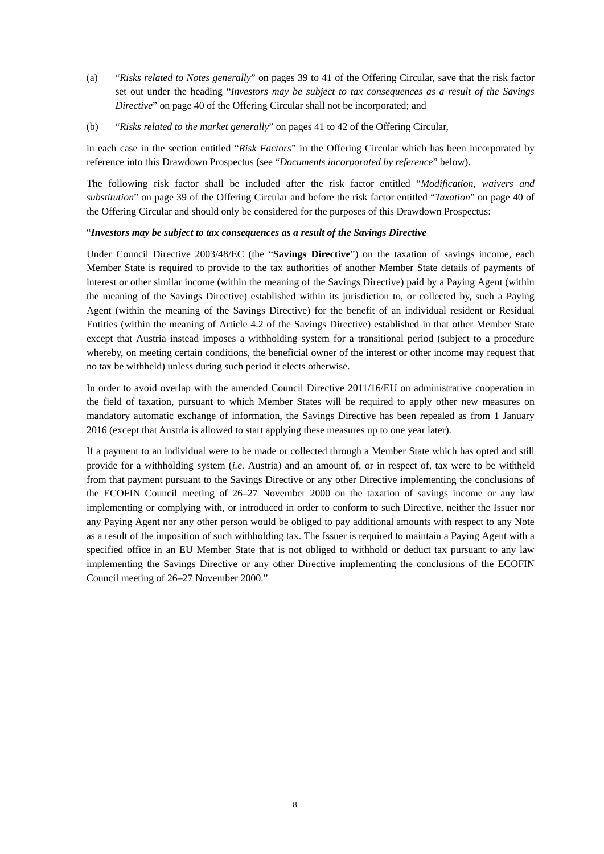- (a) "*Risks related to Notes generally*" on pages 39 to 41 of the Offering Circular, save that the risk factor set out under the heading "*Investors may be subject to tax consequences as a result of the Savings Directive*" on page 40 of the Offering Circular shall not be incorporated; and
- (b) "*Risks related to the market generally*" on pages 41 to 42 of the Offering Circular,

in each case in the section entitled "*Risk Factors*" in the Offering Circular which has been incorporated by reference into this Drawdown Prospectus (see "*Documents incorporated by reference*" below).

The following risk factor shall be included after the risk factor entitled "*Modification, waivers and substitution*" on page 39 of the Offering Circular and before the risk factor entitled "*Taxation*" on page 40 of the Offering Circular and should only be considered for the purposes of this Drawdown Prospectus:

## "*Investors may be subject to tax consequences as a result of the Savings Directive*

Under Council Directive 2003/48/EC (the "**Savings Directive**") on the taxation of savings income, each Member State is required to provide to the tax authorities of another Member State details of payments of interest or other similar income (within the meaning of the Savings Directive) paid by a Paying Agent (within the meaning of the Savings Directive) established within its jurisdiction to, or collected by, such a Paying Agent (within the meaning of the Savings Directive) for the benefit of an individual resident or Residual Entities (within the meaning of Article 4.2 of the Savings Directive) established in that other Member State except that Austria instead imposes a withholding system for a transitional period (subject to a procedure whereby, on meeting certain conditions, the beneficial owner of the interest or other income may request that no tax be withheld) unless during such period it elects otherwise.

In order to avoid overlap with the amended Council Directive 2011/16/EU on administrative cooperation in the field of taxation, pursuant to which Member States will be required to apply other new measures on mandatory automatic exchange of information, the Savings Directive has been repealed as from 1 January 2016 (except that Austria is allowed to start applying these measures up to one year later).

If a payment to an individual were to be made or collected through a Member State which has opted and still provide for a withholding system (*i.e.* Austria) and an amount of, or in respect of, tax were to be withheld from that payment pursuant to the Savings Directive or any other Directive implementing the conclusions of the ECOFIN Council meeting of 26–27 November 2000 on the taxation of savings income or any law implementing or complying with, or introduced in order to conform to such Directive, neither the Issuer nor any Paying Agent nor any other person would be obliged to pay additional amounts with respect to any Note as a result of the imposition of such withholding tax. The Issuer is required to maintain a Paying Agent with a specified office in an EU Member State that is not obliged to withhold or deduct tax pursuant to any law implementing the Savings Directive or any other Directive implementing the conclusions of the ECOFIN Council meeting of 26–27 November 2000."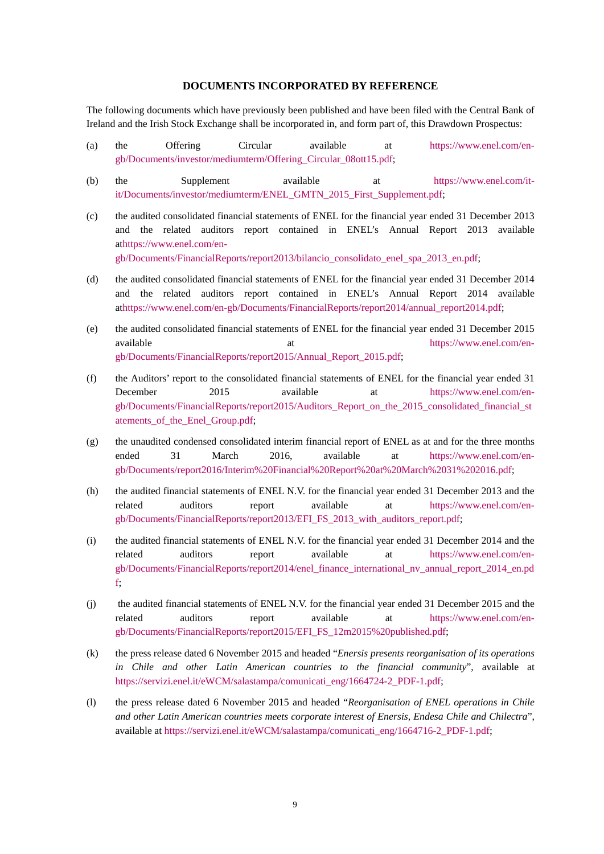## **DOCUMENTS INCORPORATED BY REFERENCE**

<span id="page-58-0"></span>The following documents which have previously been published and have been filed with the Central Bank of Ireland and the Irish Stock Exchange shall be incorporated in, and form part of, this Drawdown Prospectus:

- (a) the Offering Circular available at [https://www.enel.com/en](https://www.enel.com/en-gb/Documents/investor/mediumterm/Offering_Circular_08ott15.pdf)[gb/Documents/investor/mediumterm/Offering\\_Circular\\_08ott15.pdf;](https://www.enel.com/en-gb/Documents/investor/mediumterm/Offering_Circular_08ott15.pdf)
- (b) the Supplement available at [https://www.enel.com/it](https://www.enel.com/it-it/Documents/investor/mediumterm/ENEL_GMTN_2015_First_Supplement.pdf)[it/Documents/investor/mediumterm/ENEL\\_GMTN\\_2015\\_First\\_Supplement.pdf;](https://www.enel.com/it-it/Documents/investor/mediumterm/ENEL_GMTN_2015_First_Supplement.pdf)
- (c) the audited consolidated financial statements of ENEL for the financial year ended 31 December 2013 and the related auditors report contained in ENEL's Annual Report 2013 available athttps://www.enel.com/en-

gb/Documents/FinancialReports/report2013/bilancio\_consolidato\_enel\_spa\_2013\_en.pdf;

- (d) the audited consolidated financial statements of ENEL for the financial year ended 31 December 2014 and the related auditors report contained in ENEL's Annual Report 2014 available athttps://www.enel.com/en-gb/Documents/FinancialReports/report2014/annual\_report2014.pdf;
- (e) the audited consolidated financial statements of ENEL for the financial year ended 31 December 2015 available at the [https://www.enel.com/en](https://www.enel.com/en-gb/Documents/FinancialReports/report2015/Annual_Report_2015.pdf)[gb/Documents/FinancialReports/report2015/Annual\\_Report\\_2015.pdf;](https://www.enel.com/en-gb/Documents/FinancialReports/report2015/Annual_Report_2015.pdf)
- (f) the Auditors' report to the consolidated financial statements of ENEL for the financial year ended 31 December 2015 available at https://www.enel.com/engb/Documents/FinancialReports/report2015/Auditors\_Report\_on\_the\_2015\_consolidated\_financial\_st atements of the Enel Group.pdf;
- (g) the unaudited condensed consolidated interim financial report of ENEL as at and for the three months ended 31 March 2016, available at https://www.enel.com/engb/Documents/report2016/Interim%20Financial%20Report%20at%20March%2031%202016.pdf;
- (h) the audited financial statements of ENEL N.V. for the financial year ended 31 December 2013 and the related auditors report available at [https://www.enel.com/en](https://www.enel.com/en-gb/Documents/FinancialReports/report2013/EFI_FS_2013_with_auditors_report.pdf)[gb/Documents/FinancialReports/report2013/EFI\\_FS\\_2013\\_with\\_auditors\\_report.pdf;](https://www.enel.com/en-gb/Documents/FinancialReports/report2013/EFI_FS_2013_with_auditors_report.pdf)
- (i) the audited financial statements of ENEL N.V. for the financial year ended 31 December 2014 and the related auditors report available at https://www.enel.com/engb/Documents/FinancialReports/report2014/enel\_finance\_international\_nv\_annual\_report\_2014\_en.pd f;
- (j) the audited financial statements of ENEL N.V. for the financial year ended 31 December 2015 and the related auditors report available at [https://www.enel.com/en](https://www.enel.com/en-gb/Documents/FinancialReports/report2015/EFI_FS_12m2015%20published.pdf)[gb/Documents/FinancialReports/report2015/EFI\\_FS\\_12m2015%20published.pdf;](https://www.enel.com/en-gb/Documents/FinancialReports/report2015/EFI_FS_12m2015%20published.pdf)
- (k) the press release dated 6 November 2015 and headed "*Enersis presents reorganisation of its operations in Chile and other Latin American countries to the financial community*", available at [https://servizi.enel.it/eWCM/salastampa/comunicati\\_eng/1664724-2\\_PDF-1.pdf;](https://servizi.enel.it/eWCM/salastampa/comunicati_eng/1664724-2_PDF-1.pdf)
- (l) the press release dated 6 November 2015 and headed "*Reorganisation of ENEL operations in Chile and other Latin American countries meets corporate interest of Enersis, Endesa Chile and Chilectra*", available at [https://servizi.enel.it/eWCM/salastampa/comunicati\\_eng/1664716-2\\_PDF-1.pdf;](https://servizi.enel.it/eWCM/salastampa/comunicati_eng/1664716-2_PDF-1.pdf)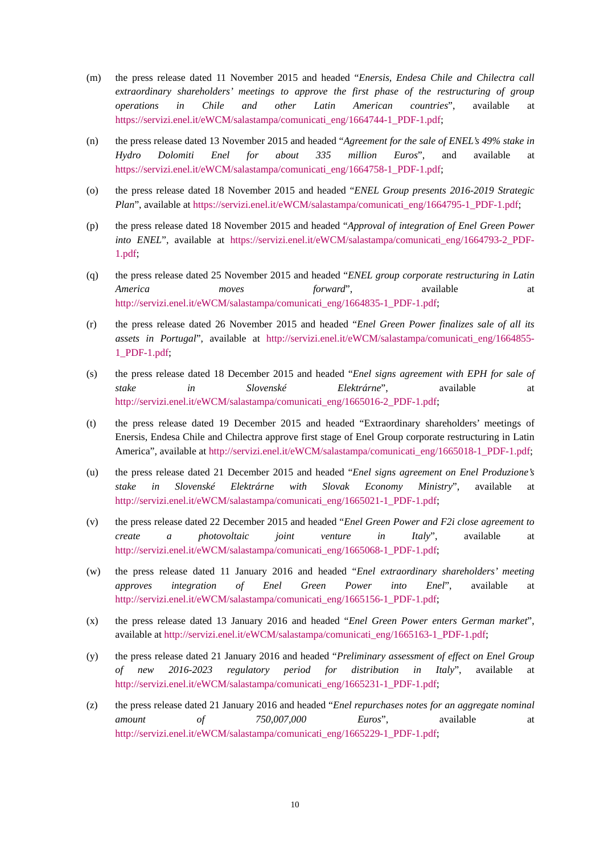- (m) the press release dated 11 November 2015 and headed "*Enersis, Endesa Chile and Chilectra call extraordinary shareholders' meetings to approve the first phase of the restructuring of group operations in Chile and other Latin American countries*", available at [https://servizi.enel.it/eWCM/salastampa/comunicati\\_eng/1664744-1\\_PDF-1.pdf;](https://servizi.enel.it/eWCM/salastampa/comunicati_eng/1664744-1_PDF-1.pdf)
- (n) the press release dated 13 November 2015 and headed "*Agreement for the sale of ENEL's 49% stake in Hydro Dolomiti Enel for about 335 million Euros*", and available at [https://servizi.enel.it/eWCM/salastampa/comunicati\\_eng/1664758-1\\_PDF-1.pdf;](https://servizi.enel.it/eWCM/salastampa/comunicati_eng/1664758-1_PDF-1.pdf)
- (o) the press release dated 18 November 2015 and headed "*ENEL Group presents 2016-2019 Strategic Plan*", available at [https://servizi.enel.it/eWCM/salastampa/comunicati\\_eng/1664795-1\\_PDF-1.pdf;](https://servizi.enel.it/eWCM/salastampa/comunicati_eng/1664795-1_PDF-1.pdf)
- (p) the press release dated 18 November 2015 and headed "*Approval of integration of Enel Green Power into ENEL*", available at https://servizi.enel.it/eWCM/salastampa/comunicati eng/1664793-2 PDF-[1.pdf;](https://servizi.enel.it/eWCM/salastampa/comunicati_eng/1664793-2_PDF-1.pdf)
- (q) the press release dated 25 November 2015 and headed "*ENEL group corporate restructuring in Latin America moves forward*", available at [http://servizi.enel.it/eWCM/salastampa/comunicati\\_eng/1664835-1\\_PDF-1.pdf;](http://servizi.enel.it/eWCM/salastampa/comunicati_eng/1664835-1_PDF-1.pdf)
- (r) the press release dated 26 November 2015 and headed "*Enel Green Power finalizes sale of all its assets in Portugal*", available at [http://servizi.enel.it/eWCM/salastampa/comunicati\\_eng/1664855-](http://servizi.enel.it/eWCM/salastampa/comunicati_eng/1664855-1_PDF-1.pdf) [1\\_PDF-1.pdf;](http://servizi.enel.it/eWCM/salastampa/comunicati_eng/1664855-1_PDF-1.pdf)
- (s) the press release dated 18 December 2015 and headed "*Enel signs agreement with EPH for sale of stake in Slovenské Elektrárne*", available at [http://servizi.enel.it/eWCM/salastampa/comunicati\\_eng/1665016-2\\_PDF-1.pdf;](http://servizi.enel.it/eWCM/salastampa/comunicati_eng/1665016-2_PDF-1.pdf)
- (t) the press release dated 19 December 2015 and headed "Extraordinary shareholders' meetings of Enersis, Endesa Chile and Chilectra approve first stage of Enel Group corporate restructuring in Latin America", available at [http://servizi.enel.it/eWCM/salastampa/comunicati\\_eng/1665018-1\\_PDF-1.pdf;](http://servizi.enel.it/eWCM/salastampa/comunicati_eng/1665018-1_PDF-1.pdf)
- (u) the press release dated 21 December 2015 and headed "*Enel signs agreement on Enel Produzione's stake in Slovenské Elektrárne with Slovak Economy Ministry*", available at [http://servizi.enel.it/eWCM/salastampa/comunicati\\_eng/1665021-1\\_PDF-1.pdf;](http://servizi.enel.it/eWCM/salastampa/comunicati_eng/1665021-1_PDF-1.pdf)
- (v) the press release dated 22 December 2015 and headed "*Enel Green Power and F2i close agreement to create a photovoltaic joint venture in Italy*", available at [http://servizi.enel.it/eWCM/salastampa/comunicati\\_eng/1665068-1\\_PDF-1.pdf;](http://servizi.enel.it/eWCM/salastampa/comunicati_eng/1665068-1_PDF-1.pdf)
- (w) the press release dated 11 January 2016 and headed "*Enel extraordinary shareholders' meeting approves integration of Enel Green Power into Enel*", available at [http://servizi.enel.it/eWCM/salastampa/comunicati\\_eng/1665156-1\\_PDF-1.pdf;](http://servizi.enel.it/eWCM/salastampa/comunicati_eng/1665156-1_PDF-1.pdf)
- (x) the press release dated 13 January 2016 and headed "*Enel Green Power enters German market*", available at [http://servizi.enel.it/eWCM/salastampa/comunicati\\_eng/1665163-1\\_PDF-1.pdf;](http://servizi.enel.it/eWCM/salastampa/comunicati_eng/1665163-1_PDF-1.pdf)
- (y) the press release dated 21 January 2016 and headed "*Preliminary assessment of effect on Enel Group of new 2016-2023 regulatory period for distribution in Italy*", available at [http://servizi.enel.it/eWCM/salastampa/comunicati\\_eng/1665231-1\\_PDF-1.pdf;](http://servizi.enel.it/eWCM/salastampa/comunicati_eng/1665231-1_PDF-1.pdf)
- (z) the press release dated 21 January 2016 and headed "*Enel repurchases notes for an aggregate nominal amount of 750,007,000 Euros*", available at [http://servizi.enel.it/eWCM/salastampa/comunicati\\_eng/1665229-1\\_PDF-1.pdf;](http://servizi.enel.it/eWCM/salastampa/comunicati_eng/1665229-1_PDF-1.pdf)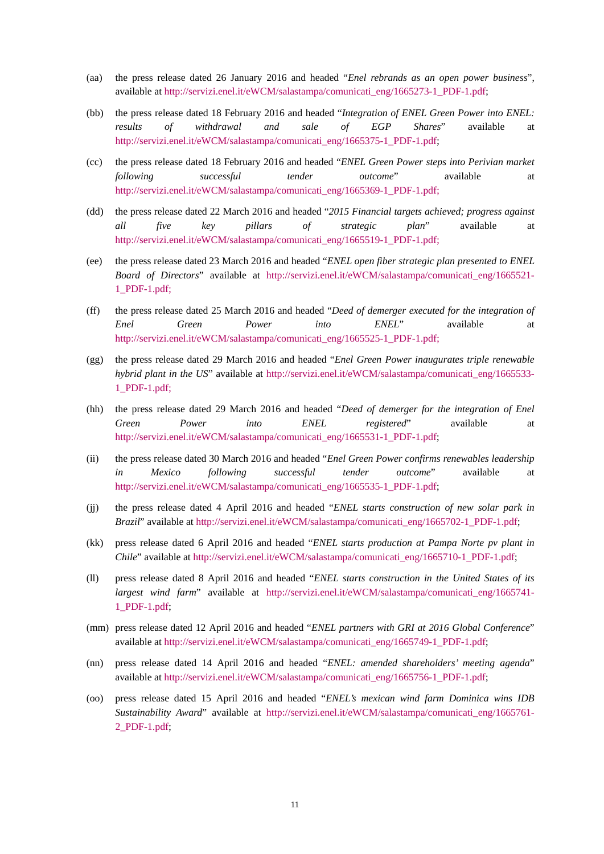- (aa) the press release dated 26 January 2016 and headed "*Enel rebrands as an open power business*", available at [http://servizi.enel.it/eWCM/salastampa/comunicati\\_eng/1665273-1\\_PDF-1.pdf;](http://servizi.enel.it/eWCM/salastampa/comunicati_eng/1665273-1_PDF-1.pdf)
- (bb) the press release dated 18 February 2016 and headed "*Integration of ENEL Green Power into ENEL: results of withdrawal and sale of EGP Shares*" available at [http://servizi.enel.it/eWCM/salastampa/comunicati\\_eng/1665375-1\\_PDF-1.pdf;](http://servizi.enel.it/eWCM/salastampa/comunicati_eng/1665375-1_PDF-1.pdf)
- (cc) the press release dated 18 February 2016 and headed "*ENEL Green Power steps into Perivian market following successful tender outcome*" available at [http://servizi.enel.it/eWCM/salastampa/comunicati\\_eng/1665369-1\\_PDF-1.pdf;](http://servizi.enel.it/eWCM/salastampa/comunicati_eng/1665369-1_PDF-1.pdf)
- (dd) the press release dated 22 March 2016 and headed "*2015 Financial targets achieved; progress against all five key pillars of strategic plan*" available at [http://servizi.enel.it/eWCM/salastampa/comunicati\\_eng/1665519-1\\_PDF-1.pdf;](http://servizi.enel.it/eWCM/salastampa/comunicati_eng/1665519-1_PDF-1.pdf)
- (ee) the press release dated 23 March 2016 and headed "*ENEL open fiber strategic plan presented to ENEL Board of Directors*" available at [http://servizi.enel.it/eWCM/salastampa/comunicati\\_eng/1665521-](http://servizi.enel.it/eWCM/salastampa/comunicati_eng/1665521-1_PDF-1.pdf) [1\\_PDF-1.pdf;](http://servizi.enel.it/eWCM/salastampa/comunicati_eng/1665521-1_PDF-1.pdf)
- (ff) the press release dated 25 March 2016 and headed "*Deed of demerger executed for the integration of Enel Green Power into ENEL*" available at [http://servizi.enel.it/eWCM/salastampa/comunicati\\_eng/1665525-1\\_PDF-1.pdf;](http://servizi.enel.it/eWCM/salastampa/comunicati_eng/1665525-1_PDF-1.pdf)
- (gg) the press release dated 29 March 2016 and headed "*Enel Green Power inaugurates triple renewable hybrid plant in the US*" available at [http://servizi.enel.it/eWCM/salastampa/comunicati\\_eng/1665533-](http://servizi.enel.it/eWCM/salastampa/comunicati_eng/1665533-1_PDF-1.pdf) [1\\_PDF-1.pdf;](http://servizi.enel.it/eWCM/salastampa/comunicati_eng/1665533-1_PDF-1.pdf)
- (hh) the press release dated 29 March 2016 and headed "*Deed of demerger for the integration of Enel Green Power into ENEL registered*" available at [http://servizi.enel.it/eWCM/salastampa/comunicati\\_eng/1665531-1\\_PDF-1.pdf;](http://servizi.enel.it/eWCM/salastampa/comunicati_eng/1665531-1_PDF-1.pdf)
- (ii) the press release dated 30 March 2016 and headed "*Enel Green Power confirms renewables leadership in Mexico following successful tender outcome*" available at [http://servizi.enel.it/eWCM/salastampa/comunicati\\_eng/1665535-1\\_PDF-1.pdf;](http://servizi.enel.it/eWCM/salastampa/comunicati_eng/1665535-1_PDF-1.pdf)
- (jj) the press release dated 4 April 2016 and headed "*ENEL starts construction of new solar park in Brazil*" available at [http://servizi.enel.it/eWCM/salastampa/comunicati\\_eng/1665702-1\\_PDF-1.pdf;](http://servizi.enel.it/eWCM/salastampa/comunicati_eng/1665702-1_PDF-1.pdf)
- (kk) press release dated 6 April 2016 and headed "*ENEL starts production at Pampa Norte pv plant in Chile*" available a[t http://servizi.enel.it/eWCM/salastampa/comunicati\\_eng/1665710-1\\_PDF-1.pdf;](http://servizi.enel.it/eWCM/salastampa/comunicati_eng/1665710-1_PDF-1.pdf)
- (ll) press release dated 8 April 2016 and headed "*ENEL starts construction in the United States of its largest wind farm*" available at [http://servizi.enel.it/eWCM/salastampa/comunicati\\_eng/1665741-](http://servizi.enel.it/eWCM/salastampa/comunicati_eng/1665741-1_PDF-1.pdf) [1\\_PDF-1.pdf;](http://servizi.enel.it/eWCM/salastampa/comunicati_eng/1665741-1_PDF-1.pdf)
- (mm) press release dated 12 April 2016 and headed "*ENEL partners with GRI at 2016 Global Conference*" available at [http://servizi.enel.it/eWCM/salastampa/comunicati\\_eng/1665749-1\\_PDF-1.pdf;](http://servizi.enel.it/eWCM/salastampa/comunicati_eng/1665749-1_PDF-1.pdf)
- (nn) press release dated 14 April 2016 and headed "*ENEL: amended shareholders' meeting agenda*" available at [http://servizi.enel.it/eWCM/salastampa/comunicati\\_eng/1665756-1\\_PDF-1.pdf;](http://servizi.enel.it/eWCM/salastampa/comunicati_eng/1665756-1_PDF-1.pdf)
- (oo) press release dated 15 April 2016 and headed "*ENEL's mexican wind farm Dominica wins IDB Sustainability Award*" available at [http://servizi.enel.it/eWCM/salastampa/comunicati\\_eng/1665761-](http://servizi.enel.it/eWCM/salastampa/comunicati_eng/1665761-2_PDF-1.pdf) [2\\_PDF-1.pdf;](http://servizi.enel.it/eWCM/salastampa/comunicati_eng/1665761-2_PDF-1.pdf)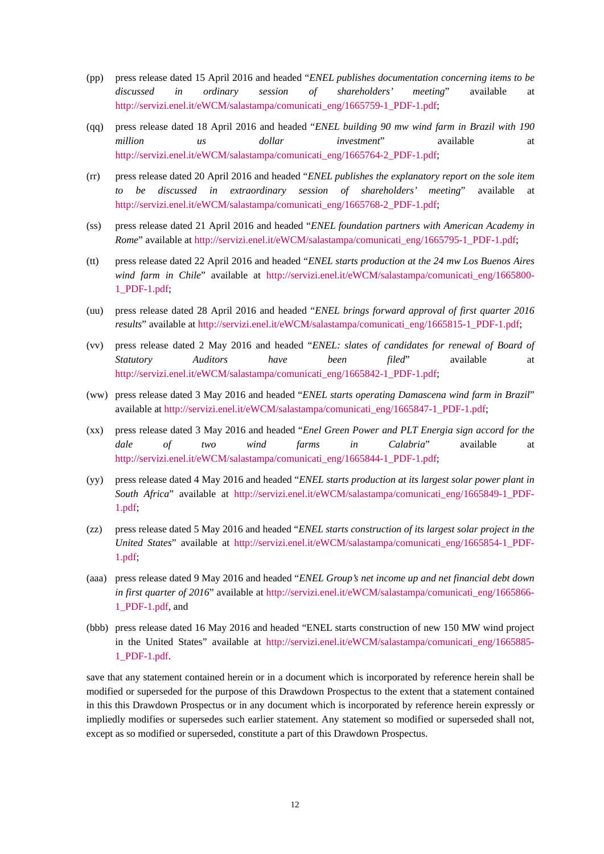- (pp) press release dated 15 April 2016 and headed "*ENEL publishes documentation concerning items to be discussed in ordinary session of shareholders' meeting*" available at [http://servizi.enel.it/eWCM/salastampa/comunicati\\_eng/1665759-1\\_PDF-1.pdf;](http://servizi.enel.it/eWCM/salastampa/comunicati_eng/1665759-1_PDF-1.pdf)
- (qq) press release dated 18 April 2016 and headed "*ENEL building 90 mw wind farm in Brazil with 190 million us dollar investment*" available at [http://servizi.enel.it/eWCM/salastampa/comunicati\\_eng/1665764-2\\_PDF-1.pdf;](http://servizi.enel.it/eWCM/salastampa/comunicati_eng/1665764-2_PDF-1.pdf)
- (rr) press release dated 20 April 2016 and headed "*ENEL publishes the explanatory report on the sole item to be discussed in extraordinary session of shareholders' meeting*" available at [http://servizi.enel.it/eWCM/salastampa/comunicati\\_eng/1665768-2\\_PDF-1.pdf;](http://servizi.enel.it/eWCM/salastampa/comunicati_eng/1665768-2_PDF-1.pdf)
- (ss) press release dated 21 April 2016 and headed "*ENEL foundation partners with American Academy in Rome*" available a[t http://servizi.enel.it/eWCM/salastampa/comunicati\\_eng/1665795-1\\_PDF-1.pdf;](http://servizi.enel.it/eWCM/salastampa/comunicati_eng/1665795-1_PDF-1.pdf)
- (tt) press release dated 22 April 2016 and headed "*ENEL starts production at the 24 mw Los Buenos Aires wind farm in Chile*" available at http://servizi.enel.it/eWCM/salastampa/comunicati eng/1665800-[1\\_PDF-1.pdf;](http://servizi.enel.it/eWCM/salastampa/comunicati_eng/1665800-1_PDF-1.pdf)
- (uu) press release dated 28 April 2016 and headed "*ENEL brings forward approval of first quarter 2016 results*" available at [http://servizi.enel.it/eWCM/salastampa/comunicati\\_eng/1665815-1\\_PDF-1.pdf;](http://servizi.enel.it/eWCM/salastampa/comunicati_eng/1665815-1_PDF-1.pdf)
- (vv) press release dated 2 May 2016 and headed "*ENEL: slates of candidates for renewal of Board of Statutory Auditors have been filed*" available at [http://servizi.enel.it/eWCM/salastampa/comunicati\\_eng/1665842-1\\_PDF-1.pdf;](http://servizi.enel.it/eWCM/salastampa/comunicati_eng/1665842-1_PDF-1.pdf)
- (ww) press release dated 3 May 2016 and headed "*ENEL starts operating Damascena wind farm in Brazil*" available at [http://servizi.enel.it/eWCM/salastampa/comunicati\\_eng/1665847-1\\_PDF-1.pdf;](http://servizi.enel.it/eWCM/salastampa/comunicati_eng/1665847-1_PDF-1.pdf)
- (xx) press release dated 3 May 2016 and headed "*Enel Green Power and PLT Energia sign accord for the dale of two wind farms in Calabria*" available at [http://servizi.enel.it/eWCM/salastampa/comunicati\\_eng/1665844-1\\_PDF-1.pdf;](http://servizi.enel.it/eWCM/salastampa/comunicati_eng/1665844-1_PDF-1.pdf)
- (yy) press release dated 4 May 2016 and headed "*ENEL starts production at its largest solar power plant in South Africa*" available at [http://servizi.enel.it/eWCM/salastampa/comunicati\\_eng/1665849-1\\_PDF-](http://servizi.enel.it/eWCM/salastampa/comunicati_eng/1665849-1_PDF-1.pdf)[1.pdf;](http://servizi.enel.it/eWCM/salastampa/comunicati_eng/1665849-1_PDF-1.pdf)
- (zz) press release dated 5 May 2016 and headed "*ENEL starts construction of its largest solar project in the United States*" available at [http://servizi.enel.it/eWCM/salastampa/comunicati\\_eng/1665854-1\\_PDF-](http://servizi.enel.it/eWCM/salastampa/comunicati_eng/1665854-1_PDF-1.pdf)[1.pdf;](http://servizi.enel.it/eWCM/salastampa/comunicati_eng/1665854-1_PDF-1.pdf)
- (aaa) press release dated 9 May 2016 and headed "*ENEL Group's net income up and net financial debt down in first quarter of 2016*" available at [http://servizi.enel.it/eWCM/salastampa/comunicati\\_eng/1665866-](http://servizi.enel.it/eWCM/salastampa/comunicati_eng/1665866-1_PDF-1.pdf) [1\\_PDF-1.pdf,](http://servizi.enel.it/eWCM/salastampa/comunicati_eng/1665866-1_PDF-1.pdf) and
- (bbb) press release dated 16 May 2016 and headed "ENEL starts construction of new 150 MW wind project in the United States" available at http://servizi.enel.it/eWCM/salastampa/comunicati eng/1665885-[1\\_PDF-1.pdf.](http://servizi.enel.it/eWCM/salastampa/comunicati_eng/1665885-1_PDF-1.pdf)

save that any statement contained herein or in a document which is incorporated by reference herein shall be modified or superseded for the purpose of this Drawdown Prospectus to the extent that a statement contained in this this Drawdown Prospectus or in any document which is incorporated by reference herein expressly or impliedly modifies or supersedes such earlier statement. Any statement so modified or superseded shall not, except as so modified or superseded, constitute a part of this Drawdown Prospectus.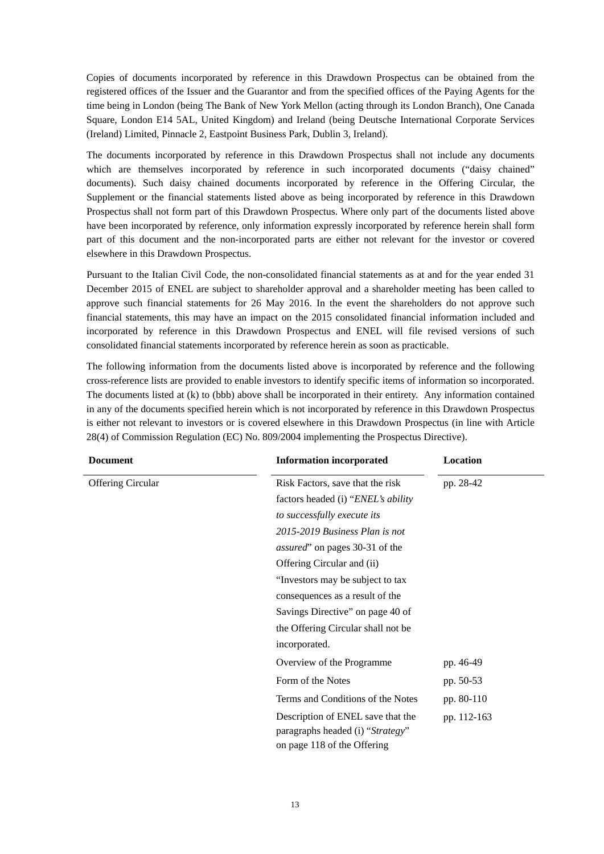Copies of documents incorporated by reference in this Drawdown Prospectus can be obtained from the registered offices of the Issuer and the Guarantor and from the specified offices of the Paying Agents for the time being in London (being The Bank of New York Mellon (acting through its London Branch), One Canada Square, London E14 5AL, United Kingdom) and Ireland (being Deutsche International Corporate Services (Ireland) Limited, Pinnacle 2, Eastpoint Business Park, Dublin 3, Ireland).

The documents incorporated by reference in this Drawdown Prospectus shall not include any documents which are themselves incorporated by reference in such incorporated documents ("daisy chained" documents). Such daisy chained documents incorporated by reference in the Offering Circular, the Supplement or the financial statements listed above as being incorporated by reference in this Drawdown Prospectus shall not form part of this Drawdown Prospectus. Where only part of the documents listed above have been incorporated by reference, only information expressly incorporated by reference herein shall form part of this document and the non-incorporated parts are either not relevant for the investor or covered elsewhere in this Drawdown Prospectus.

Pursuant to the Italian Civil Code, the non-consolidated financial statements as at and for the year ended 31 December 2015 of ENEL are subject to shareholder approval and a shareholder meeting has been called to approve such financial statements for 26 May 2016. In the event the shareholders do not approve such financial statements, this may have an impact on the 2015 consolidated financial information included and incorporated by reference in this Drawdown Prospectus and ENEL will file revised versions of such consolidated financial statements incorporated by reference herein as soon as practicable.

The following information from the documents listed above is incorporated by reference and the following cross-reference lists are provided to enable investors to identify specific items of information so incorporated. The documents listed at (k) to (bbb) above shall be incorporated in their entirety. Any information contained in any of the documents specified herein which is not incorporated by reference in this Drawdown Prospectus is either not relevant to investors or is covered elsewhere in this Drawdown Prospectus (in line with Article 28(4) of Commission Regulation (EC) No. 809/2004 implementing the Prospectus Directive).

| <b>Document</b>          | <b>Information incorporated</b>                                                                      | Location    |  |
|--------------------------|------------------------------------------------------------------------------------------------------|-------------|--|
| <b>Offering Circular</b> | Risk Factors, save that the risk<br>pp. 28-42                                                        |             |  |
|                          | factors headed (i) "ENEL's ability                                                                   |             |  |
|                          | to successfully execute its                                                                          |             |  |
|                          | 2015-2019 Business Plan is not                                                                       |             |  |
|                          | <i>assured</i> " on pages 30-31 of the                                                               |             |  |
|                          | Offering Circular and (ii)                                                                           |             |  |
|                          | "Investors may be subject to tax                                                                     |             |  |
|                          | consequences as a result of the                                                                      |             |  |
|                          | Savings Directive" on page 40 of                                                                     |             |  |
|                          | the Offering Circular shall not be                                                                   |             |  |
|                          | incorporated.                                                                                        |             |  |
|                          | Overview of the Programme                                                                            | pp. 46-49   |  |
|                          | Form of the Notes                                                                                    | pp. 50-53   |  |
|                          | Terms and Conditions of the Notes                                                                    | pp. 80-110  |  |
|                          | Description of ENEL save that the<br>paragraphs headed (i) "Strategy"<br>on page 118 of the Offering | pp. 112-163 |  |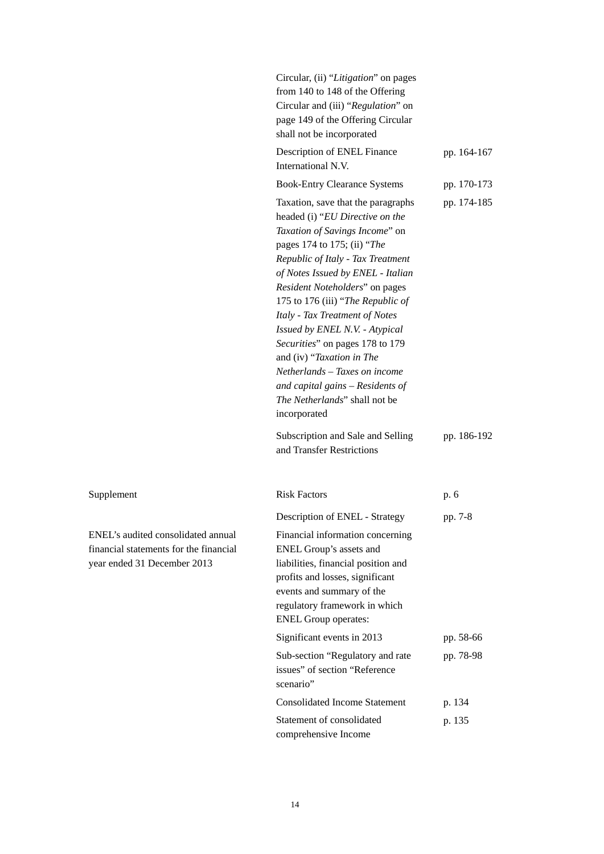|                                                                                                             | Circular, (ii) "Litigation" on pages<br>from 140 to 148 of the Offering<br>Circular and (iii) "Regulation" on<br>page 149 of the Offering Circular<br>shall not be incorporated                                                                                                                                                                                                                                                                                                                                                                   |             |
|-------------------------------------------------------------------------------------------------------------|---------------------------------------------------------------------------------------------------------------------------------------------------------------------------------------------------------------------------------------------------------------------------------------------------------------------------------------------------------------------------------------------------------------------------------------------------------------------------------------------------------------------------------------------------|-------------|
|                                                                                                             | Description of ENEL Finance<br>International N.V.                                                                                                                                                                                                                                                                                                                                                                                                                                                                                                 | pp. 164-167 |
|                                                                                                             | <b>Book-Entry Clearance Systems</b>                                                                                                                                                                                                                                                                                                                                                                                                                                                                                                               | pp. 170-173 |
|                                                                                                             | Taxation, save that the paragraphs<br>headed (i) "EU Directive on the<br>Taxation of Savings Income" on<br>pages 174 to 175; (ii) "The<br>Republic of Italy - Tax Treatment<br>of Notes Issued by ENEL - Italian<br>Resident Noteholders" on pages<br>175 to 176 (iii) "The Republic of<br>Italy - Tax Treatment of Notes<br>Issued by ENEL N.V. - Atypical<br>Securities" on pages 178 to 179<br>and (iv) "Taxation in The<br>Netherlands – Taxes on income<br>and capital gains - Residents of<br>The Netherlands" shall not be<br>incorporated | pp. 174-185 |
|                                                                                                             | Subscription and Sale and Selling<br>and Transfer Restrictions                                                                                                                                                                                                                                                                                                                                                                                                                                                                                    | pp. 186-192 |
| Supplement                                                                                                  | <b>Risk Factors</b>                                                                                                                                                                                                                                                                                                                                                                                                                                                                                                                               | p. 6        |
|                                                                                                             | Description of ENEL - Strategy                                                                                                                                                                                                                                                                                                                                                                                                                                                                                                                    | pp. 7-8     |
| ENEL's audited consolidated annual<br>financial statements for the financial<br>year ended 31 December 2013 | Financial information concerning<br>ENEL Group's assets and<br>liabilities, financial position and<br>profits and losses, significant<br>events and summary of the<br>regulatory framework in which<br><b>ENEL Group operates:</b>                                                                                                                                                                                                                                                                                                                |             |
|                                                                                                             | Significant events in 2013                                                                                                                                                                                                                                                                                                                                                                                                                                                                                                                        | pp. 58-66   |
|                                                                                                             | Sub-section "Regulatory and rate<br>issues" of section "Reference<br>scenario"                                                                                                                                                                                                                                                                                                                                                                                                                                                                    | pp. 78-98   |
|                                                                                                             | <b>Consolidated Income Statement</b>                                                                                                                                                                                                                                                                                                                                                                                                                                                                                                              | p. 134      |
|                                                                                                             | Statement of consolidated<br>comprehensive Income                                                                                                                                                                                                                                                                                                                                                                                                                                                                                                 | p. 135      |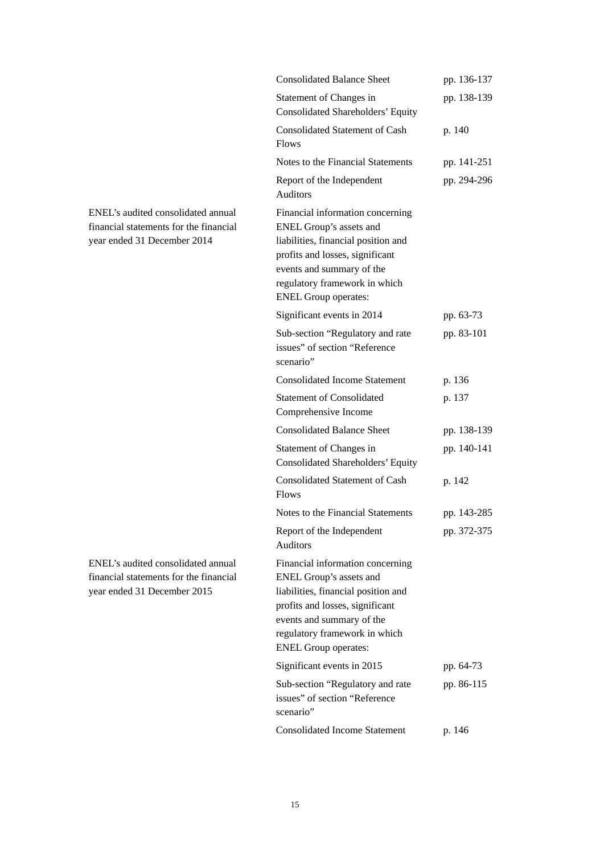|                                                                                                             | <b>Consolidated Balance Sheet</b>                                                                                                                                                                                                  | pp. 136-137 |
|-------------------------------------------------------------------------------------------------------------|------------------------------------------------------------------------------------------------------------------------------------------------------------------------------------------------------------------------------------|-------------|
|                                                                                                             | Statement of Changes in<br>Consolidated Shareholders' Equity                                                                                                                                                                       | pp. 138-139 |
|                                                                                                             | Consolidated Statement of Cash<br><b>Flows</b>                                                                                                                                                                                     | p. 140      |
|                                                                                                             | Notes to the Financial Statements                                                                                                                                                                                                  | pp. 141-251 |
|                                                                                                             | Report of the Independent<br>Auditors                                                                                                                                                                                              | pp. 294-296 |
| ENEL's audited consolidated annual<br>financial statements for the financial<br>year ended 31 December 2014 | Financial information concerning<br>ENEL Group's assets and<br>liabilities, financial position and<br>profits and losses, significant<br>events and summary of the<br>regulatory framework in which<br><b>ENEL Group operates:</b> |             |
|                                                                                                             | Significant events in 2014                                                                                                                                                                                                         | pp. 63-73   |
|                                                                                                             | Sub-section "Regulatory and rate<br>issues" of section "Reference<br>scenario"                                                                                                                                                     | pp. 83-101  |
|                                                                                                             | <b>Consolidated Income Statement</b>                                                                                                                                                                                               | p. 136      |
|                                                                                                             | <b>Statement of Consolidated</b><br>Comprehensive Income                                                                                                                                                                           | p. 137      |
|                                                                                                             | <b>Consolidated Balance Sheet</b>                                                                                                                                                                                                  | pp. 138-139 |
|                                                                                                             | Statement of Changes in<br><b>Consolidated Shareholders' Equity</b>                                                                                                                                                                | pp. 140-141 |
|                                                                                                             | <b>Consolidated Statement of Cash</b><br><b>Flows</b>                                                                                                                                                                              | p. 142      |
|                                                                                                             | Notes to the Financial Statements                                                                                                                                                                                                  | pp. 143-285 |
|                                                                                                             | Report of the Independent<br><b>Auditors</b>                                                                                                                                                                                       | pp. 372-375 |
| ENEL's audited consolidated annual<br>financial statements for the financial<br>year ended 31 December 2015 | Financial information concerning<br>ENEL Group's assets and<br>liabilities, financial position and<br>profits and losses, significant<br>events and summary of the<br>regulatory framework in which<br><b>ENEL Group operates:</b> |             |
|                                                                                                             | Significant events in 2015                                                                                                                                                                                                         | pp. 64-73   |
|                                                                                                             | Sub-section "Regulatory and rate<br>issues" of section "Reference<br>scenario"                                                                                                                                                     | pp. 86-115  |
|                                                                                                             | <b>Consolidated Income Statement</b>                                                                                                                                                                                               | p. 146      |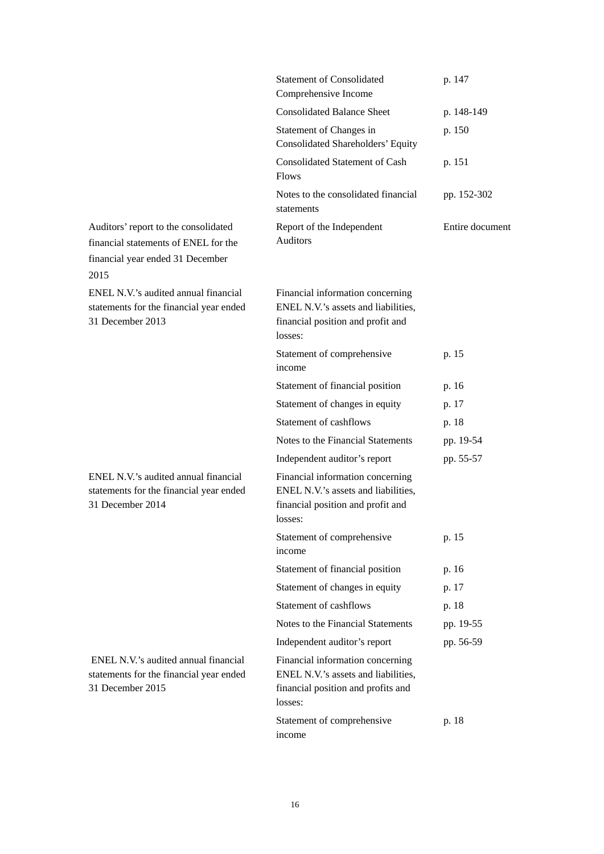|                                                                                                                          | <b>Statement of Consolidated</b><br>Comprehensive Income                                                                 | p. 147          |
|--------------------------------------------------------------------------------------------------------------------------|--------------------------------------------------------------------------------------------------------------------------|-----------------|
|                                                                                                                          | <b>Consolidated Balance Sheet</b>                                                                                        | p. 148-149      |
|                                                                                                                          | Statement of Changes in<br>Consolidated Shareholders' Equity                                                             | p. 150          |
|                                                                                                                          | <b>Consolidated Statement of Cash</b><br><b>Flows</b>                                                                    | p. 151          |
|                                                                                                                          | Notes to the consolidated financial<br>statements                                                                        | pp. 152-302     |
| Auditors' report to the consolidated<br>financial statements of ENEL for the<br>financial year ended 31 December<br>2015 | Report of the Independent<br><b>Auditors</b>                                                                             | Entire document |
| ENEL N.V.'s audited annual financial<br>statements for the financial year ended<br>31 December 2013                      | Financial information concerning<br>ENEL N.V.'s assets and liabilities,<br>financial position and profit and<br>losses:  |                 |
|                                                                                                                          | Statement of comprehensive<br>income                                                                                     | p. 15           |
|                                                                                                                          | Statement of financial position                                                                                          | p. 16           |
|                                                                                                                          | Statement of changes in equity                                                                                           | p. 17           |
|                                                                                                                          | Statement of cashflows                                                                                                   | p. 18           |
|                                                                                                                          | Notes to the Financial Statements                                                                                        | pp. 19-54       |
|                                                                                                                          | Independent auditor's report                                                                                             | pp. 55-57       |
| ENEL N.V.'s audited annual financial<br>statements for the financial year ended<br>31 December 2014                      | Financial information concerning<br>ENEL N.V.'s assets and liabilities,<br>financial position and profit and<br>losses:  |                 |
|                                                                                                                          | Statement of comprehensive<br>income                                                                                     | p. 15           |
|                                                                                                                          | Statement of financial position                                                                                          | p. 16           |
|                                                                                                                          | Statement of changes in equity                                                                                           | p. 17           |
|                                                                                                                          | Statement of cashflows                                                                                                   | p. 18           |
|                                                                                                                          | Notes to the Financial Statements                                                                                        | pp. 19-55       |
|                                                                                                                          | Independent auditor's report                                                                                             | pp. 56-59       |
| ENEL N.V.'s audited annual financial<br>statements for the financial year ended<br>31 December 2015                      | Financial information concerning<br>ENEL N.V.'s assets and liabilities,<br>financial position and profits and<br>losses: |                 |
|                                                                                                                          | Statement of comprehensive<br>income                                                                                     | p. 18           |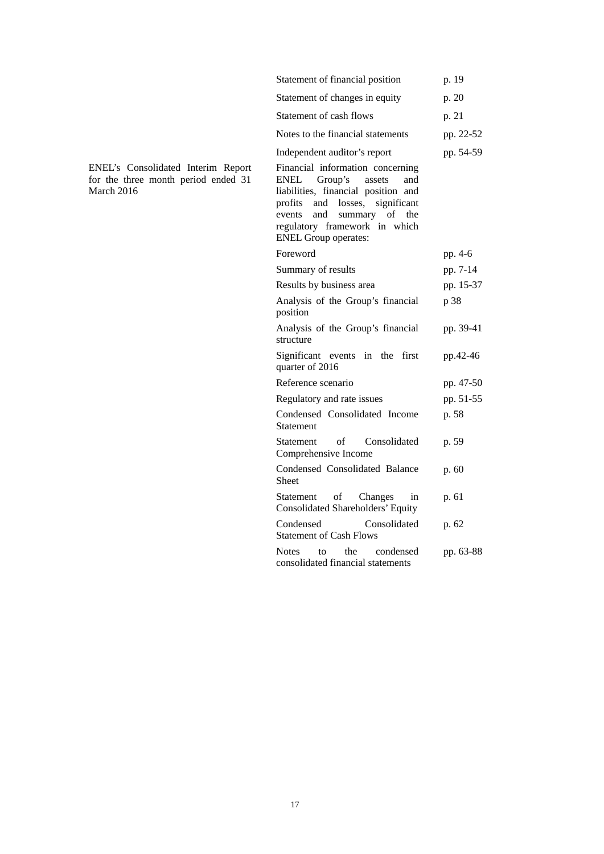| Statement of financial position                                                                                                                                                                                                                            | p. 19     |
|------------------------------------------------------------------------------------------------------------------------------------------------------------------------------------------------------------------------------------------------------------|-----------|
| Statement of changes in equity                                                                                                                                                                                                                             | p. 20     |
| Statement of cash flows                                                                                                                                                                                                                                    | p. 21     |
| Notes to the financial statements                                                                                                                                                                                                                          | pp. 22-52 |
| Independent auditor's report                                                                                                                                                                                                                               | pp. 54-59 |
| Financial information concerning<br>Group's<br>ENEL<br>assets<br>and<br>liabilities, financial position and<br>and losses,<br>significant<br>profits<br>of the<br>and<br>summary<br>events<br>regulatory framework in which<br><b>ENEL Group operates:</b> |           |
| Foreword                                                                                                                                                                                                                                                   | pp. 4-6   |
| Summary of results                                                                                                                                                                                                                                         | pp. 7-14  |
| Results by business area                                                                                                                                                                                                                                   | pp. 15-37 |
| Analysis of the Group's financial<br>position                                                                                                                                                                                                              | p 38      |
| Analysis of the Group's financial<br>structure                                                                                                                                                                                                             | pp. 39-41 |
| Significant events<br>the<br>first<br>in<br>quarter of 2016                                                                                                                                                                                                | pp.42-46  |
| Reference scenario                                                                                                                                                                                                                                         | pp. 47-50 |
| Regulatory and rate issues                                                                                                                                                                                                                                 | pp. 51-55 |
| Condensed Consolidated Income<br>Statement                                                                                                                                                                                                                 | p. 58     |
| of<br>Consolidated<br>Statement<br>Comprehensive Income                                                                                                                                                                                                    | p. 59     |
| Condensed Consolidated Balance<br>Sheet                                                                                                                                                                                                                    | p.60      |
| οf<br>Statement<br>Changes<br>in<br><b>Consolidated Shareholders' Equity</b>                                                                                                                                                                               | p. 61     |
| Consolidated<br>Condensed<br><b>Statement of Cash Flows</b>                                                                                                                                                                                                | p. 62     |
| Notes<br>the<br>condensed<br>tо<br>consolidated financial statements                                                                                                                                                                                       | pp. 63-88 |

ENEL's Consolidated Interim Report for the three month period ended 31 March 2016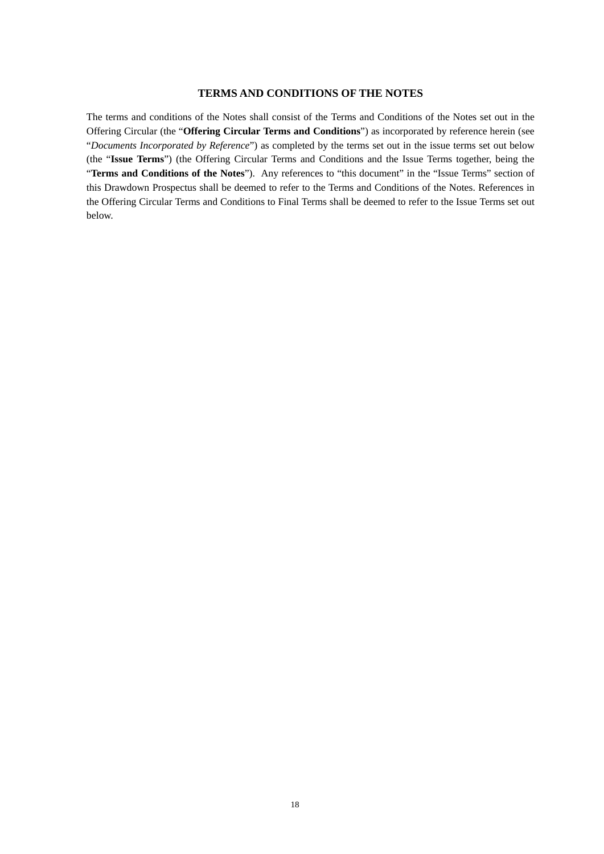## **TERMS AND CONDITIONS OF THE NOTES**

<span id="page-67-0"></span>The terms and conditions of the Notes shall consist of the Terms and Conditions of the Notes set out in the Offering Circular (the "**Offering Circular Terms and Conditions**") as incorporated by reference herein (see "*Documents Incorporated by Reference*") as completed by the terms set out in the issue terms set out below (the "**Issue Terms**") (the Offering Circular Terms and Conditions and the Issue Terms together, being the "**Terms and Conditions of the Notes**"). Any references to "this document" in the "Issue Terms" section of this Drawdown Prospectus shall be deemed to refer to the Terms and Conditions of the Notes. References in the Offering Circular Terms and Conditions to Final Terms shall be deemed to refer to the Issue Terms set out below.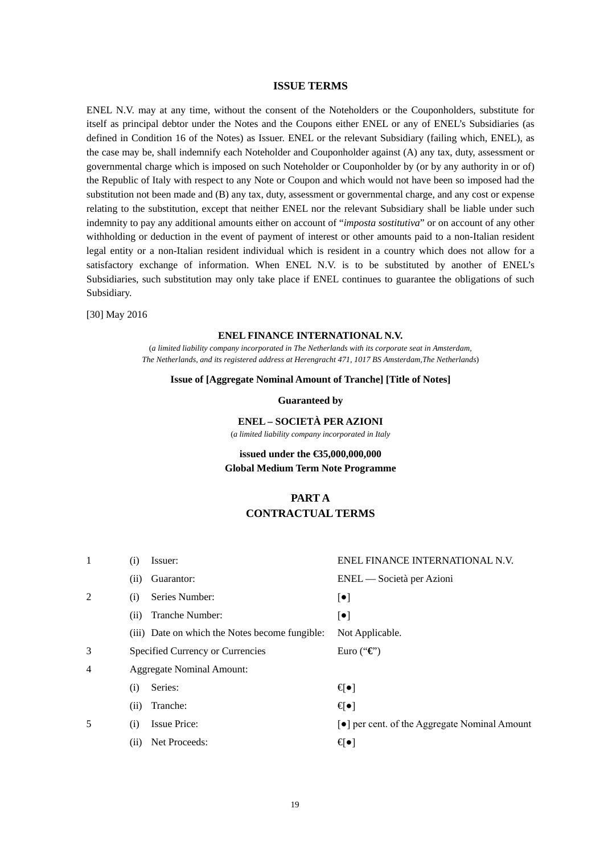## **ISSUE TERMS**

<span id="page-68-0"></span>ENEL N.V. may at any time, without the consent of the Noteholders or the Couponholders, substitute for itself as principal debtor under the Notes and the Coupons either ENEL or any of ENEL's Subsidiaries (as defined in Condition 16 of the Notes) as Issuer. ENEL or the relevant Subsidiary (failing which, ENEL), as the case may be, shall indemnify each Noteholder and Couponholder against (A) any tax, duty, assessment or governmental charge which is imposed on such Noteholder or Couponholder by (or by any authority in or of) the Republic of Italy with respect to any Note or Coupon and which would not have been so imposed had the substitution not been made and (B) any tax, duty, assessment or governmental charge, and any cost or expense relating to the substitution, except that neither ENEL nor the relevant Subsidiary shall be liable under such indemnity to pay any additional amounts either on account of "*imposta sostitutiva*" or on account of any other withholding or deduction in the event of payment of interest or other amounts paid to a non-Italian resident legal entity or a non-Italian resident individual which is resident in a country which does not allow for a satisfactory exchange of information. When ENEL N.V. is to be substituted by another of ENEL's Subsidiaries, such substitution may only take place if ENEL continues to guarantee the obligations of such Subsidiary.

[30] May 2016

#### **ENEL FINANCE INTERNATIONAL N.V.**

(*a limited liability company incorporated in The Netherlands with its corporate seat in Amsterdam, The Netherlands, and its registered address at Herengracht 471, 1017 BS Amsterdam,The Netherlands*)

### **Issue of [Aggregate Nominal Amount of Tranche] [Title of Notes]**

**Guaranteed by**

**ENEL – SOCIETÀ PER AZIONI** (*a limited liability company incorporated in Italy*

## **issued under the €35,000,000,000 Global Medium Term Note Programme**

# **PART A CONTRACTUAL TERMS**

| 1              | (1)  | Issuer:                                        | ENEL FINANCE INTERNATIONAL N.V.             |
|----------------|------|------------------------------------------------|---------------------------------------------|
|                | (11) | Guarantor:                                     | ENEL — Società per Azioni                   |
| 2              | (i)  | Series Number:                                 | $[\bullet]$                                 |
|                | (i)  | Tranche Number:                                | $[\bullet]$                                 |
|                |      | (iii) Date on which the Notes become fungible: | Not Applicable.                             |
| 3              |      | Specified Currency or Currencies               | Euro (" $\mathbf{\mathfrak{C}}$ ")          |
| $\overline{4}$ |      | <b>Aggregate Nominal Amount:</b>               |                                             |
|                | (i)  | Series:                                        | ਚ•⊺                                         |
|                | (11) | Tranche:                                       | €∙]                                         |
| 5              | (i)  | <b>Issue Price:</b>                            | • per cent. of the Aggregate Nominal Amount |
|                | (i)  | Net Proceeds:                                  | €∙]                                         |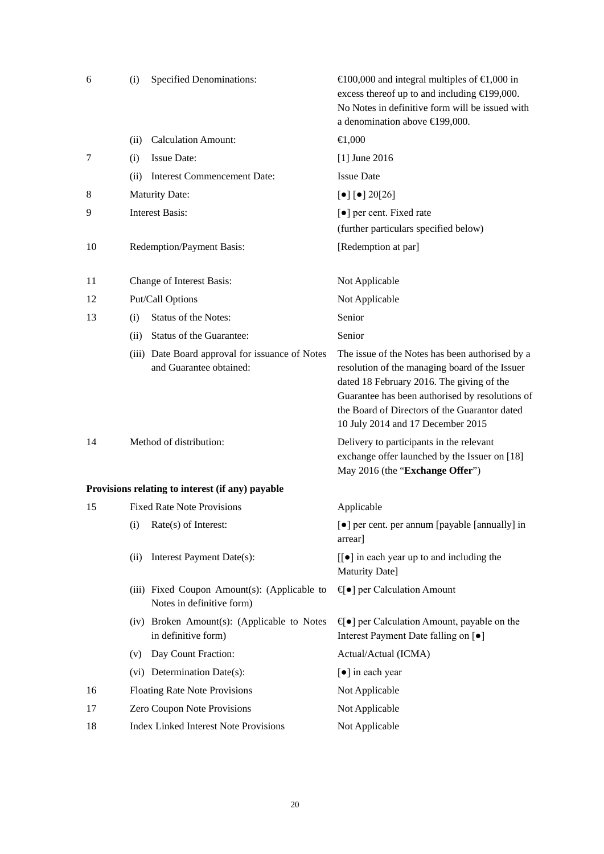| 6  | (i)  | <b>Specified Denominations:</b>                                            | $\in$ 100,000 and integral multiples of $\in$ 1,000 in<br>excess thereof up to and including $\in$ 199,000.<br>No Notes in definitive form will be issued with<br>a denomination above €199,000.                                                                                        |
|----|------|----------------------------------------------------------------------------|-----------------------------------------------------------------------------------------------------------------------------------------------------------------------------------------------------------------------------------------------------------------------------------------|
|    | (ii) | <b>Calculation Amount:</b>                                                 | $-0.00$                                                                                                                                                                                                                                                                                 |
| 7  | (i)  | <b>Issue Date:</b>                                                         | $[1]$ June 2016                                                                                                                                                                                                                                                                         |
|    | (ii) | <b>Interest Commencement Date:</b>                                         | <b>Issue Date</b>                                                                                                                                                                                                                                                                       |
| 8  |      | <b>Maturity Date:</b>                                                      | $\left[\bullet\right]$ $\left[\bullet\right]$ 20[26]                                                                                                                                                                                                                                    |
| 9  |      | <b>Interest Basis:</b>                                                     | [ $\bullet$ ] per cent. Fixed rate                                                                                                                                                                                                                                                      |
|    |      |                                                                            | (further particulars specified below)                                                                                                                                                                                                                                                   |
| 10 |      | Redemption/Payment Basis:                                                  | [Redemption at par]                                                                                                                                                                                                                                                                     |
| 11 |      | Change of Interest Basis:                                                  | Not Applicable                                                                                                                                                                                                                                                                          |
| 12 |      | Put/Call Options                                                           | Not Applicable                                                                                                                                                                                                                                                                          |
| 13 | (i)  | Status of the Notes:                                                       | Senior                                                                                                                                                                                                                                                                                  |
|    | (ii) | Status of the Guarantee:                                                   | Senior                                                                                                                                                                                                                                                                                  |
|    |      | (iii) Date Board approval for issuance of Notes<br>and Guarantee obtained: | The issue of the Notes has been authorised by a<br>resolution of the managing board of the Issuer<br>dated 18 February 2016. The giving of the<br>Guarantee has been authorised by resolutions of<br>the Board of Directors of the Guarantor dated<br>10 July 2014 and 17 December 2015 |
| 14 |      | Method of distribution:                                                    | Delivery to participants in the relevant<br>exchange offer launched by the Issuer on [18]<br>May 2016 (the "Exchange Offer")                                                                                                                                                            |
|    |      | Provisions relating to interest (if any) payable                           |                                                                                                                                                                                                                                                                                         |
| 15 |      | <b>Fixed Rate Note Provisions</b>                                          | Applicable                                                                                                                                                                                                                                                                              |
|    | (i)  | Rate(s) of Interest:                                                       | [ $\bullet$ ] per cent. per annum [payable [annually] in<br>arrear                                                                                                                                                                                                                      |
|    | (ii) | Interest Payment Date(s):                                                  | $\lfloor \cdot \rfloor$ in each year up to and including the<br>Maturity Date]                                                                                                                                                                                                          |
|    |      | (iii) Fixed Coupon Amount(s): (Applicable to<br>Notes in definitive form)  | $\lbrace \bullet \rbrace$ per Calculation Amount                                                                                                                                                                                                                                        |
|    |      | (iv) Broken Amount(s): (Applicable to Notes<br>in definitive form)         | $\bigoplus$ per Calculation Amount, payable on the<br>Interest Payment Date falling on [ $\bullet$ ]                                                                                                                                                                                    |
|    | (v)  | Day Count Fraction:                                                        | Actual/Actual (ICMA)                                                                                                                                                                                                                                                                    |
|    |      | (vi) Determination Date(s):                                                | [ $\bullet$ ] in each year                                                                                                                                                                                                                                                              |
| 16 |      | <b>Floating Rate Note Provisions</b>                                       | Not Applicable                                                                                                                                                                                                                                                                          |
| 17 |      | Zero Coupon Note Provisions                                                | Not Applicable                                                                                                                                                                                                                                                                          |
| 18 |      | <b>Index Linked Interest Note Provisions</b>                               | Not Applicable                                                                                                                                                                                                                                                                          |

20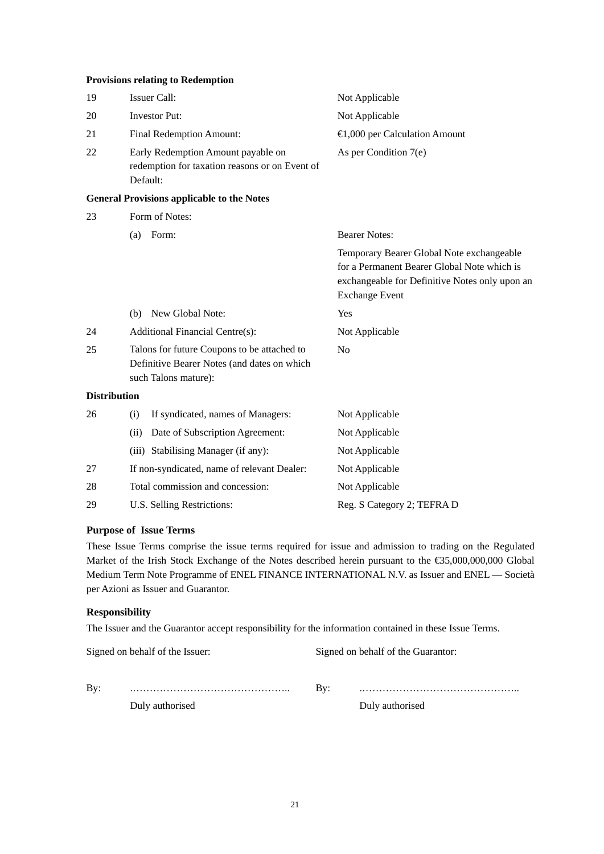## **Provisions relating to Redemption**

| 19                  | <b>Issuer Call:</b>                                                                                                | Not Applicable                                                                                                                                                      |
|---------------------|--------------------------------------------------------------------------------------------------------------------|---------------------------------------------------------------------------------------------------------------------------------------------------------------------|
| 20                  | <b>Investor Put:</b>                                                                                               | Not Applicable                                                                                                                                                      |
| 21                  | Final Redemption Amount:                                                                                           | $\bigoplus$ ,000 per Calculation Amount                                                                                                                             |
| 22                  | Early Redemption Amount payable on<br>redemption for taxation reasons or on Event of<br>Default:                   | As per Condition $7(e)$                                                                                                                                             |
|                     | <b>General Provisions applicable to the Notes</b>                                                                  |                                                                                                                                                                     |
| 23                  | Form of Notes:                                                                                                     |                                                                                                                                                                     |
|                     | Form:<br>(a)                                                                                                       | <b>Bearer Notes:</b>                                                                                                                                                |
|                     |                                                                                                                    | Temporary Bearer Global Note exchangeable<br>for a Permanent Bearer Global Note which is<br>exchangeable for Definitive Notes only upon an<br><b>Exchange Event</b> |
|                     | New Global Note:<br>(b)                                                                                            | Yes                                                                                                                                                                 |
| 24                  | <b>Additional Financial Centre(s):</b>                                                                             | Not Applicable                                                                                                                                                      |
| 25                  | Talons for future Coupons to be attached to<br>Definitive Bearer Notes (and dates on which<br>such Talons mature): | N <sub>0</sub>                                                                                                                                                      |
| <b>Distribution</b> |                                                                                                                    |                                                                                                                                                                     |
| 26                  | If syndicated, names of Managers:<br>(i)                                                                           | Not Applicable                                                                                                                                                      |
|                     | Date of Subscription Agreement:<br>(ii)                                                                            | Not Applicable                                                                                                                                                      |
|                     | (iii) Stabilising Manager (if any):                                                                                | Not Applicable                                                                                                                                                      |
| 27                  | If non-syndicated, name of relevant Dealer:                                                                        | Not Applicable                                                                                                                                                      |
| 28                  | Total commission and concession:                                                                                   | Not Applicable                                                                                                                                                      |
| 29                  | U.S. Selling Restrictions:                                                                                         | Reg. S Category 2; TEFRA D                                                                                                                                          |

## **Purpose of Issue Terms**

These Issue Terms comprise the issue terms required for issue and admission to trading on the Regulated Market of the Irish Stock Exchange of the Notes described herein pursuant to the €35,000,000,000 Global Medium Term Note Programme of ENEL FINANCE INTERNATIONAL N.V. as Issuer and ENEL — Società per Azioni as Issuer and Guarantor.

## **Responsibility**

The Issuer and the Guarantor accept responsibility for the information contained in these Issue Terms.

| Signed on behalf of the Issuer: |                 |     | Signed on behalf of the Guarantor: |  |
|---------------------------------|-----------------|-----|------------------------------------|--|
| By:                             |                 | Bv: |                                    |  |
|                                 | Duly authorised |     | Duly authorised                    |  |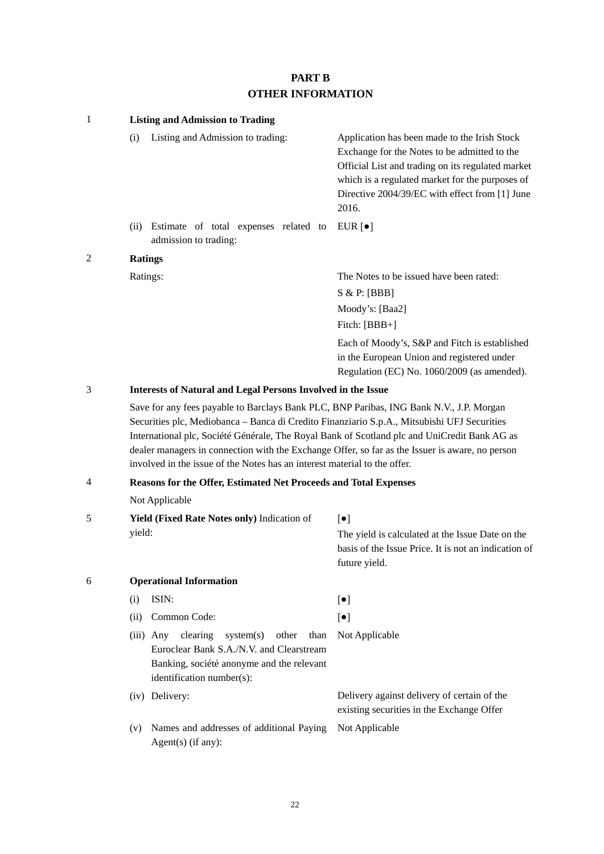# **PART B OTHER INFORMATION**

| $\mathbf{1}$   | <b>Listing and Admission to Trading</b>                                                                                                                                                                                                                                                                                                                                                                                                                                |                                                                                                                                                                                                                                                                 |
|----------------|------------------------------------------------------------------------------------------------------------------------------------------------------------------------------------------------------------------------------------------------------------------------------------------------------------------------------------------------------------------------------------------------------------------------------------------------------------------------|-----------------------------------------------------------------------------------------------------------------------------------------------------------------------------------------------------------------------------------------------------------------|
|                | Listing and Admission to trading:<br>(i)                                                                                                                                                                                                                                                                                                                                                                                                                               | Application has been made to the Irish Stock<br>Exchange for the Notes to be admitted to the<br>Official List and trading on its regulated market<br>which is a regulated market for the purposes of<br>Directive 2004/39/EC with effect from [1] June<br>2016. |
|                | Estimate of total expenses related to<br>(ii)<br>admission to trading:                                                                                                                                                                                                                                                                                                                                                                                                 | EUR $\lceil \bullet \rceil$                                                                                                                                                                                                                                     |
| 2              | <b>Ratings</b>                                                                                                                                                                                                                                                                                                                                                                                                                                                         |                                                                                                                                                                                                                                                                 |
|                | Ratings:                                                                                                                                                                                                                                                                                                                                                                                                                                                               | The Notes to be issued have been rated:<br>S & P: [BBB]<br>Moody's: [Baa2]<br>Fitch: [BBB+]                                                                                                                                                                     |
|                |                                                                                                                                                                                                                                                                                                                                                                                                                                                                        | Each of Moody's, S&P and Fitch is established<br>in the European Union and registered under<br>Regulation (EC) No. 1060/2009 (as amended).                                                                                                                      |
| 3              | <b>Interests of Natural and Legal Persons Involved in the Issue</b>                                                                                                                                                                                                                                                                                                                                                                                                    |                                                                                                                                                                                                                                                                 |
|                | Save for any fees payable to Barclays Bank PLC, BNP Paribas, ING Bank N.V., J.P. Morgan<br>Securities plc, Mediobanca - Banca di Credito Finanziario S.p.A., Mitsubishi UFJ Securities<br>International plc, Société Générale, The Royal Bank of Scotland plc and UniCredit Bank AG as<br>dealer managers in connection with the Exchange Offer, so far as the Issuer is aware, no person<br>involved in the issue of the Notes has an interest material to the offer. |                                                                                                                                                                                                                                                                 |
| $\overline{4}$ | Reasons for the Offer, Estimated Net Proceeds and Total Expenses                                                                                                                                                                                                                                                                                                                                                                                                       |                                                                                                                                                                                                                                                                 |
|                | Not Applicable                                                                                                                                                                                                                                                                                                                                                                                                                                                         |                                                                                                                                                                                                                                                                 |
| 5              | Yield (Fixed Rate Notes only) Indication of                                                                                                                                                                                                                                                                                                                                                                                                                            | $[\bullet]$                                                                                                                                                                                                                                                     |
|                | yield:                                                                                                                                                                                                                                                                                                                                                                                                                                                                 | The yield is calculated at the Issue Date on the<br>basis of the Issue Price. It is not an indication of<br>future yield.                                                                                                                                       |
| 6              | <b>Operational Information</b>                                                                                                                                                                                                                                                                                                                                                                                                                                         |                                                                                                                                                                                                                                                                 |
|                | ISIN:<br>(i)                                                                                                                                                                                                                                                                                                                                                                                                                                                           | $[\bullet]$                                                                                                                                                                                                                                                     |
|                | Common Code:<br>(ii)                                                                                                                                                                                                                                                                                                                                                                                                                                                   | $[\bullet]$                                                                                                                                                                                                                                                     |
|                | clearing<br>system(s)<br>$(iii)$ Any<br>other<br>than<br>Euroclear Bank S.A./N.V. and Clearstream<br>Banking, société anonyme and the relevant<br>identification number(s):                                                                                                                                                                                                                                                                                            | Not Applicable                                                                                                                                                                                                                                                  |
|                | (iv) Delivery:                                                                                                                                                                                                                                                                                                                                                                                                                                                         | Delivery against delivery of certain of the<br>existing securities in the Exchange Offer                                                                                                                                                                        |
|                | Names and addresses of additional Paying<br>(v)<br>$Agent(s)$ (if any):                                                                                                                                                                                                                                                                                                                                                                                                | Not Applicable                                                                                                                                                                                                                                                  |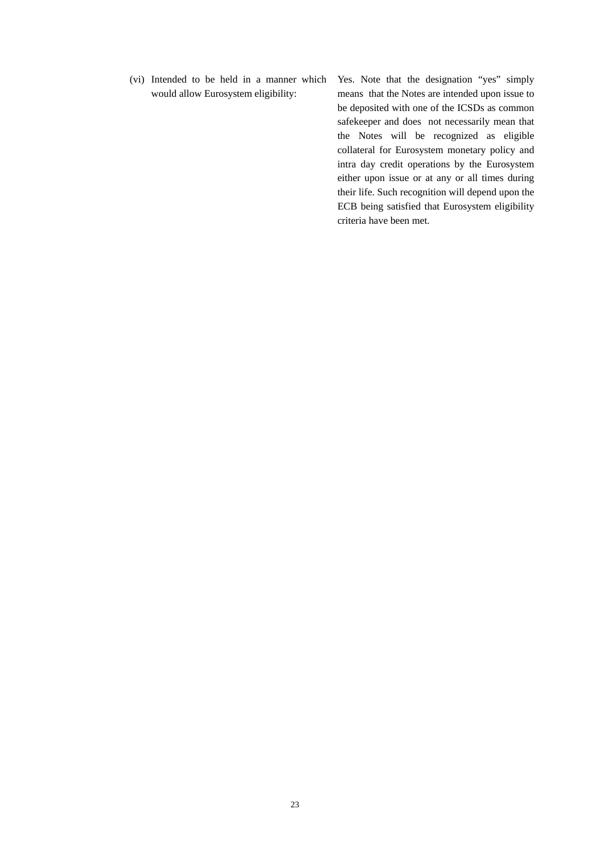(vi) Intended to be held in a manner which would allow Eurosystem eligibility:

Yes. Note that the designation "yes" simply means that the Notes are intended upon issue to be deposited with one of the ICSDs as common safekeeper and does not necessarily mean that the Notes will be recognized as eligible collateral for Eurosystem monetary policy and intra day credit operations by the Eurosystem either upon issue or at any or all times during their life. Such recognition will depend upon the ECB being satisfied that Eurosystem eligibility criteria have been met.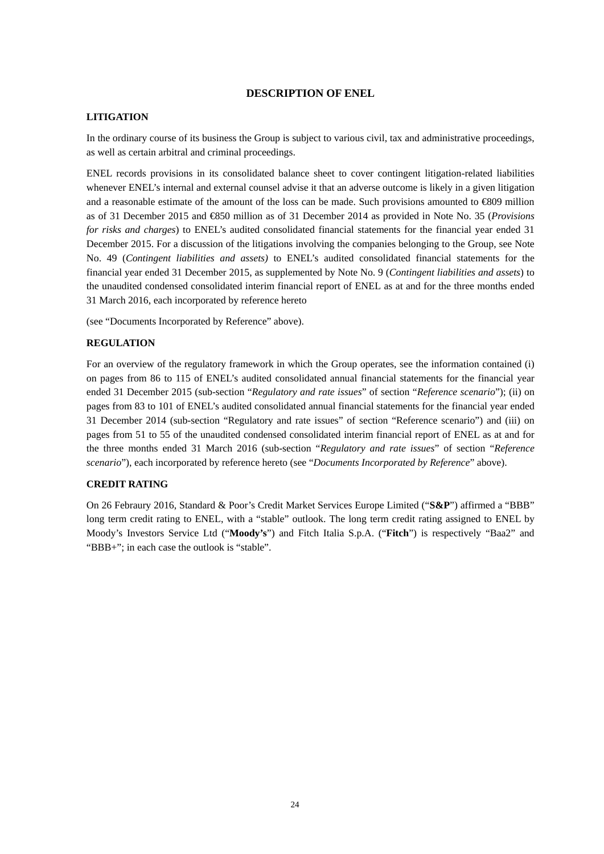## **DESCRIPTION OF ENEL**

# **LITIGATION**

In the ordinary course of its business the Group is subject to various civil, tax and administrative proceedings, as well as certain arbitral and criminal proceedings.

ENEL records provisions in its consolidated balance sheet to cover contingent litigation-related liabilities whenever ENEL's internal and external counsel advise it that an adverse outcome is likely in a given litigation and a reasonable estimate of the amount of the loss can be made. Such provisions amounted to  $\text{\textsterling}809$  million as of 31 December 2015 and €850 million as of 31 December 2014 as provided in Note No. 35 (*Provisions for risks and charges*) to ENEL's audited consolidated financial statements for the financial year ended 31 December 2015. For a discussion of the litigations involving the companies belonging to the Group, see Note No. 49 (*Contingent liabilities and assets)* to ENEL's audited consolidated financial statements for the financial year ended 31 December 2015, as supplemented by Note No. 9 (*Contingent liabilities and assets*) to the unaudited condensed consolidated interim financial report of ENEL as at and for the three months ended 31 March 2016, each incorporated by reference hereto

(see "Documents Incorporated by Reference" above).

## **REGULATION**

For an overview of the regulatory framework in which the Group operates, see the information contained (i) on pages from 86 to 115 of ENEL's audited consolidated annual financial statements for the financial year ended 31 December 2015 (sub-section "*Regulatory and rate issues*" of section "*Reference scenario*"); (ii) on pages from 83 to 101 of ENEL's audited consolidated annual financial statements for the financial year ended 31 December 2014 (sub-section "Regulatory and rate issues" of section "Reference scenario") and (iii) on pages from 51 to 55 of the unaudited condensed consolidated interim financial report of ENEL as at and for the three months ended 31 March 2016 (sub-section "*Regulatory and rate issues*" of section "*Reference scenario*"), each incorporated by reference hereto (see "*Documents Incorporated by Reference*" above).

# **CREDIT RATING**

On 26 Febraury 2016, Standard & Poor's Credit Market Services Europe Limited ("**S&P**") affirmed a "BBB" long term credit rating to ENEL, with a "stable" outlook. The long term credit rating assigned to ENEL by Moody's Investors Service Ltd ("**Moody's**") and Fitch Italia S.p.A. ("**Fitch**") is respectively "Baa2" and "BBB+"; in each case the outlook is "stable".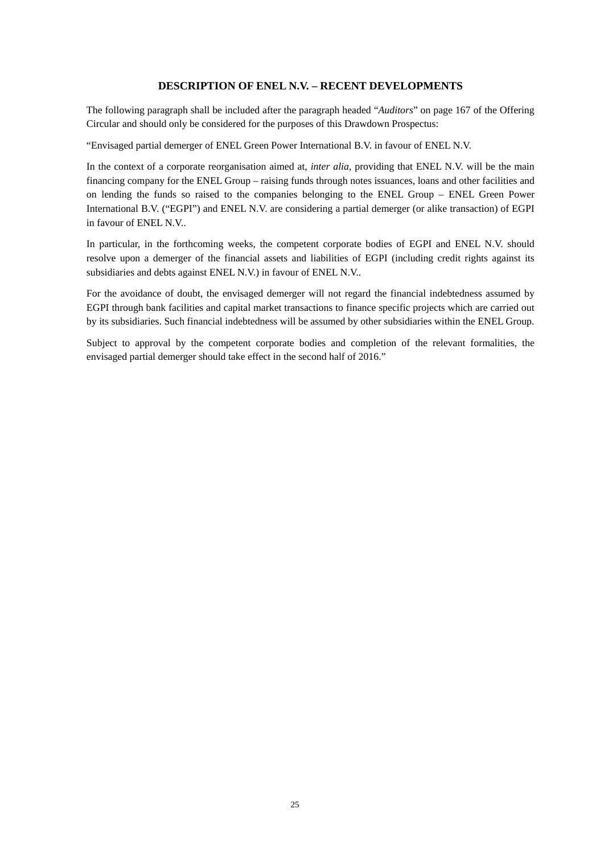# **DESCRIPTION OF ENEL N.V. – RECENT DEVELOPMENTS**

The following paragraph shall be included after the paragraph headed "*Auditors*" on page 167 of the Offering Circular and should only be considered for the purposes of this Drawdown Prospectus:

"Envisaged partial demerger of ENEL Green Power International B.V. in favour of ENEL N.V.

In the context of a corporate reorganisation aimed at, *inter alia*, providing that ENEL N.V. will be the main financing company for the ENEL Group – raising funds through notes issuances, loans and other facilities and on lending the funds so raised to the companies belonging to the ENEL Group – ENEL Green Power International B.V. ("EGPI") and ENEL N.V. are considering a partial demerger (or alike transaction) of EGPI in favour of ENEL N.V..

In particular, in the forthcoming weeks, the competent corporate bodies of EGPI and ENEL N.V. should resolve upon a demerger of the financial assets and liabilities of EGPI (including credit rights against its subsidiaries and debts against ENEL N.V.) in favour of ENEL N.V..

For the avoidance of doubt, the envisaged demerger will not regard the financial indebtedness assumed by EGPI through bank facilities and capital market transactions to finance specific projects which are carried out by its subsidiaries. Such financial indebtedness will be assumed by other subsidiaries within the ENEL Group.

Subject to approval by the competent corporate bodies and completion of the relevant formalities, the envisaged partial demerger should take effect in the second half of 2016."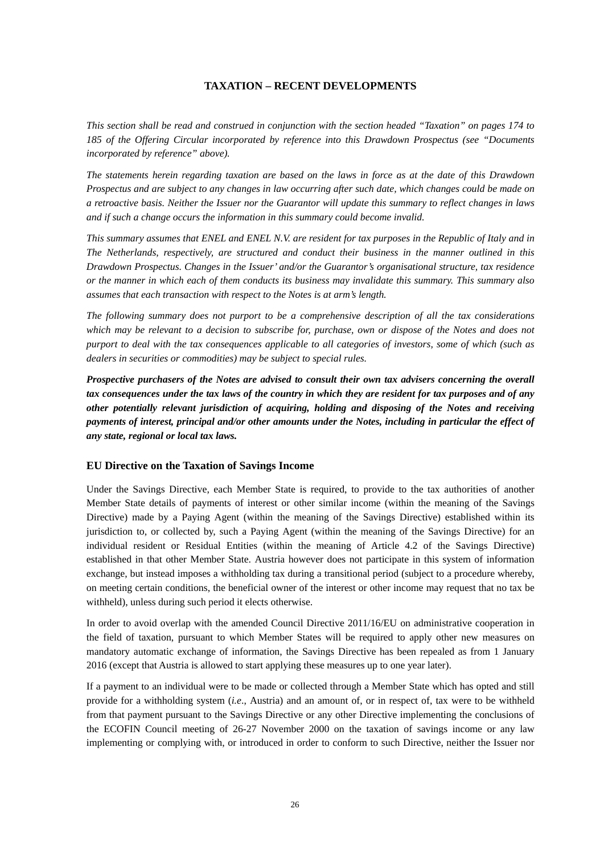# **TAXATION – RECENT DEVELOPMENTS**

*This section shall be read and construed in conjunction with the section headed "Taxation" on pages 174 to 185 of the Offering Circular incorporated by reference into this Drawdown Prospectus (see "Documents incorporated by reference" above).*

*The statements herein regarding taxation are based on the laws in force as at the date of this Drawdown Prospectus and are subject to any changes in law occurring after such date, which changes could be made on a retroactive basis. Neither the Issuer nor the Guarantor will update this summary to reflect changes in laws and if such a change occurs the information in this summary could become invalid.*

*This summary assumes that ENEL and ENEL N.V. are resident for tax purposes in the Republic of Italy and in The Netherlands, respectively, are structured and conduct their business in the manner outlined in this Drawdown Prospectus. Changes in the Issuer' and/or the Guarantor's organisational structure, tax residence or the manner in which each of them conducts its business may invalidate this summary. This summary also assumes that each transaction with respect to the Notes is at arm's length.*

*The following summary does not purport to be a comprehensive description of all the tax considerations which may be relevant to a decision to subscribe for, purchase, own or dispose of the Notes and does not purport to deal with the tax consequences applicable to all categories of investors, some of which (such as dealers in securities or commodities) may be subject to special rules.*

*Prospective purchasers of the Notes are advised to consult their own tax advisers concerning the overall tax consequences under the tax laws of the country in which they are resident for tax purposes and of any other potentially relevant jurisdiction of acquiring, holding and disposing of the Notes and receiving payments of interest, principal and/or other amounts under the Notes, including in particular the effect of any state, regional or local tax laws.*

# **EU Directive on the Taxation of Savings Income**

Under the Savings Directive, each Member State is required, to provide to the tax authorities of another Member State details of payments of interest or other similar income (within the meaning of the Savings Directive) made by a Paying Agent (within the meaning of the Savings Directive) established within its jurisdiction to, or collected by, such a Paying Agent (within the meaning of the Savings Directive) for an individual resident or Residual Entities (within the meaning of Article 4.2 of the Savings Directive) established in that other Member State. Austria however does not participate in this system of information exchange, but instead imposes a withholding tax during a transitional period (subject to a procedure whereby, on meeting certain conditions, the beneficial owner of the interest or other income may request that no tax be withheld), unless during such period it elects otherwise.

In order to avoid overlap with the amended Council Directive 2011/16/EU on administrative cooperation in the field of taxation, pursuant to which Member States will be required to apply other new measures on mandatory automatic exchange of information, the Savings Directive has been repealed as from 1 January 2016 (except that Austria is allowed to start applying these measures up to one year later).

If a payment to an individual were to be made or collected through a Member State which has opted and still provide for a withholding system (*i.e*., Austria) and an amount of, or in respect of, tax were to be withheld from that payment pursuant to the Savings Directive or any other Directive implementing the conclusions of the ECOFIN Council meeting of 26-27 November 2000 on the taxation of savings income or any law implementing or complying with, or introduced in order to conform to such Directive, neither the Issuer nor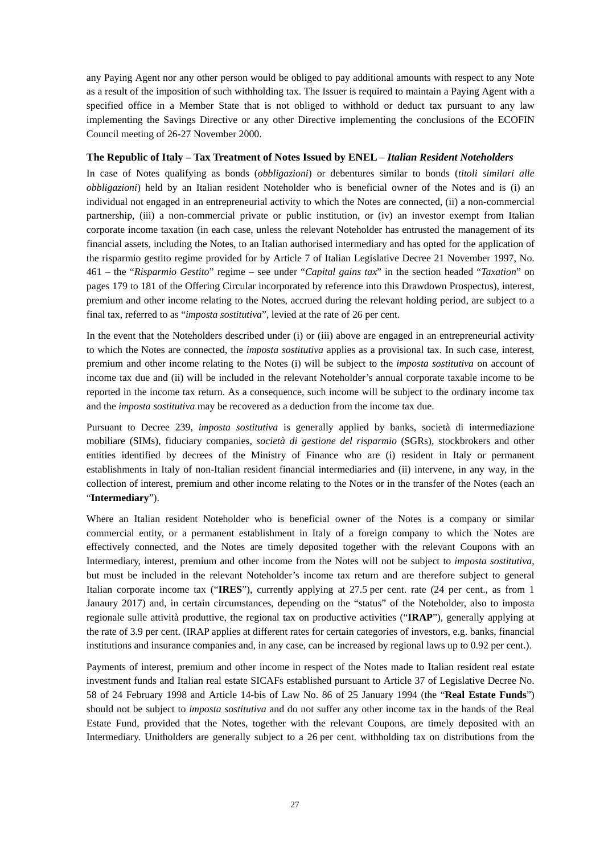any Paying Agent nor any other person would be obliged to pay additional amounts with respect to any Note as a result of the imposition of such withholding tax. The Issuer is required to maintain a Paying Agent with a specified office in a Member State that is not obliged to withhold or deduct tax pursuant to any law implementing the Savings Directive or any other Directive implementing the conclusions of the ECOFIN Council meeting of 26-27 November 2000.

## **The Republic of Italy – Tax Treatment of Notes Issued by ENEL** – *Italian Resident Noteholders*

In case of Notes qualifying as bonds (*obbligazioni*) or debentures similar to bonds (*titoli similari alle obbligazioni*) held by an Italian resident Noteholder who is beneficial owner of the Notes and is (i) an individual not engaged in an entrepreneurial activity to which the Notes are connected, (ii) a non-commercial partnership, (iii) a non-commercial private or public institution, or (iv) an investor exempt from Italian corporate income taxation (in each case, unless the relevant Noteholder has entrusted the management of its financial assets, including the Notes, to an Italian authorised intermediary and has opted for the application of the risparmio gestito regime provided for by Article 7 of Italian Legislative Decree 21 November 1997, No. 461 – the "*Risparmio Gestito*" regime – see under "*Capital gains tax*" in the section headed "*Taxation*" on pages 179 to 181 of the Offering Circular incorporated by reference into this Drawdown Prospectus), interest, premium and other income relating to the Notes, accrued during the relevant holding period, are subject to a final tax, referred to as "*imposta sostitutiva*", levied at the rate of 26 per cent.

In the event that the Noteholders described under (i) or (iii) above are engaged in an entrepreneurial activity to which the Notes are connected, the *imposta sostitutiva* applies as a provisional tax. In such case, interest, premium and other income relating to the Notes (i) will be subject to the *imposta sostitutiva* on account of income tax due and (ii) will be included in the relevant Noteholder's annual corporate taxable income to be reported in the income tax return. As a consequence, such income will be subject to the ordinary income tax and the *imposta sostitutiva* may be recovered as a deduction from the income tax due.

Pursuant to Decree 239, *imposta sostitutiva* is generally applied by banks, società di intermediazione mobiliare (SIMs), fiduciary companies, *società di gestione del risparmio* (SGRs), stockbrokers and other entities identified by decrees of the Ministry of Finance who are (i) resident in Italy or permanent establishments in Italy of non-Italian resident financial intermediaries and (ii) intervene, in any way, in the collection of interest, premium and other income relating to the Notes or in the transfer of the Notes (each an "**Intermediary**").

Where an Italian resident Noteholder who is beneficial owner of the Notes is a company or similar commercial entity, or a permanent establishment in Italy of a foreign company to which the Notes are effectively connected, and the Notes are timely deposited together with the relevant Coupons with an Intermediary, interest, premium and other income from the Notes will not be subject to *imposta sostitutiva*, but must be included in the relevant Noteholder's income tax return and are therefore subject to general Italian corporate income tax ("**IRES**"), currently applying at 27.5 per cent. rate (24 per cent., as from 1 Janaury 2017) and, in certain circumstances, depending on the "status" of the Noteholder, also to imposta regionale sulle attività produttive, the regional tax on productive activities ("**IRAP**"), generally applying at the rate of 3.9 per cent. (IRAP applies at different rates for certain categories of investors, e.g. banks, financial institutions and insurance companies and, in any case, can be increased by regional laws up to 0.92 per cent.).

Payments of interest, premium and other income in respect of the Notes made to Italian resident real estate investment funds and Italian real estate SICAFs established pursuant to Article 37 of Legislative Decree No. 58 of 24 February 1998 and Article 14-bis of Law No. 86 of 25 January 1994 (the "**Real Estate Funds**") should not be subject to *imposta sostitutiva* and do not suffer any other income tax in the hands of the Real Estate Fund, provided that the Notes, together with the relevant Coupons, are timely deposited with an Intermediary. Unitholders are generally subject to a 26 per cent. withholding tax on distributions from the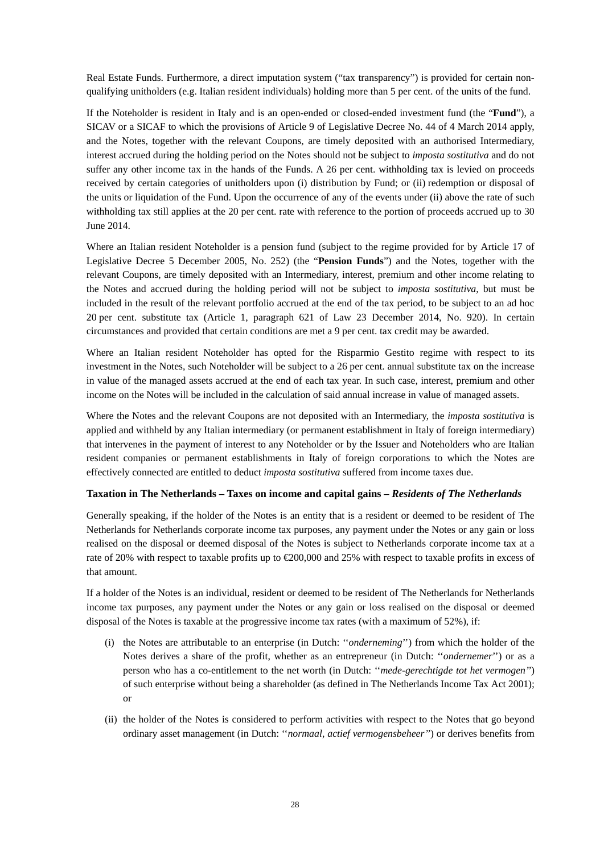Real Estate Funds. Furthermore, a direct imputation system ("tax transparency") is provided for certain nonqualifying unitholders (e.g. Italian resident individuals) holding more than 5 per cent. of the units of the fund.

If the Noteholder is resident in Italy and is an open-ended or closed-ended investment fund (the "**Fund**"), a SICAV or a SICAF to which the provisions of Article 9 of Legislative Decree No. 44 of 4 March 2014 apply, and the Notes, together with the relevant Coupons, are timely deposited with an authorised Intermediary, interest accrued during the holding period on the Notes should not be subject to *imposta sostitutiva* and do not suffer any other income tax in the hands of the Funds. A 26 per cent. withholding tax is levied on proceeds received by certain categories of unitholders upon (i) distribution by Fund; or (ii) redemption or disposal of the units or liquidation of the Fund. Upon the occurrence of any of the events under (ii) above the rate of such withholding tax still applies at the 20 per cent. rate with reference to the portion of proceeds accrued up to 30 June 2014.

Where an Italian resident Noteholder is a pension fund (subject to the regime provided for by Article 17 of Legislative Decree 5 December 2005, No. 252) (the "**Pension Funds**") and the Notes, together with the relevant Coupons, are timely deposited with an Intermediary, interest, premium and other income relating to the Notes and accrued during the holding period will not be subject to *imposta sostitutiva*, but must be included in the result of the relevant portfolio accrued at the end of the tax period, to be subject to an ad hoc 20 per cent. substitute tax (Article 1, paragraph 621 of Law 23 December 2014, No. 920). In certain circumstances and provided that certain conditions are met a 9 per cent. tax credit may be awarded.

Where an Italian resident Noteholder has opted for the Risparmio Gestito regime with respect to its investment in the Notes, such Noteholder will be subject to a 26 per cent. annual substitute tax on the increase in value of the managed assets accrued at the end of each tax year. In such case, interest, premium and other income on the Notes will be included in the calculation of said annual increase in value of managed assets.

Where the Notes and the relevant Coupons are not deposited with an Intermediary, the *imposta sostitutiva* is applied and withheld by any Italian intermediary (or permanent establishment in Italy of foreign intermediary) that intervenes in the payment of interest to any Noteholder or by the Issuer and Noteholders who are Italian resident companies or permanent establishments in Italy of foreign corporations to which the Notes are effectively connected are entitled to deduct *imposta sostitutiva* suffered from income taxes due.

# **Taxation in The Netherlands – Taxes on income and capital gains –** *Residents of The Netherlands*

Generally speaking, if the holder of the Notes is an entity that is a resident or deemed to be resident of The Netherlands for Netherlands corporate income tax purposes, any payment under the Notes or any gain or loss realised on the disposal or deemed disposal of the Notes is subject to Netherlands corporate income tax at a rate of 20% with respect to taxable profits up to €200,000 and 25% with respect to taxable profits in excess of that amount.

If a holder of the Notes is an individual, resident or deemed to be resident of The Netherlands for Netherlands income tax purposes, any payment under the Notes or any gain or loss realised on the disposal or deemed disposal of the Notes is taxable at the progressive income tax rates (with a maximum of 52%), if:

- (i) the Notes are attributable to an enterprise (in Dutch: ''*onderneming*'') from which the holder of the Notes derives a share of the profit, whether as an entrepreneur (in Dutch: ''*ondernemer*'') or as a person who has a co-entitlement to the net worth (in Dutch: ''*mede-gerechtigde tot het vermogen''*) of such enterprise without being a shareholder (as defined in The Netherlands Income Tax Act 2001); or
- (ii) the holder of the Notes is considered to perform activities with respect to the Notes that go beyond ordinary asset management (in Dutch: ''*normaal, actief vermogensbeheer''*) or derives benefits from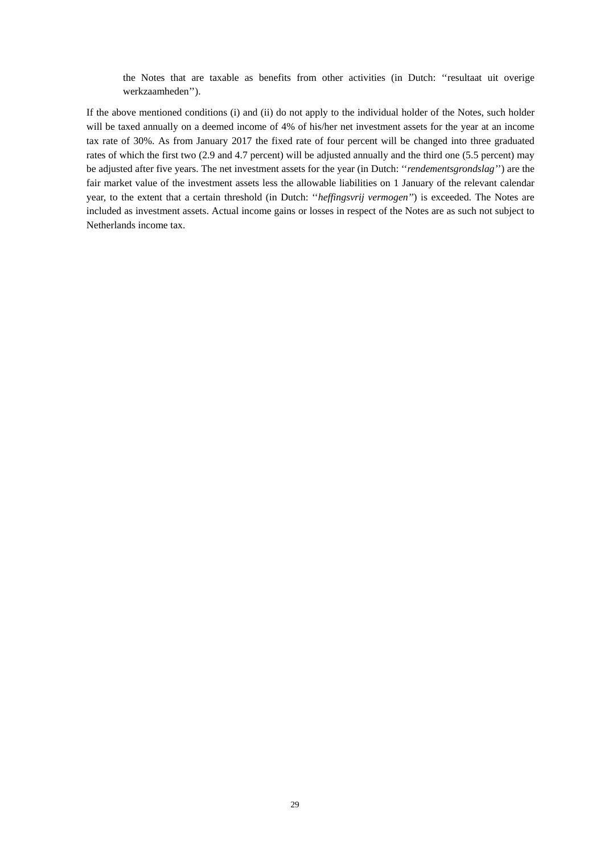the Notes that are taxable as benefits from other activities (in Dutch: ''resultaat uit overige werkzaamheden'').

If the above mentioned conditions (i) and (ii) do not apply to the individual holder of the Notes, such holder will be taxed annually on a deemed income of 4% of his/her net investment assets for the year at an income tax rate of 30%. As from January 2017 the fixed rate of four percent will be changed into three graduated rates of which the first two (2.9 and 4.7 percent) will be adjusted annually and the third one (5.5 percent) may be adjusted after five years. The net investment assets for the year (in Dutch: ''*rendementsgrondslag'*') are the fair market value of the investment assets less the allowable liabilities on 1 January of the relevant calendar year, to the extent that a certain threshold (in Dutch: ''*heffingsvrij vermogen''*) is exceeded. The Notes are included as investment assets. Actual income gains or losses in respect of the Notes are as such not subject to Netherlands income tax.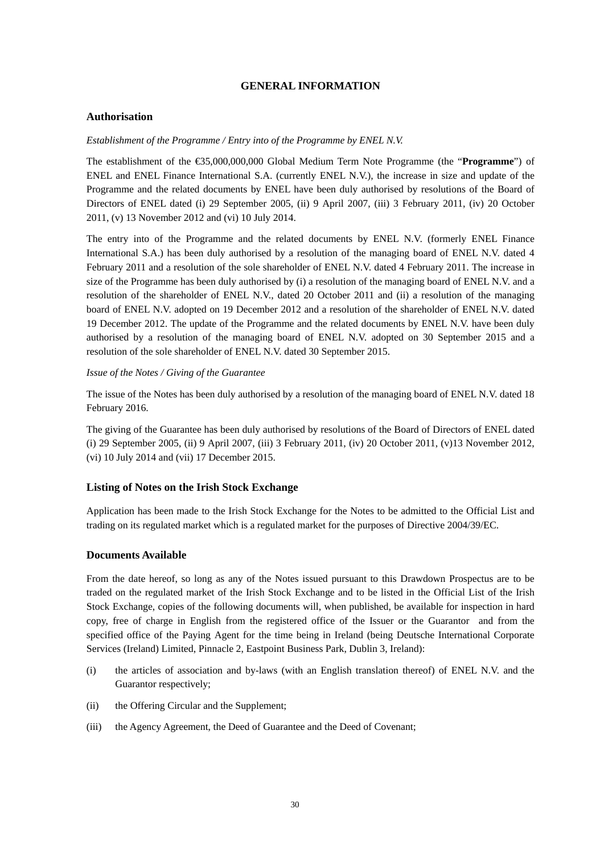# **GENERAL INFORMATION**

## **Authorisation**

## *Establishment of the Programme / Entry into of the Programme by ENEL N.V.*

The establishment of the €35,000,000,000 Global Medium Term Note Programme (the "**Programme**") of ENEL and ENEL Finance International S.A. (currently ENEL N.V.), the increase in size and update of the Programme and the related documents by ENEL have been duly authorised by resolutions of the Board of Directors of ENEL dated (i) 29 September 2005, (ii) 9 April 2007, (iii) 3 February 2011, (iv) 20 October 2011, (v) 13 November 2012 and (vi) 10 July 2014.

The entry into of the Programme and the related documents by ENEL N.V. (formerly ENEL Finance International S.A.) has been duly authorised by a resolution of the managing board of ENEL N.V. dated 4 February 2011 and a resolution of the sole shareholder of ENEL N.V. dated 4 February 2011. The increase in size of the Programme has been duly authorised by (i) a resolution of the managing board of ENEL N.V. and a resolution of the shareholder of ENEL N.V., dated 20 October 2011 and (ii) a resolution of the managing board of ENEL N.V. adopted on 19 December 2012 and a resolution of the shareholder of ENEL N.V. dated 19 December 2012. The update of the Programme and the related documents by ENEL N.V. have been duly authorised by a resolution of the managing board of ENEL N.V. adopted on 30 September 2015 and a resolution of the sole shareholder of ENEL N.V. dated 30 September 2015.

# *Issue of the Notes / Giving of the Guarantee*

The issue of the Notes has been duly authorised by a resolution of the managing board of ENEL N.V. dated 18 February 2016.

The giving of the Guarantee has been duly authorised by resolutions of the Board of Directors of ENEL dated (i) 29 September 2005, (ii) 9 April 2007, (iii) 3 February 2011, (iv) 20 October 2011, (v)13 November 2012, (vi) 10 July 2014 and (vii) 17 December 2015.

## **Listing of Notes on the Irish Stock Exchange**

Application has been made to the Irish Stock Exchange for the Notes to be admitted to the Official List and trading on its regulated market which is a regulated market for the purposes of Directive 2004/39/EC.

## **Documents Available**

From the date hereof, so long as any of the Notes issued pursuant to this Drawdown Prospectus are to be traded on the regulated market of the Irish Stock Exchange and to be listed in the Official List of the Irish Stock Exchange, copies of the following documents will, when published, be available for inspection in hard copy, free of charge in English from the registered office of the Issuer or the Guarantor and from the specified office of the Paying Agent for the time being in Ireland (being Deutsche International Corporate Services (Ireland) Limited, Pinnacle 2, Eastpoint Business Park, Dublin 3, Ireland):

- (i) the articles of association and by-laws (with an English translation thereof) of ENEL N.V. and the Guarantor respectively;
- (ii) the Offering Circular and the Supplement;
- (iii) the Agency Agreement, the Deed of Guarantee and the Deed of Covenant;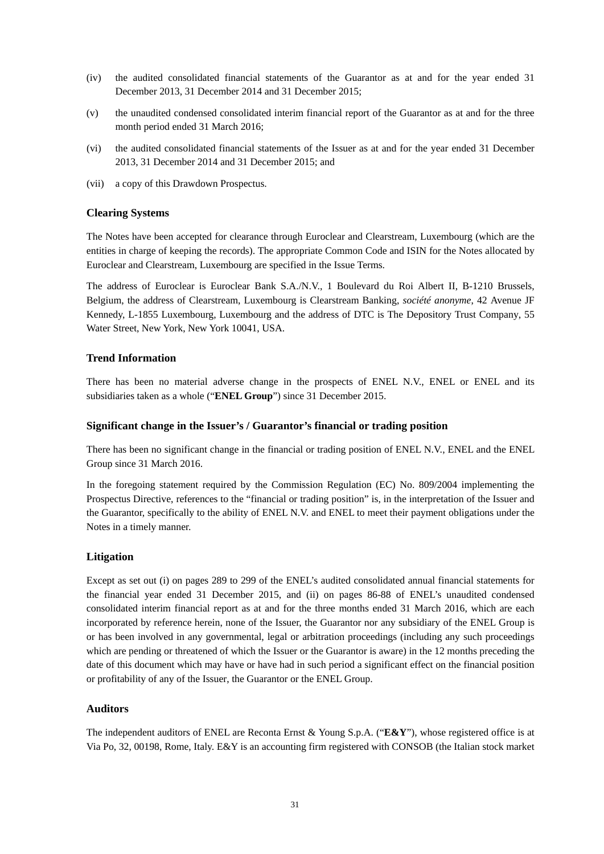- (iv) the audited consolidated financial statements of the Guarantor as at and for the year ended 31 December 2013, 31 December 2014 and 31 December 2015;
- (v) the unaudited condensed consolidated interim financial report of the Guarantor as at and for the three month period ended 31 March 2016;
- (vi) the audited consolidated financial statements of the Issuer as at and for the year ended 31 December 2013, 31 December 2014 and 31 December 2015; and
- (vii) a copy of this Drawdown Prospectus.

# **Clearing Systems**

The Notes have been accepted for clearance through Euroclear and Clearstream, Luxembourg (which are the entities in charge of keeping the records). The appropriate Common Code and ISIN for the Notes allocated by Euroclear and Clearstream, Luxembourg are specified in the Issue Terms.

The address of Euroclear is Euroclear Bank S.A./N.V., 1 Boulevard du Roi Albert II, B-1210 Brussels, Belgium, the address of Clearstream, Luxembourg is Clearstream Banking, *société anonyme*, 42 Avenue JF Kennedy, L-1855 Luxembourg, Luxembourg and the address of DTC is The Depository Trust Company, 55 Water Street, New York, New York 10041, USA.

# **Trend Information**

There has been no material adverse change in the prospects of ENEL N.V., ENEL or ENEL and its subsidiaries taken as a whole ("**ENEL Group**") since 31 December 2015.

# **Significant change in the Issuer's / Guarantor's financial or trading position**

There has been no significant change in the financial or trading position of ENEL N.V., ENEL and the ENEL Group since 31 March 2016.

In the foregoing statement required by the Commission Regulation (EC) No. 809/2004 implementing the Prospectus Directive, references to the "financial or trading position" is, in the interpretation of the Issuer and the Guarantor, specifically to the ability of ENEL N.V. and ENEL to meet their payment obligations under the Notes in a timely manner.

# **Litigation**

Except as set out (i) on pages 289 to 299 of the ENEL's audited consolidated annual financial statements for the financial year ended 31 December 2015, and (ii) on pages 86-88 of ENEL's unaudited condensed consolidated interim financial report as at and for the three months ended 31 March 2016, which are each incorporated by reference herein, none of the Issuer, the Guarantor nor any subsidiary of the ENEL Group is or has been involved in any governmental, legal or arbitration proceedings (including any such proceedings which are pending or threatened of which the Issuer or the Guarantor is aware) in the 12 months preceding the date of this document which may have or have had in such period a significant effect on the financial position or profitability of any of the Issuer, the Guarantor or the ENEL Group.

# **Auditors**

The independent auditors of ENEL are Reconta Ernst & Young S.p.A. ("**E&Y**"), whose registered office is at Via Po, 32, 00198, Rome, Italy. E&Y is an accounting firm registered with CONSOB (the Italian stock market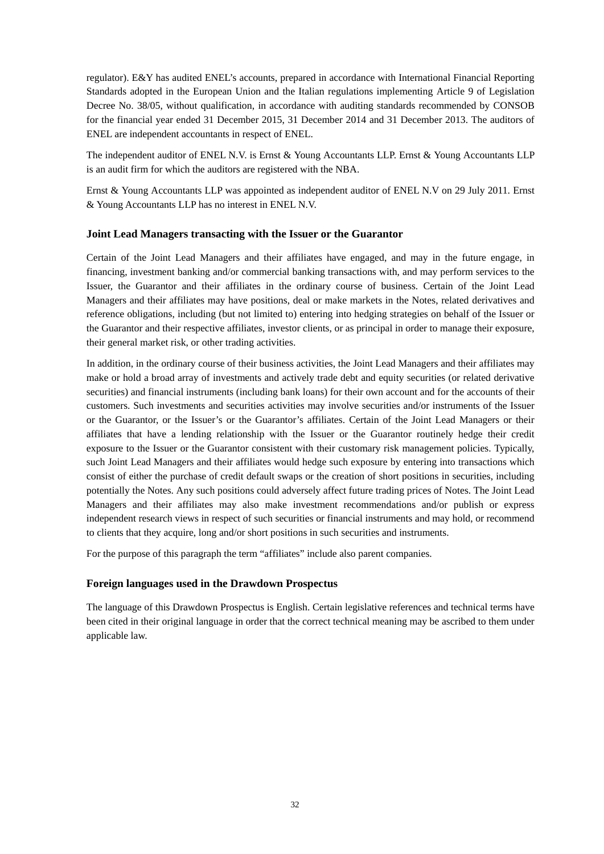regulator). E&Y has audited ENEL's accounts, prepared in accordance with International Financial Reporting Standards adopted in the European Union and the Italian regulations implementing Article 9 of Legislation Decree No. 38/05, without qualification, in accordance with auditing standards recommended by CONSOB for the financial year ended 31 December 2015, 31 December 2014 and 31 December 2013. The auditors of ENEL are independent accountants in respect of ENEL.

The independent auditor of ENEL N.V. is Ernst & Young Accountants LLP. Ernst & Young Accountants LLP is an audit firm for which the auditors are registered with the NBA.

Ernst & Young Accountants LLP was appointed as independent auditor of ENEL N.V on 29 July 2011. Ernst & Young Accountants LLP has no interest in ENEL N.V.

# **Joint Lead Managers transacting with the Issuer or the Guarantor**

Certain of the Joint Lead Managers and their affiliates have engaged, and may in the future engage, in financing, investment banking and/or commercial banking transactions with, and may perform services to the Issuer, the Guarantor and their affiliates in the ordinary course of business. Certain of the Joint Lead Managers and their affiliates may have positions, deal or make markets in the Notes, related derivatives and reference obligations, including (but not limited to) entering into hedging strategies on behalf of the Issuer or the Guarantor and their respective affiliates, investor clients, or as principal in order to manage their exposure, their general market risk, or other trading activities.

In addition, in the ordinary course of their business activities, the Joint Lead Managers and their affiliates may make or hold a broad array of investments and actively trade debt and equity securities (or related derivative securities) and financial instruments (including bank loans) for their own account and for the accounts of their customers. Such investments and securities activities may involve securities and/or instruments of the Issuer or the Guarantor, or the Issuer's or the Guarantor's affiliates. Certain of the Joint Lead Managers or their affiliates that have a lending relationship with the Issuer or the Guarantor routinely hedge their credit exposure to the Issuer or the Guarantor consistent with their customary risk management policies. Typically, such Joint Lead Managers and their affiliates would hedge such exposure by entering into transactions which consist of either the purchase of credit default swaps or the creation of short positions in securities, including potentially the Notes. Any such positions could adversely affect future trading prices of Notes. The Joint Lead Managers and their affiliates may also make investment recommendations and/or publish or express independent research views in respect of such securities or financial instruments and may hold, or recommend to clients that they acquire, long and/or short positions in such securities and instruments.

For the purpose of this paragraph the term "affiliates" include also parent companies.

# **Foreign languages used in the Drawdown Prospectus**

The language of this Drawdown Prospectus is English. Certain legislative references and technical terms have been cited in their original language in order that the correct technical meaning may be ascribed to them under applicable law.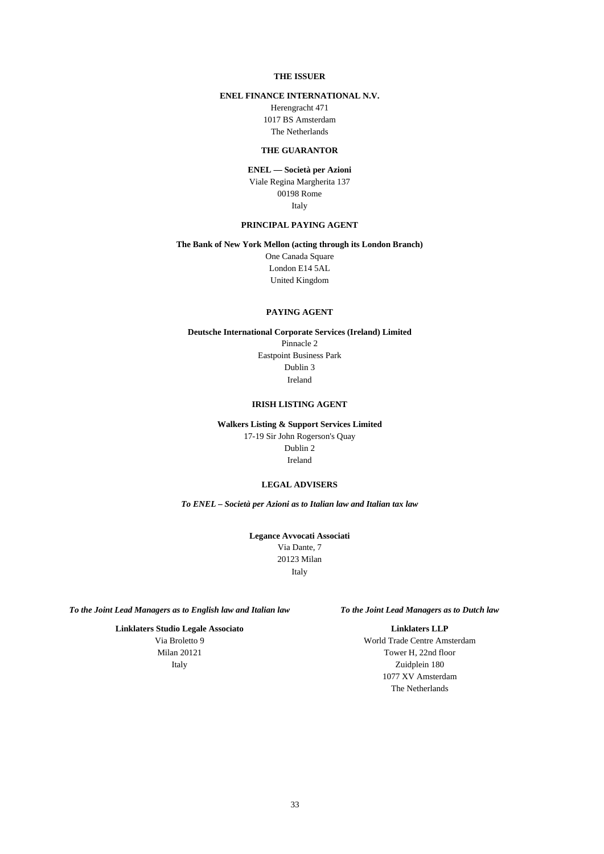## **THE ISSUER**

# **ENEL FINANCE INTERNATIONAL N.V.**

Herengracht 471 1017 BS Amsterdam The Netherlands

## **THE GUARANTOR**

# **ENEL — Società per Azioni**

Viale Regina Margherita 137 00198 Rome Italy

#### **PRINCIPAL PAYING AGENT**

#### **The Bank of New York Mellon (acting through its London Branch)**

One Canada Square London E14 5AL United Kingdom

## **PAYING AGENT**

**Deutsche International Corporate Services (Ireland) Limited** Pinnacle 2 Eastpoint Business Park Dublin 3 Ireland

## **IRISH LISTING AGENT**

**Walkers Listing & Support Services Limited** 17-19 Sir John Rogerson's Quay Dublin 2 Ireland

#### **LEGAL ADVISERS**

*To ENEL – Società per Azioni as to Italian law and Italian tax law*

**Legance Avvocati Associati** Via Dante, 7 20123 Milan Italy

*To the Joint Lead Managers as to English law and Italian law To the Joint Lead Managers as to Dutch law*

**Linklaters Studio Legale Associato** Via Broletto 9 Milan 20121 Italy

#### **Linklaters LLP**

World Trade Centre Amsterdam Tower H, 22nd floor Zuidplein 180 1077 XV Amsterdam The Netherlands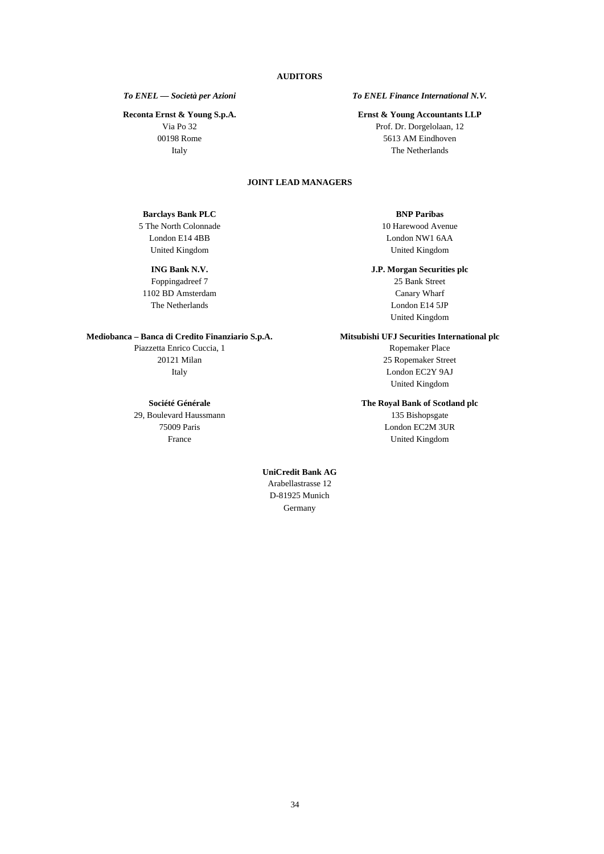**Reconta Ernst & Young S.p.A.**

Via Po 32 00198 Rome Italy

# *To ENEL — Società per Azioni To ENEL Finance International N.V.*

#### **Ernst & Young Accountants LLP**

Prof. Dr. Dorgelolaan, 12 5613 AM Eindhoven The Netherlands

# **JOINT LEAD MANAGERS**

## **Barclays Bank PLC**

5 The North Colonnade London E14 4BB United Kingdom

# **ING Bank N.V.**

Foppingadreef 7 1102 BD Amsterdam The Netherlands

#### **Mediobanca – Banca di Credito Finanziario S.p.A.**

Piazzetta Enrico Cuccia, 1 20121 Milan Italy

## **Société Générale**

29, Boulevard Haussmann 75009 Paris France

## **BNP Paribas**

10 Harewood Avenue London NW1 6AA United Kingdom

#### **J.P. Morgan Securities plc**

25 Bank Street Canary Wharf London E14 5JP United Kingdom

#### **Mitsubishi UFJ Securities International plc**

Ropemaker Place 25 Ropemaker Street London EC2Y 9AJ United Kingdom

#### **The Royal Bank of Scotland plc**

135 Bishopsgate London EC2M 3UR United Kingdom

# **UniCredit Bank AG**  Arabellastrasse 12 D-81925 Munich Germany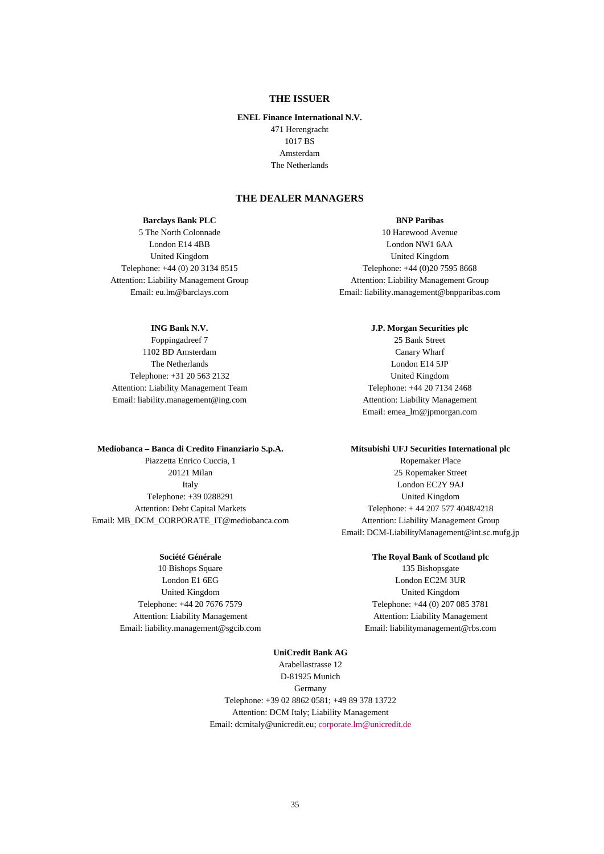# **THE ISSUER**

## **ENEL Finance International N.V.**

471 Herengracht 1017 BS Amsterdam The Netherlands

# **THE DEALER MANAGERS**

#### **Barclays Bank PLC**

5 The North Colonnade London E14 4BB United Kingdom Telephone: +44 (0) 20 3134 8515 Attention: Liability Management Group Email: eu.lm@barclays.com

## **ING Bank N.V.**

Foppingadreef 7 1102 BD Amsterdam The Netherlands Telephone: +31 20 563 2132 Attention: Liability Management Team Email: liability.management@ing.com

#### **Mediobanca – Banca di Credito Finanziario S.p.A.**

Piazzetta Enrico Cuccia, 1 20121 Milan Italy Telephone: +39 0288291 Attention: Debt Capital Markets Email: MB\_DCM\_CORPORATE\_IT@mediobanca.com

## **Société Générale**

10 Bishops Square London E1 6EG United Kingdom Telephone: +44 20 7676 7579 Attention: Liability Management Email: liability.management@sgcib.com

10 Harewood Avenue London NW1 6AA United Kingdom Telephone: +44 (0)20 7595 8668 Attention: Liability Management Group Email: liability.management@bnpparibas.com

> **J.P. Morgan Securities plc** 25 Bank Street Canary Wharf London E14 5JP United Kingdom Telephone: +44 20 7134 2468 Attention: Liability Management Email: emea\_lm@jpmorgan.com

#### **Mitsubishi UFJ Securities International plc**

Ropemaker Place 25 Ropemaker Street London EC2Y 9AJ United Kingdom Telephone: + 44 207 577 4048/4218 Attention: Liability Management Group Email: DCM-LiabilityManagement@int.sc.mufg.jp

#### **The Royal Bank of Scotland plc**

135 Bishopsgate London EC2M 3UR United Kingdom Telephone: +44 (0) 207 085 3781 Attention: Liability Management Email: liabilitymanagement@rbs.com

**UniCredit Bank AG**  Arabellastrasse 12 D-81925 Munich Germany Telephone: +39 02 8862 0581; +49 89 378 13722 Attention: DCM Italy; Liability Management Email: dcmitaly@unicredit.eu; [corporate.lm@unicredit.de](mailto:corporate.lm@unicredit.de)

# **BNP Paribas**